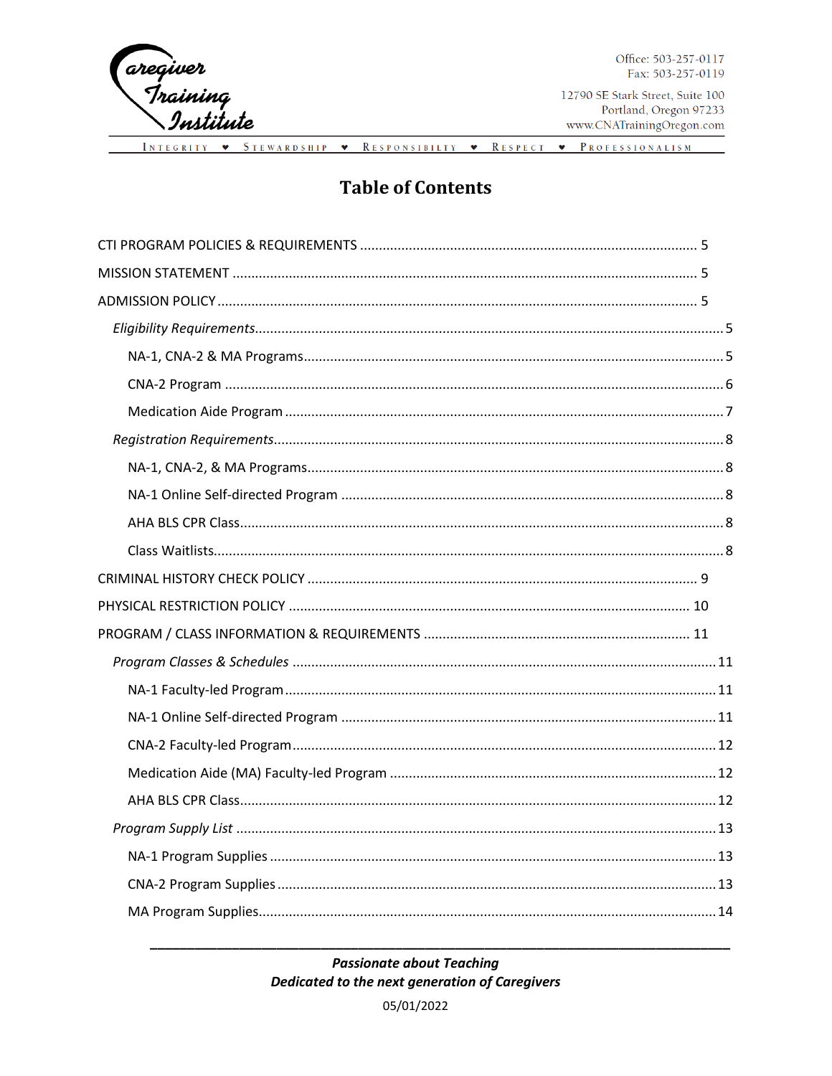

Office: 503-257-0117 Fax: 503-257-0119

INTEGRITY • STEWARDSHIP • RESPONSIBILTY • RESPECT • PROFESSIONALISM

#### **Table of Contents**

#### **Passionate about Teaching** Dedicated to the next generation of Caregivers

05/01/2022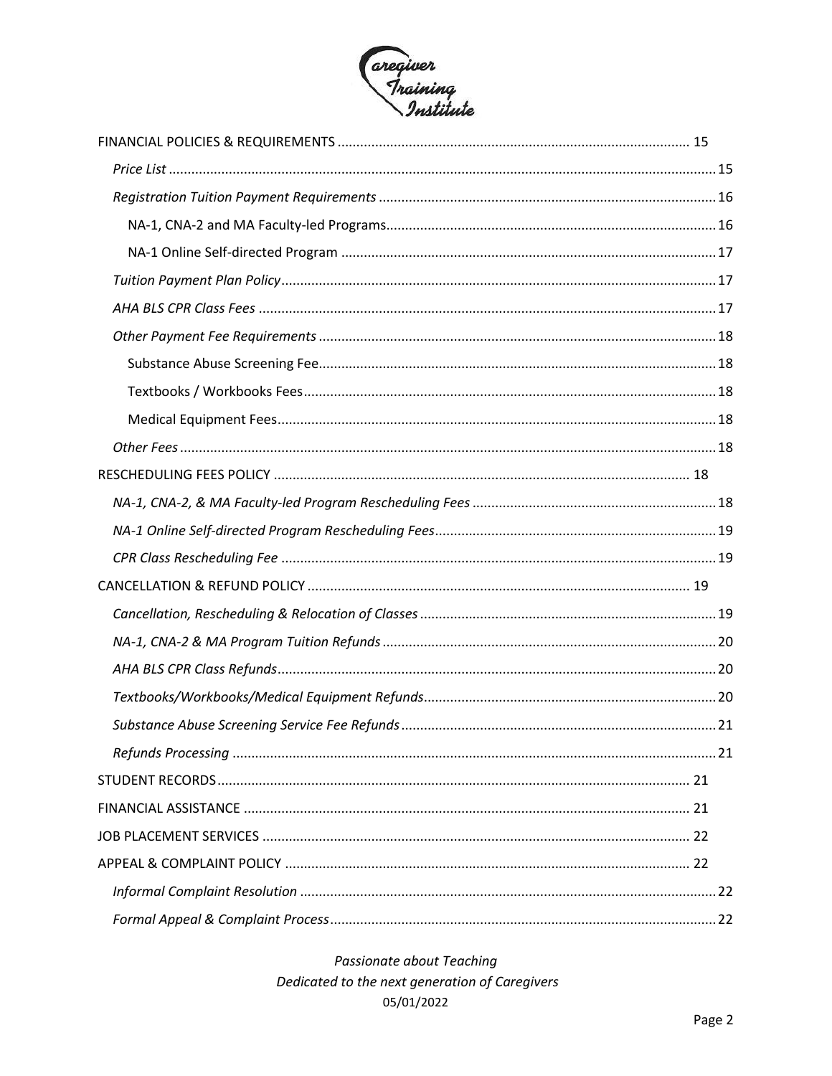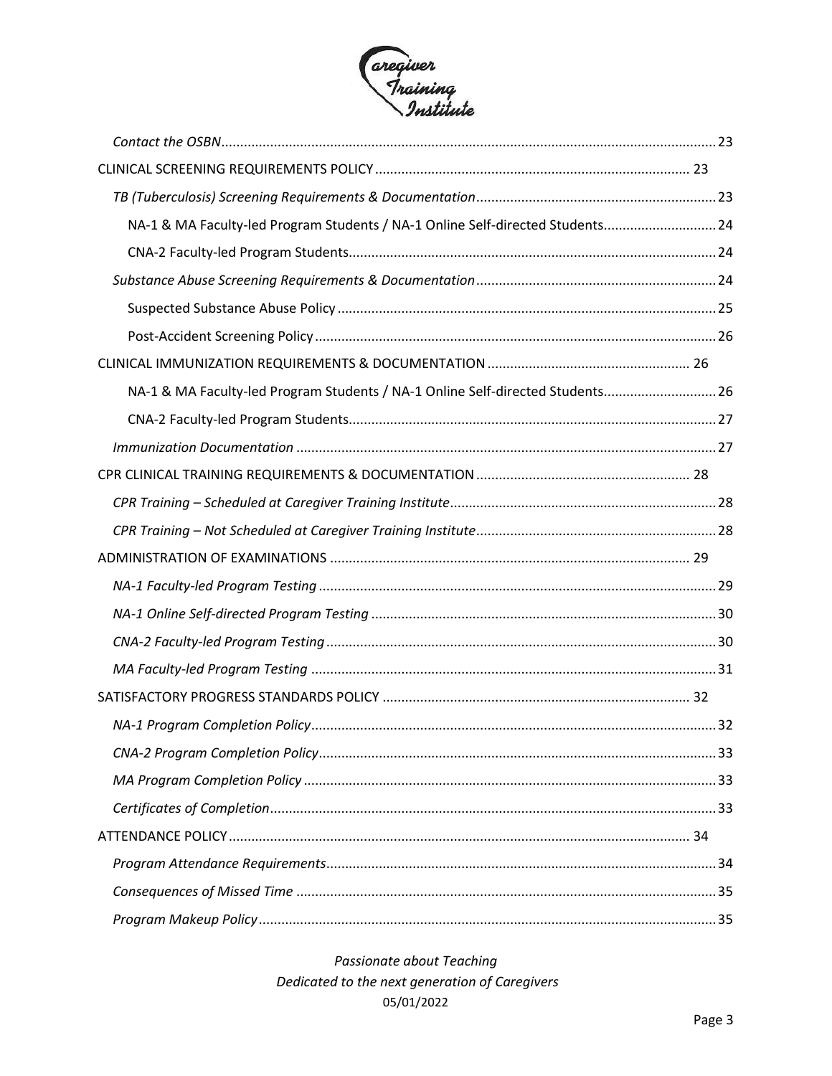

| NA-1 & MA Faculty-led Program Students / NA-1 Online Self-directed Students 24 |  |
|--------------------------------------------------------------------------------|--|
|                                                                                |  |
|                                                                                |  |
|                                                                                |  |
|                                                                                |  |
|                                                                                |  |
| NA-1 & MA Faculty-led Program Students / NA-1 Online Self-directed Students 26 |  |
|                                                                                |  |
|                                                                                |  |
|                                                                                |  |
|                                                                                |  |
|                                                                                |  |
|                                                                                |  |
|                                                                                |  |
|                                                                                |  |
|                                                                                |  |
|                                                                                |  |
|                                                                                |  |
|                                                                                |  |
|                                                                                |  |
|                                                                                |  |
|                                                                                |  |
|                                                                                |  |
|                                                                                |  |
|                                                                                |  |
|                                                                                |  |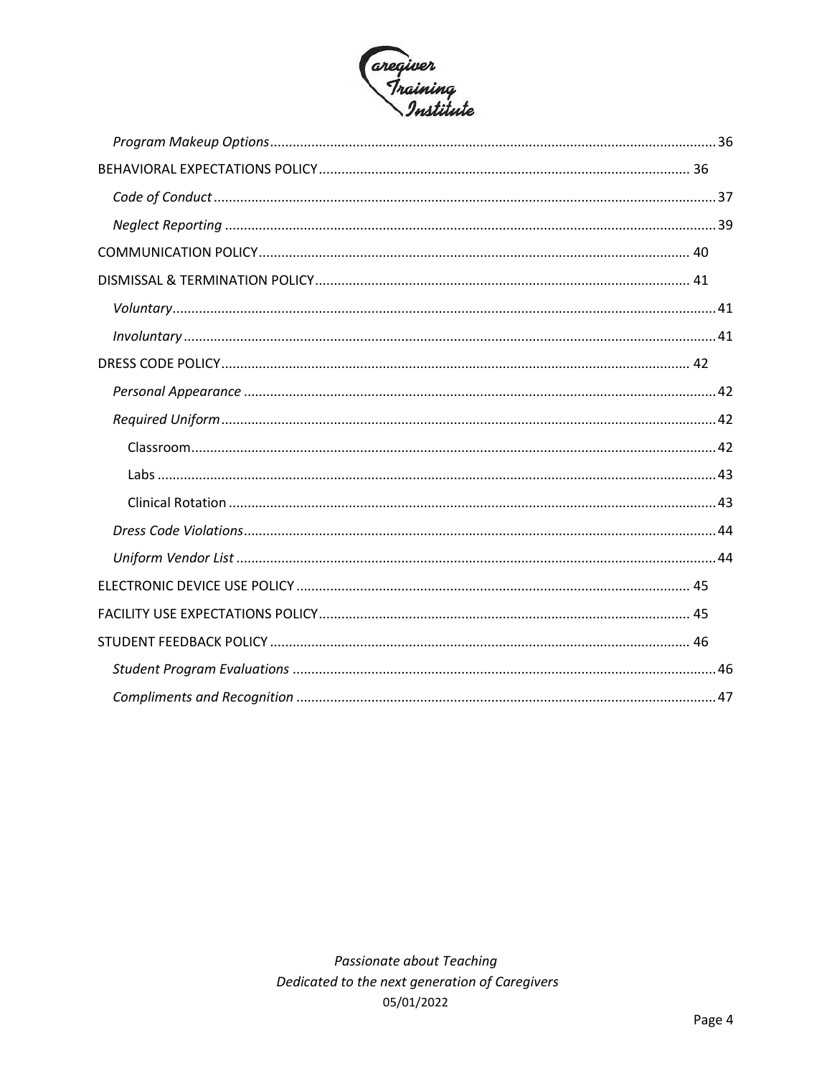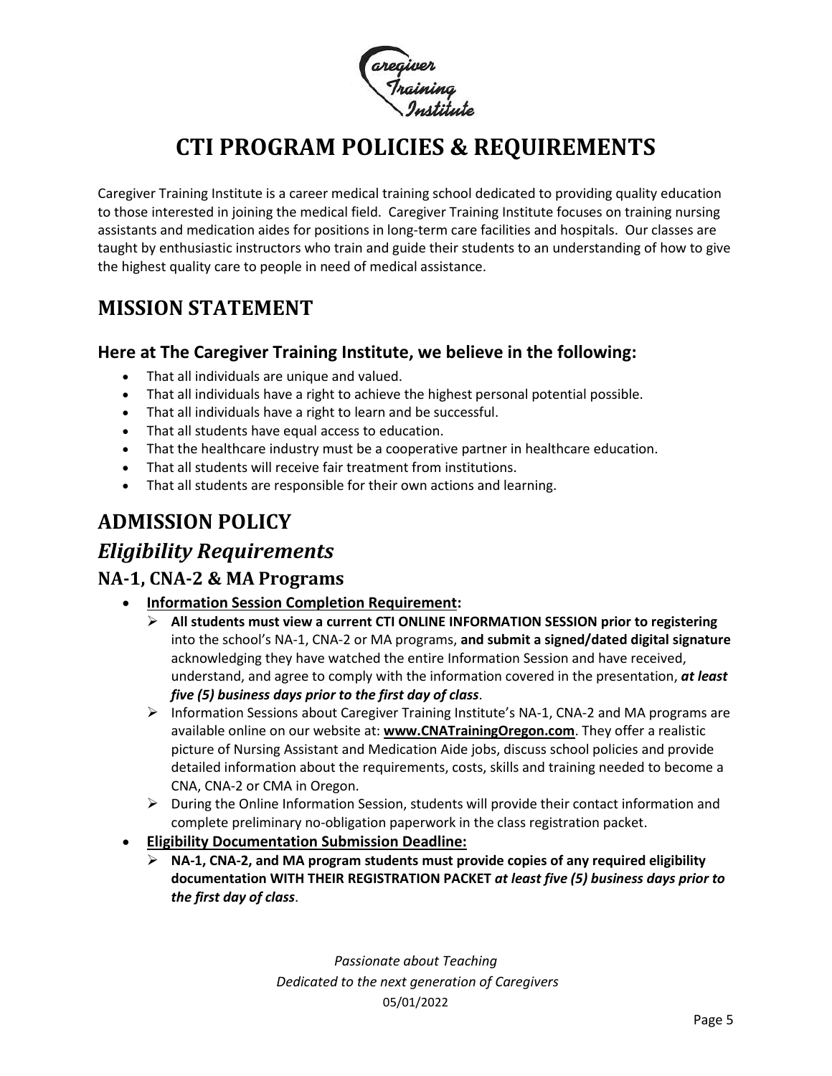

# **CTI PROGRAM POLICIES & REQUIREMENTS**

<span id="page-4-0"></span>Caregiver Training Institute is a career medical training school dedicated to providing quality education to those interested in joining the medical field. Caregiver Training Institute focuses on training nursing assistants and medication aides for positions in long-term care facilities and hospitals. Our classes are taught by enthusiastic instructors who train and guide their students to an understanding of how to give the highest quality care to people in need of medical assistance.

## <span id="page-4-1"></span>**MISSION STATEMENT**

#### **Here at The Caregiver Training Institute, we believe in the following:**

- That all individuals are unique and valued.
- That all individuals have a right to achieve the highest personal potential possible.
- That all individuals have a right to learn and be successful.
- That all students have equal access to education.
- That the healthcare industry must be a cooperative partner in healthcare education.
- That all students will receive fair treatment from institutions.
- That all students are responsible for their own actions and learning.

# <span id="page-4-2"></span>**ADMISSION POLICY**

### <span id="page-4-3"></span>*Eligibility Requirements*

#### <span id="page-4-4"></span>**NA-1, CNA-2 & MA Programs**

- **Information Session Completion Requirement:**
	- ➢ **All students must view a current CTI ONLINE INFORMATION SESSION prior to registering** into the school's NA-1, CNA-2 or MA programs, **and submit a signed/dated digital signature**  acknowledging they have watched the entire Information Session and have received, understand, and agree to comply with the information covered in the presentation, *at least five (5) business days prior to the first day of class*.
	- ➢ Information Sessions about Caregiver Training Institute's NA-1, CNA-2 and MA programs are available online on our website at: **[www.CNATrainingOregon.com](http://www.cnatrainingoregon.com/)**. They offer a realistic picture of Nursing Assistant and Medication Aide jobs, discuss school policies and provide detailed information about the requirements, costs, skills and training needed to become a CNA, CNA-2 or CMA in Oregon.
	- ➢ During the Online Information Session, students will provide their contact information and complete preliminary no-obligation paperwork in the class registration packet.
- **Eligibility Documentation Submission Deadline:**
	- ➢ **NA-1, CNA-2, and MA program students must provide copies of any required eligibility documentation WITH THEIR REGISTRATION PACKET** *at least five (5) business days prior to the first day of class*.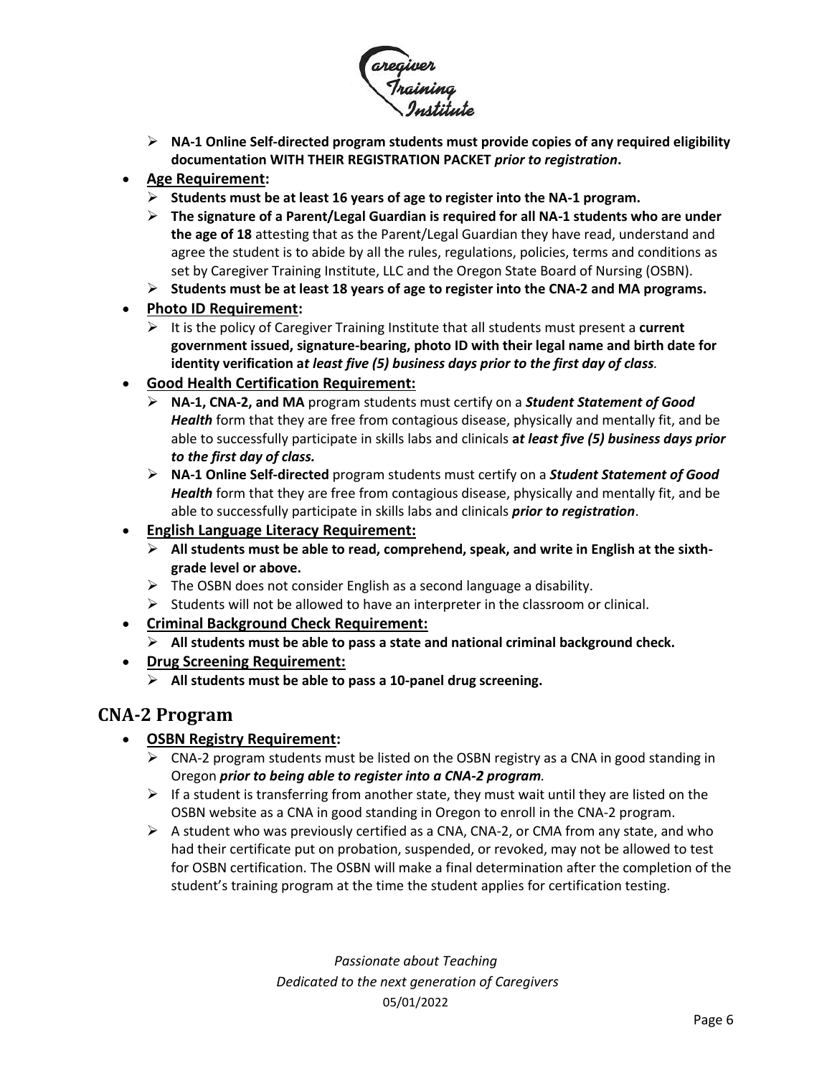

➢ **NA-1 Online Self-directed program students must provide copies of any required eligibility documentation WITH THEIR REGISTRATION PACKET** *prior to registration***.**

#### • **Age Requirement:**

- ➢ **Students must be at least 16 years of age to register into the NA-1 program.**
- ➢ **The signature of a Parent/Legal Guardian is required for all NA-1 students who are under the age of 18** attesting that as the Parent/Legal Guardian they have read, understand and agree the student is to abide by all the rules, regulations, policies, terms and conditions as set by Caregiver Training Institute, LLC and the Oregon State Board of Nursing (OSBN).
- ➢ **Students must be at least 18 years of age to register into the CNA-2 and MA programs.**

#### • **Photo ID Requirement:**

- ➢ It is the policy of Caregiver Training Institute that all students must present a **current government issued, signature-bearing, photo ID with their legal name and birth date for identity verification a***t least five (5) business days prior to the first day of class.*
- **Good Health Certification Requirement:**
	- ➢ **NA-1, CNA-2, and MA** program students must certify on a *Student Statement of Good Health* form that they are free from contagious disease, physically and mentally fit, and be able to successfully participate in skills labs and clinicals **a***t least five (5) business days prior to the first day of class.*
	- ➢ **NA-1 Online Self-directed** program students must certify on a *Student Statement of Good Health* form that they are free from contagious disease, physically and mentally fit, and be able to successfully participate in skills labs and clinicals *prior to registration*.
- **English Language Literacy Requirement:**
	- ➢ **All students must be able to read, comprehend, speak, and write in English at the sixthgrade level or above.**
	- $\triangleright$  The OSBN does not consider English as a second language a disability.
	- ➢ Students will not be allowed to have an interpreter in the classroom or clinical.
- **Criminal Background Check Requirement:**
	- ➢ **All students must be able to pass a state and national criminal background check.**
- **Drug Screening Requirement:**
	- ➢ **All students must be able to pass a 10-panel drug screening.**

#### <span id="page-5-0"></span>**CNA-2 Program**

#### • **OSBN Registry Requirement:**

- $\triangleright$  CNA-2 program students must be listed on the OSBN registry as a CNA in good standing in Oregon *prior to being able to register into a CNA-2 program.*
- $\triangleright$  If a student is transferring from another state, they must wait until they are listed on the OSBN website as a CNA in good standing in Oregon to enroll in the CNA-2 program.
- $\triangleright$  A student who was previously certified as a CNA, CNA-2, or CMA from any state, and who had their certificate put on probation, suspended, or revoked, may not be allowed to test for OSBN certification. The OSBN will make a final determination after the completion of the student's training program at the time the student applies for certification testing.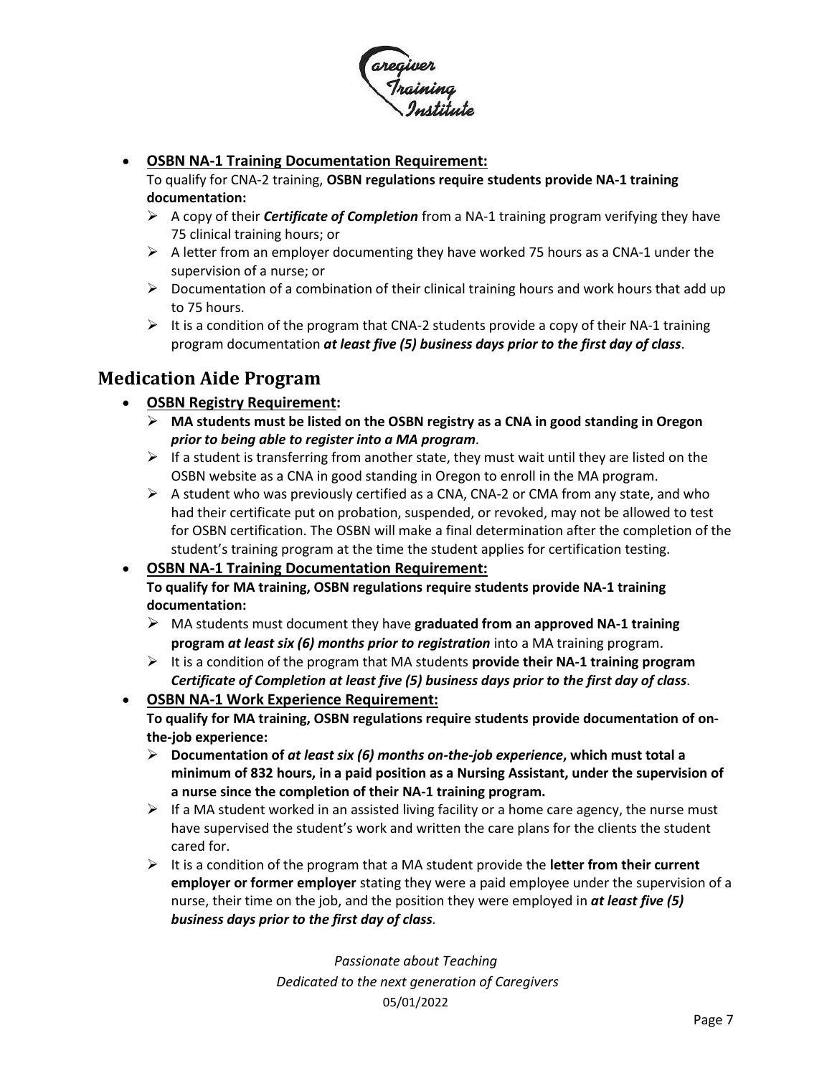

#### • **OSBN NA-1 Training Documentation Requirement:**

To qualify for CNA-2 training, **OSBN regulations require students provide NA-1 training documentation:**

- ➢ A copy of their *Certificate of Completion* from a NA-1 training program verifying they have 75 clinical training hours; or
- $\triangleright$  A letter from an employer documenting they have worked 75 hours as a CNA-1 under the supervision of a nurse; or
- $\triangleright$  Documentation of a combination of their clinical training hours and work hours that add up to 75 hours.
- $\triangleright$  It is a condition of the program that CNA-2 students provide a copy of their NA-1 training program documentation *at least five (5) business days prior to the first day of class*.

#### <span id="page-6-0"></span>**Medication Aide Program**

#### • **OSBN Registry Requirement:**

- ➢ **MA students must be listed on the OSBN registry as a CNA in good standing in Oregon** *prior to being able to register into a MA program.*
- $\triangleright$  If a student is transferring from another state, they must wait until they are listed on the OSBN website as a CNA in good standing in Oregon to enroll in the MA program.
- $\triangleright$  A student who was previously certified as a CNA, CNA-2 or CMA from any state, and who had their certificate put on probation, suspended, or revoked, may not be allowed to test for OSBN certification. The OSBN will make a final determination after the completion of the student's training program at the time the student applies for certification testing.
- **OSBN NA-1 Training Documentation Requirement: To qualify for MA training, OSBN regulations require students provide NA-1 training documentation:**
	- ➢ MA students must document they have **graduated from an approved NA-1 training program** *at least six (6) months prior to registration* into a MA training program.
	- ➢ It is a condition of the program that MA students **provide their NA-1 training program**  *Certificate of Completion at least five (5) business days prior to the first day of class*.
- **OSBN NA-1 Work Experience Requirement: To qualify for MA training, OSBN regulations require students provide documentation of onthe-job experience:**
	- ➢ **Documentation of** *at least six (6) months on-the-job experience***, which must total a minimum of 832 hours, in a paid position as a Nursing Assistant, under the supervision of a nurse since the completion of their NA-1 training program.**
	- $\triangleright$  If a MA student worked in an assisted living facility or a home care agency, the nurse must have supervised the student's work and written the care plans for the clients the student cared for.
	- ➢ It is a condition of the program that a MA student provide the **letter from their current employer or former employer** stating they were a paid employee under the supervision of a nurse, their time on the job, and the position they were employed in *at least five (5) business days prior to the first day of class.*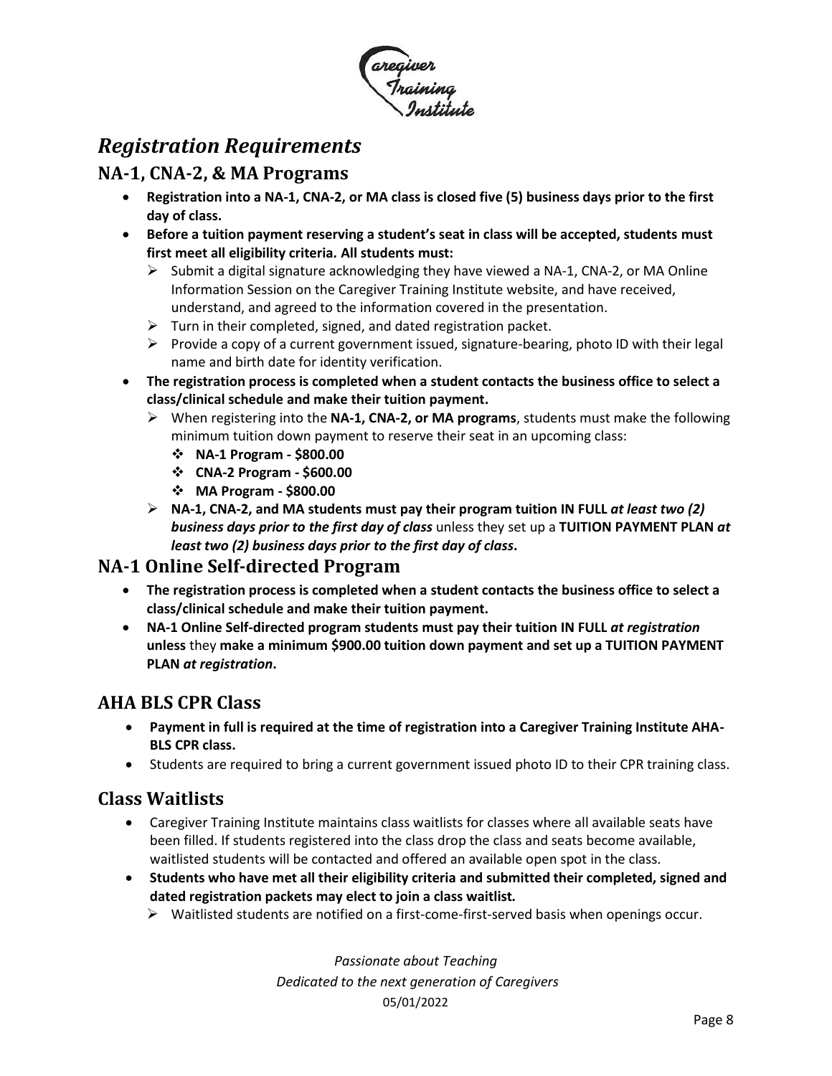

### <span id="page-7-0"></span>*Registration Requirements*

#### <span id="page-7-1"></span>**NA-1, CNA-2, & MA Programs**

- **Registration into a NA-1, CNA-2, or MA class is closed five (5) business days prior to the first day of class.**
- **Before a tuition payment reserving a student's seat in class will be accepted, students must first meet all eligibility criteria***.* **All students must:**
	- $\triangleright$  Submit a digital signature acknowledging they have viewed a NA-1, CNA-2, or MA Online Information Session on the Caregiver Training Institute website, and have received, understand, and agreed to the information covered in the presentation.
	- $\triangleright$  Turn in their completed, signed, and dated registration packet.
	- ➢ Provide a copy of a current government issued, signature-bearing, photo ID with their legal name and birth date for identity verification.
- **The registration process is completed when a student contacts the business office to select a class/clinical schedule and make their tuition payment.**
	- ➢ When registering into the **NA-1, CNA-2, or MA programs**, students must make the following minimum tuition down payment to reserve their seat in an upcoming class:
		- ❖ **NA-1 Program - \$800.00**
		- ❖ **CNA-2 Program - \$600.00**
		- ❖ **MA Program - \$800.00**
	- ➢ **NA-1, CNA-2, and MA students must pay their program tuition IN FULL** *at least two (2) business days prior to the first day of class* unless they set up a **TUITION PAYMENT PLAN** *at least two (2) business days prior to the first day of class***.**

#### <span id="page-7-2"></span>**NA-1 Online Self-directed Program**

- **The registration process is completed when a student contacts the business office to select a class/clinical schedule and make their tuition payment.**
- **NA-1 Online Self-directed program students must pay their tuition IN FULL** *at registration* **unless** they **make a minimum \$900.00 tuition down payment and set up a TUITION PAYMENT PLAN** *at registration***.**

#### <span id="page-7-3"></span>**AHA BLS CPR Class**

- **Payment in full is required at the time of registration into a Caregiver Training Institute AHA-BLS CPR class.**
- Students are required to bring a current government issued photo ID to their CPR training class.

#### <span id="page-7-4"></span>**Class Waitlists**

- Caregiver Training Institute maintains class waitlists for classes where all available seats have been filled. If students registered into the class drop the class and seats become available, waitlisted students will be contacted and offered an available open spot in the class.
- **Students who have met all their eligibility criteria and submitted their completed, signed and dated registration packets may elect to join a class waitlist***.* 
	- ➢ Waitlisted students are notified on a first-come-first-served basis when openings occur.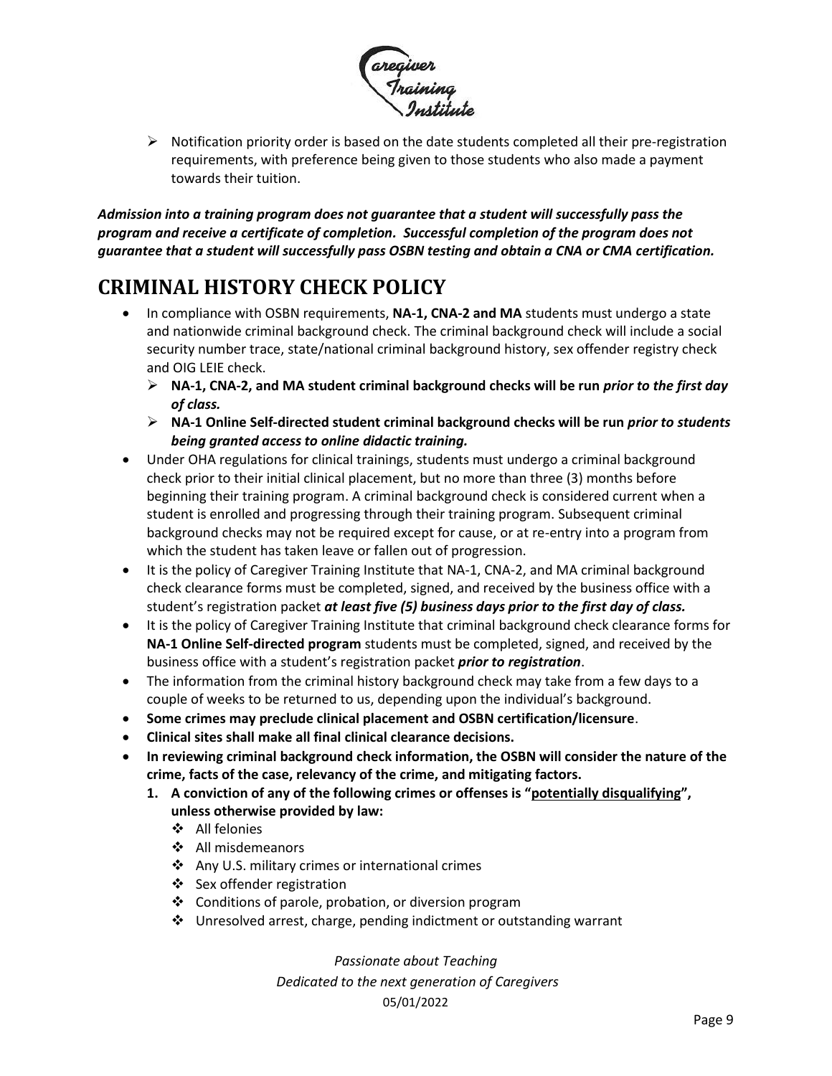

➢ Notification priority order is based on the date students completed all their pre-registration requirements, with preference being given to those students who also made a payment towards their tuition.

*Admission into a training program does not guarantee that a student will successfully pass the program and receive a certificate of completion. Successful completion of the program does not guarantee that a student will successfully pass OSBN testing and obtain a CNA or CMA certification.*

### <span id="page-8-0"></span>**CRIMINAL HISTORY CHECK POLICY**

- In compliance with OSBN requirements, **NA-1, CNA-2 and MA** students must undergo a state and nationwide criminal background check. The criminal background check will include a social security number trace, state/national criminal background history, sex offender registry check and OIG LEIE check.
	- ➢ **NA-1, CNA-2, and MA student criminal background checks will be run** *prior to the first day of class.*
	- ➢ **NA-1 Online Self-directed student criminal background checks will be run** *prior to students being granted access to online didactic training.*
- Under OHA regulations for clinical trainings, students must undergo a criminal background check prior to their initial clinical placement, but no more than three (3) months before beginning their training program. A criminal background check is considered current when a student is enrolled and progressing through their training program. Subsequent criminal background checks may not be required except for cause, or at re-entry into a program from which the student has taken leave or fallen out of progression.
- It is the policy of Caregiver Training Institute that NA-1, CNA-2, and MA criminal background check clearance forms must be completed, signed, and received by the business office with a student's registration packet *at least five (5) business days prior to the first day of class.*
- It is the policy of Caregiver Training Institute that criminal background check clearance forms for **NA-1 Online Self-directed program** students must be completed, signed, and received by the business office with a student's registration packet *prior to registration*.
- The information from the criminal history background check may take from a few days to a couple of weeks to be returned to us, depending upon the individual's background.
- **Some crimes may preclude clinical placement and OSBN certification/licensure**.
- **Clinical sites shall make all final clinical clearance decisions.**
- **In reviewing criminal background check information, the OSBN will consider the nature of the crime, facts of the case, relevancy of the crime, and mitigating factors.**
	- **1. A conviction of any of the following crimes or offenses is "potentially disqualifying", unless otherwise provided by law:**
		- ❖ All felonies
		- ❖ All misdemeanors
		- ❖ Any U.S. military crimes or international crimes
		- ❖ Sex offender registration
		- ❖ Conditions of parole, probation, or diversion program
		- ❖ Unresolved arrest, charge, pending indictment or outstanding warrant

*Passionate about Teaching*

*Dedicated to the next generation of Caregivers* 05/01/2022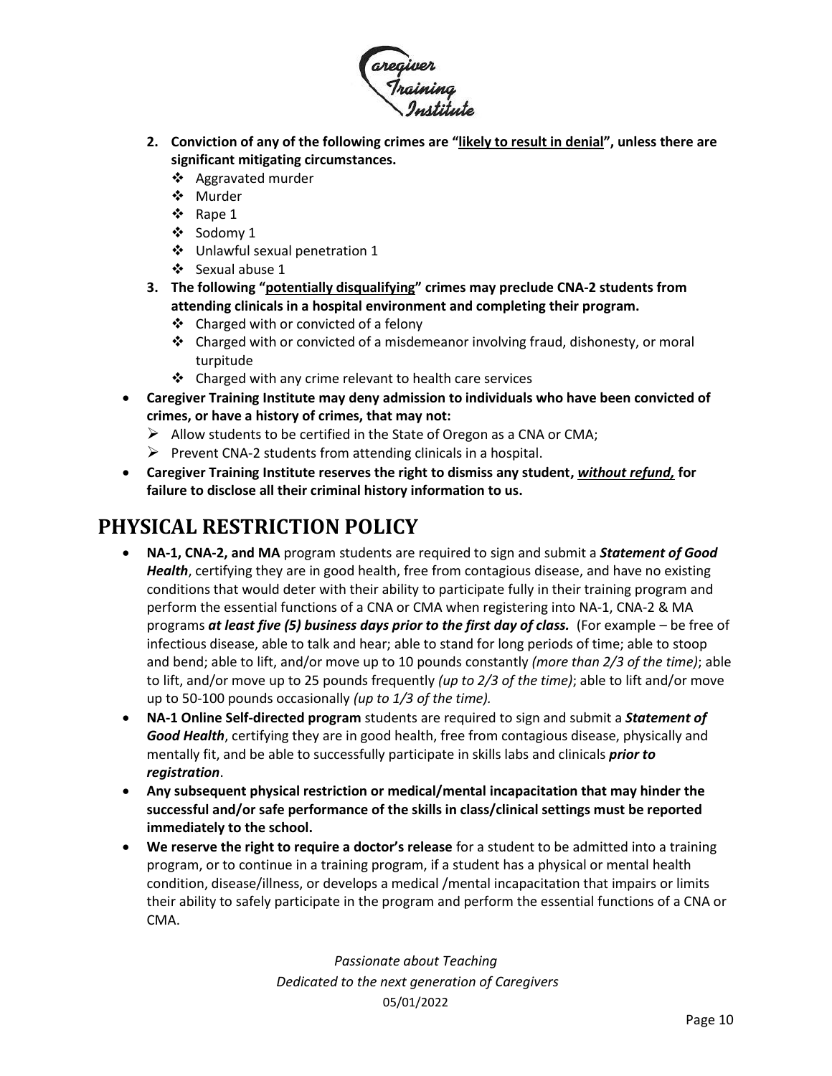

- **2. Conviction of any of the following crimes are "likely to result in denial", unless there are significant mitigating circumstances.**
	- ❖ Aggravated murder
	- ❖ Murder
	- ❖ Rape 1
	- ❖ Sodomy 1
	- ❖ Unlawful sexual penetration 1
	- ❖ Sexual abuse 1
- **3. The following "potentially disqualifying" crimes may preclude CNA-2 students from attending clinicals in a hospital environment and completing their program.** 
	- ❖ Charged with or convicted of a felony
	- ❖ Charged with or convicted of a misdemeanor involving fraud, dishonesty, or moral turpitude
	- ❖ Charged with any crime relevant to health care services
- **Caregiver Training Institute may deny admission to individuals who have been convicted of crimes, or have a history of crimes, that may not:**
	- $\triangleright$  Allow students to be certified in the State of Oregon as a CNA or CMA;
	- $\triangleright$  Prevent CNA-2 students from attending clinicals in a hospital.
- **Caregiver Training Institute reserves the right to dismiss any student,** *without refund,* **for failure to disclose all their criminal history information to us.**

## <span id="page-9-0"></span>**PHYSICAL RESTRICTION POLICY**

- **NA-1, CNA-2, and MA** program students are required to sign and submit a *Statement of Good Health*, certifying they are in good health, free from contagious disease, and have no existing conditions that would deter with their ability to participate fully in their training program and perform the essential functions of a CNA or CMA when registering into NA-1, CNA-2 & MA programs *at least five (5) business days prior to the first day of class.* (For example – be free of infectious disease, able to talk and hear; able to stand for long periods of time; able to stoop and bend; able to lift, and/or move up to 10 pounds constantly *(more than 2/3 of the time)*; able to lift, and/or move up to 25 pounds frequently *(up to 2/3 of the time)*; able to lift and/or move up to 50-100 pounds occasionally *(up to 1/3 of the time).*
- **NA-1 Online Self-directed program** students are required to sign and submit a *Statement of Good Health*, certifying they are in good health, free from contagious disease, physically and mentally fit, and be able to successfully participate in skills labs and clinicals *prior to registration*.
- **Any subsequent physical restriction or medical/mental incapacitation that may hinder the successful and/or safe performance of the skills in class/clinical settings must be reported immediately to the school.**
- **We reserve the right to require a doctor's release** for a student to be admitted into a training program, or to continue in a training program, if a student has a physical or mental health condition, disease/illness, or develops a medical /mental incapacitation that impairs or limits their ability to safely participate in the program and perform the essential functions of a CNA or CMA.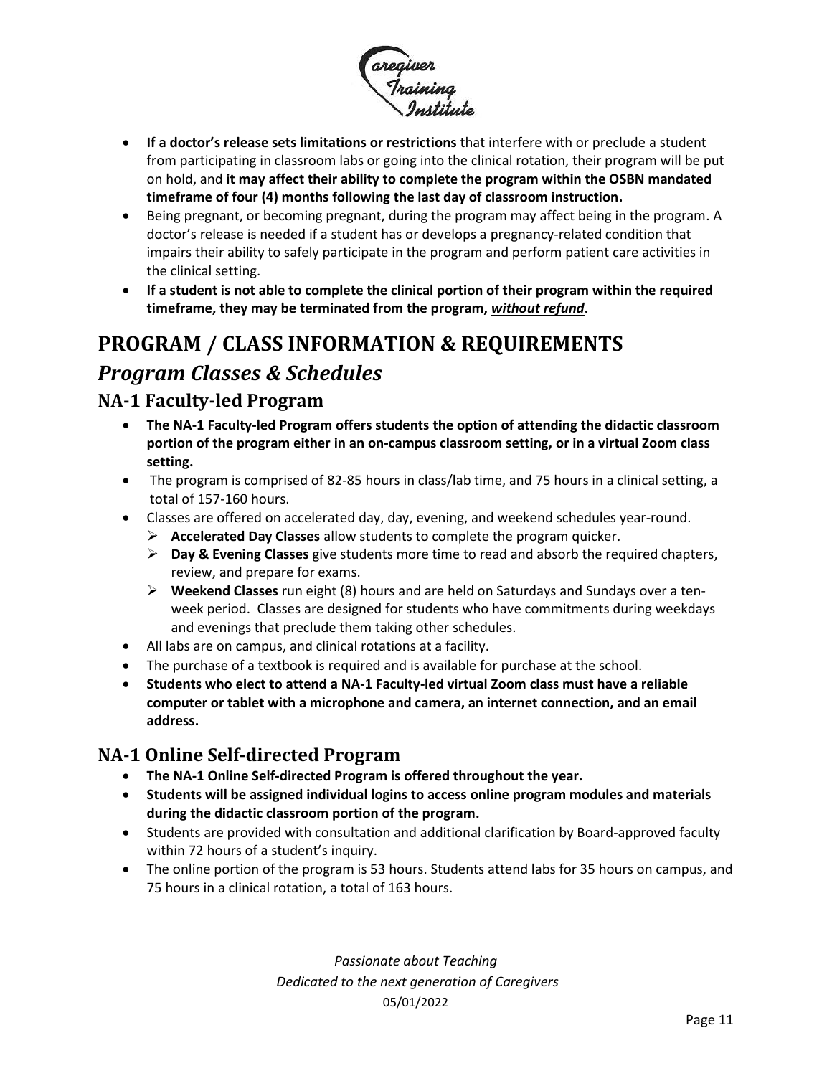

- **If a doctor's release sets limitations or restrictions** that interfere with or preclude a student from participating in classroom labs or going into the clinical rotation, their program will be put on hold, and **it may affect their ability to complete the program within the OSBN mandated timeframe of four (4) months following the last day of classroom instruction.**
- Being pregnant, or becoming pregnant, during the program may affect being in the program. A doctor's release is needed if a student has or develops a pregnancy-related condition that impairs their ability to safely participate in the program and perform patient care activities in the clinical setting.
- **If a student is not able to complete the clinical portion of their program within the required timeframe, they may be terminated from the program,** *without refund***.**

# <span id="page-10-1"></span><span id="page-10-0"></span>**PROGRAM / CLASS INFORMATION & REQUIREMENTS**  *Program Classes & Schedules*

#### <span id="page-10-2"></span>**NA-1 Faculty-led Program**

- **The NA-1 Faculty-led Program offers students the option of attending the didactic classroom portion of the program either in an on-campus classroom setting, or in a virtual Zoom class setting.**
- The program is comprised of 82-85 hours in class/lab time, and 75 hours in a clinical setting, a total of 157-160 hours.
- Classes are offered on accelerated day, day, evening, and weekend schedules year-round.
	- ➢ **Accelerated Day Classes** allow students to complete the program quicker.
	- ➢ **Day & Evening Classes** give students more time to read and absorb the required chapters, review, and prepare for exams.
	- ➢ **Weekend Classes** run eight (8) hours and are held on Saturdays and Sundays over a tenweek period. Classes are designed for students who have commitments during weekdays and evenings that preclude them taking other schedules.
- All labs are on campus, and clinical rotations at a facility.
- The purchase of a textbook is required and is available for purchase at the school.
- **Students who elect to attend a NA-1 Faculty-led virtual Zoom class must have a reliable computer or tablet with a microphone and camera, an internet connection, and an email address.**

#### <span id="page-10-3"></span>**NA-1 Online Self-directed Program**

- **The NA-1 Online Self-directed Program is offered throughout the year.**
- **Students will be assigned individual logins to access online program modules and materials during the didactic classroom portion of the program.**
- Students are provided with consultation and additional clarification by Board-approved faculty within 72 hours of a student's inquiry.
- The online portion of the program is 53 hours. Students attend labs for 35 hours on campus, and 75 hours in a clinical rotation, a total of 163 hours.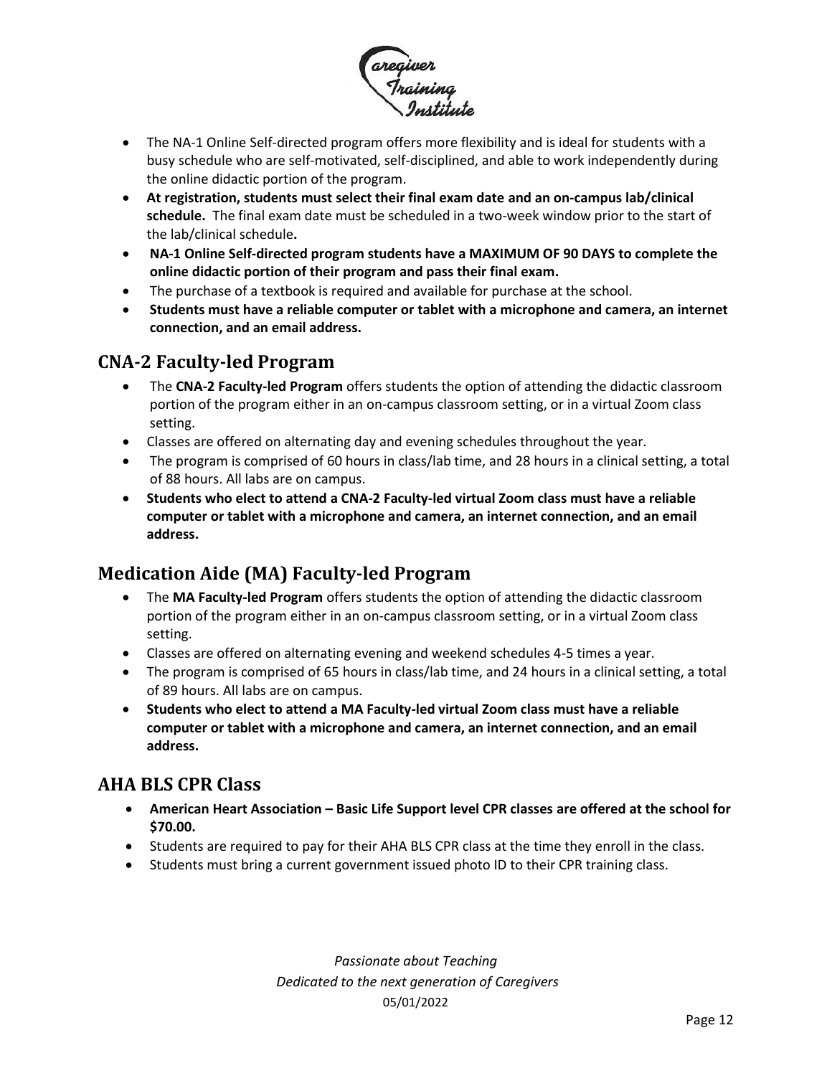

- The NA-1 Online Self-directed program offers more flexibility and is ideal for students with a busy schedule who are self-motivated, self-disciplined, and able to work independently during the online didactic portion of the program.
- **At registration, students must select their final exam date and an on-campus lab/clinical schedule.** The final exam date must be scheduled in a two-week window prior to the start of the lab/clinical schedule**.**
- **NA-1 Online Self-directed program students have a MAXIMUM OF 90 DAYS to complete the online didactic portion of their program and pass their final exam.**
- The purchase of a textbook is required and available for purchase at the school.
- **Students must have a reliable computer or tablet with a microphone and camera, an internet connection, and an email address.**

#### <span id="page-11-0"></span>**CNA-2 Faculty-led Program**

- The **CNA-2 Faculty-led Program** offers students the option of attending the didactic classroom portion of the program either in an on-campus classroom setting, or in a virtual Zoom class setting.
- Classes are offered on alternating day and evening schedules throughout the year.
- The program is comprised of 60 hours in class/lab time, and 28 hours in a clinical setting, a total of 88 hours. All labs are on campus.
- **Students who elect to attend a CNA-2 Faculty-led virtual Zoom class must have a reliable computer or tablet with a microphone and camera, an internet connection, and an email address.**

### <span id="page-11-1"></span>**Medication Aide (MA) Faculty-led Program**

- The **MA Faculty-led Program** offers students the option of attending the didactic classroom portion of the program either in an on-campus classroom setting, or in a virtual Zoom class setting.
- Classes are offered on alternating evening and weekend schedules 4-5 times a year.
- The program is comprised of 65 hours in class/lab time, and 24 hours in a clinical setting, a total of 89 hours. All labs are on campus.
- **Students who elect to attend a MA Faculty-led virtual Zoom class must have a reliable computer or tablet with a microphone and camera, an internet connection, and an email address.**

#### <span id="page-11-2"></span>**AHA BLS CPR Class**

- **American Heart Association – Basic Life Support level CPR classes are offered at the school for \$70.00.**
- Students are required to pay for their AHA BLS CPR class at the time they enroll in the class.
- Students must bring a current government issued photo ID to their CPR training class.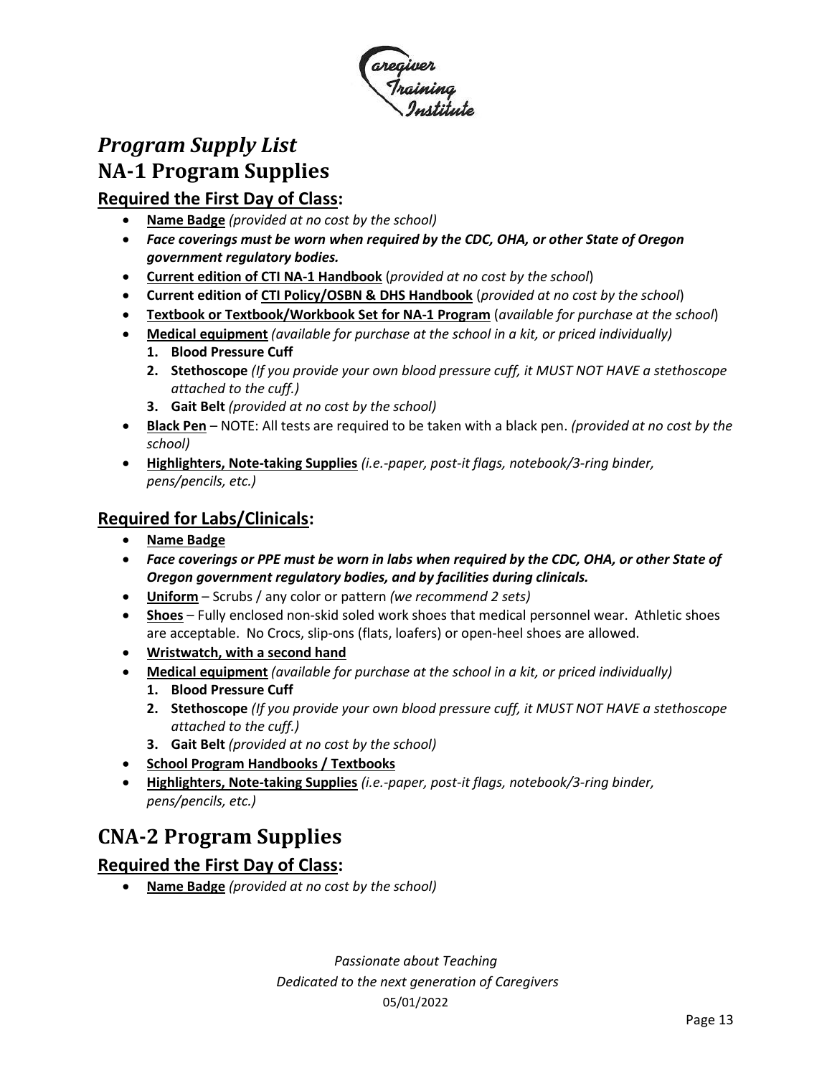

# <span id="page-12-1"></span><span id="page-12-0"></span>*Program Supply List* **NA-1 Program Supplies**

#### **Required the First Day of Class:**

- **Name Badge** *(provided at no cost by the school)*
- *Face coverings must be worn when required by the CDC, OHA, or other State of Oregon government regulatory bodies.*
- **Current edition of CTI NA-1 Handbook** (*provided at no cost by the school*)
- **Current edition of CTI Policy/OSBN & DHS Handbook** (*provided at no cost by the school*)
- **Textbook or Textbook/Workbook Set for NA-1 Program** (*available for purchase at the school*)
- **Medical equipment** *(available for purchase at the school in a kit, or priced individually)* **1. Blood Pressure Cuff**
	- **2. Stethoscope** *(If you provide your own blood pressure cuff, it MUST NOT HAVE a stethoscope attached to the cuff.)*
	- **3. Gait Belt** *(provided at no cost by the school)*
- **Black Pen** NOTE: All tests are required to be taken with a black pen. *(provided at no cost by the school)*
- **Highlighters, Note-taking Supplies** *(i.e.-paper, post-it flags, notebook/3-ring binder, pens/pencils, etc.)*

#### **Required for Labs/Clinicals:**

- **Name Badge**
- *Face coverings or PPE must be worn in labs when required by the CDC, OHA, or other State of Oregon government regulatory bodies, and by facilities during clinicals.*
- **Uniform** Scrubs / any color or pattern *(we recommend 2 sets)*
- **Shoes** Fully enclosed non-skid soled work shoes that medical personnel wear. Athletic shoes are acceptable. No Crocs, slip-ons (flats, loafers) or open-heel shoes are allowed.
- **Wristwatch, with a second hand**
- **Medical equipment** *(available for purchase at the school in a kit, or priced individually)*
	- **1. Blood Pressure Cuff**
	- **2. Stethoscope** *(If you provide your own blood pressure cuff, it MUST NOT HAVE a stethoscope attached to the cuff.)*
	- **3. Gait Belt** *(provided at no cost by the school)*
- **School Program Handbooks / Textbooks**
- **Highlighters, Note-taking Supplies** *(i.e.-paper, post-it flags, notebook/3-ring binder, pens/pencils, etc.)*

# <span id="page-12-2"></span>**CNA-2 Program Supplies**

#### **Required the First Day of Class:**

• **Name Badge** *(provided at no cost by the school)*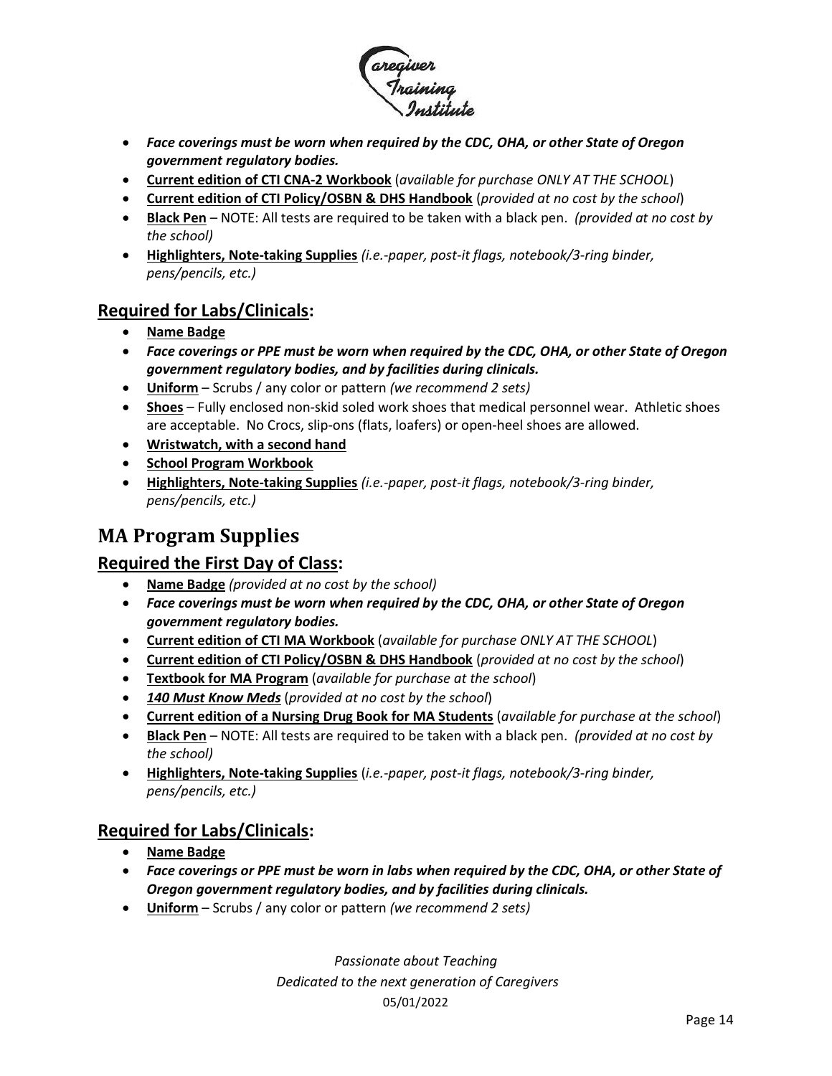

- *Face coverings must be worn when required by the CDC, OHA, or other State of Oregon government regulatory bodies.*
- **Current edition of CTI CNA-2 Workbook** (*available for purchase ONLY AT THE SCHOOL*)
- **Current edition of CTI Policy/OSBN & DHS Handbook** (*provided at no cost by the school*)
- **Black Pen** NOTE: All tests are required to be taken with a black pen. *(provided at no cost by the school)*
- **Highlighters, Note-taking Supplies** *(i.e.-paper, post-it flags, notebook/3-ring binder, pens/pencils, etc.)*

#### **Required for Labs/Clinicals:**

- **Name Badge**
- *Face coverings or PPE must be worn when required by the CDC, OHA, or other State of Oregon government regulatory bodies, and by facilities during clinicals.*
- **Uniform** Scrubs / any color or pattern *(we recommend 2 sets)*
- **Shoes** Fully enclosed non-skid soled work shoes that medical personnel wear. Athletic shoes are acceptable. No Crocs, slip-ons (flats, loafers) or open-heel shoes are allowed.
- **Wristwatch, with a second hand**
- **School Program Workbook**
- **Highlighters, Note-taking Supplies** *(i.e.-paper, post-it flags, notebook/3-ring binder, pens/pencils, etc.)*

#### <span id="page-13-0"></span>**MA Program Supplies**

#### **Required the First Day of Class:**

- **Name Badge** *(provided at no cost by the school)*
- *Face coverings must be worn when required by the CDC, OHA, or other State of Oregon government regulatory bodies.*
- **Current edition of CTI MA Workbook** (*available for purchase ONLY AT THE SCHOOL*)
- **Current edition of CTI Policy/OSBN & DHS Handbook** (*provided at no cost by the school*)
- **Textbook for MA Program** (*available for purchase at the school*)
- *140 Must Know Meds* (*provided at no cost by the school*)
- **Current edition of a Nursing Drug Book for MA Students** (*available for purchase at the school*)
- **Black Pen** NOTE: All tests are required to be taken with a black pen. *(provided at no cost by the school)*
- **Highlighters, Note-taking Supplies** (*i.e.-paper, post-it flags, notebook/3-ring binder, pens/pencils, etc.)*

#### **Required for Labs/Clinicals:**

- **Name Badge**
- *Face coverings or PPE must be worn in labs when required by the CDC, OHA, or other State of Oregon government regulatory bodies, and by facilities during clinicals.*
- **Uniform** Scrubs / any color or pattern *(we recommend 2 sets)*

*Passionate about Teaching*

#### *Dedicated to the next generation of Caregivers*

#### 05/01/2022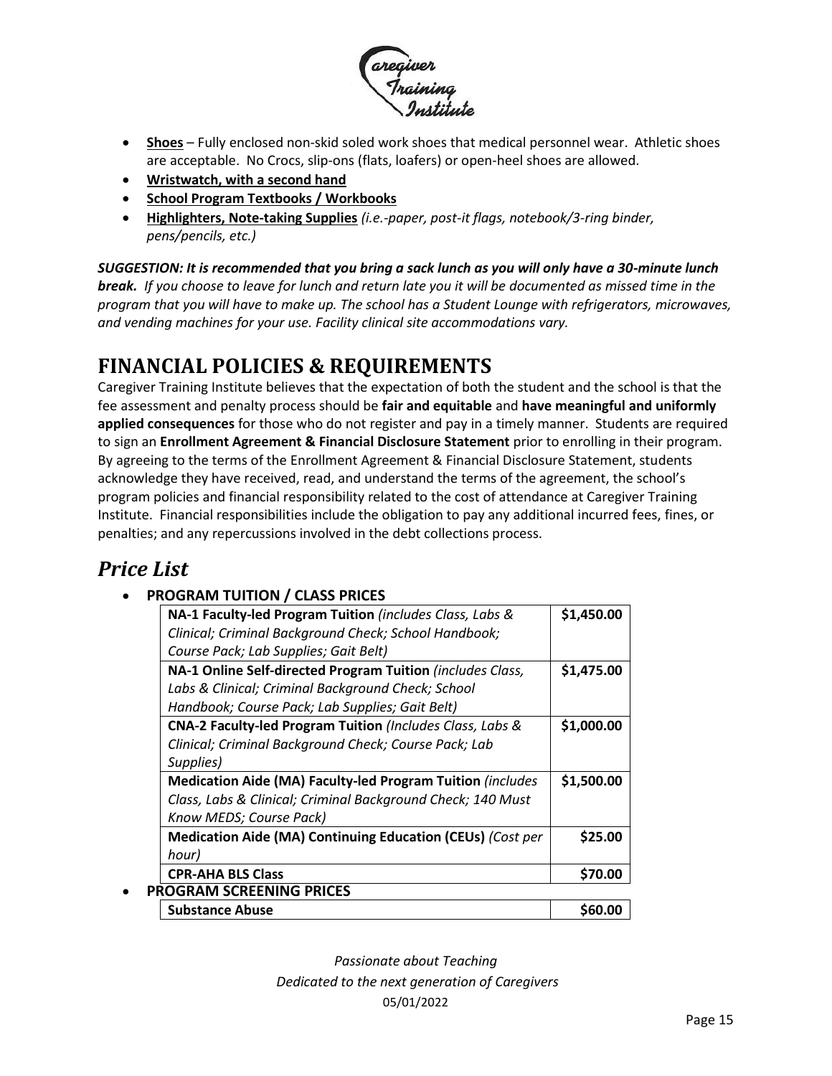

- **Shoes** Fully enclosed non-skid soled work shoes that medical personnel wear. Athletic shoes are acceptable. No Crocs, slip-ons (flats, loafers) or open-heel shoes are allowed.
- **Wristwatch, with a second hand**
- **School Program Textbooks / Workbooks**
- **Highlighters, Note-taking Supplies** *(i.e.-paper, post-it flags, notebook/3-ring binder, pens/pencils, etc.)*

*SUGGESTION: It is recommended that you bring a sack lunch as you will only have a 30-minute lunch break. If you choose to leave for lunch and return late you it will be documented as missed time in the program that you will have to make up. The school has a Student Lounge with refrigerators, microwaves, and vending machines for your use. Facility clinical site accommodations vary.*

# <span id="page-14-0"></span>**FINANCIAL POLICIES & REQUIREMENTS**

Caregiver Training Institute believes that the expectation of both the student and the school is that the fee assessment and penalty process should be **fair and equitable** and **have meaningful and uniformly applied consequences** for those who do not register and pay in a timely manner. Students are required to sign an **Enrollment Agreement & Financial Disclosure Statement** prior to enrolling in their program. By agreeing to the terms of the Enrollment Agreement & Financial Disclosure Statement, students acknowledge they have received, read, and understand the terms of the agreement, the school's program policies and financial responsibility related to the cost of attendance at Caregiver Training Institute. Financial responsibilities include the obligation to pay any additional incurred fees, fines, or penalties; and any repercussions involved in the debt collections process.

# <span id="page-14-1"></span>*Price List*

#### • **PROGRAM TUITION / CLASS PRICES**

| NA-1 Faculty-led Program Tuition (includes Class, Labs &    | \$1,450.00    |
|-------------------------------------------------------------|---------------|
| Clinical; Criminal Background Check; School Handbook;       |               |
| Course Pack; Lab Supplies; Gait Belt)                       |               |
| NA-1 Online Self-directed Program Tuition (includes Class,  | \$1,475.00    |
| Labs & Clinical; Criminal Background Check; School          |               |
| Handbook; Course Pack; Lab Supplies; Gait Belt)             |               |
| CNA-2 Faculty-led Program Tuition (Includes Class, Labs &   | \$1,000.00    |
| Clinical; Criminal Background Check; Course Pack; Lab       |               |
| Supplies)                                                   |               |
| Medication Aide (MA) Faculty-led Program Tuition (includes  | \$1,500.00    |
| Class, Labs & Clinical; Criminal Background Check; 140 Must |               |
| Know MEDS; Course Pack)                                     |               |
| Medication Aide (MA) Continuing Education (CEUs) (Cost per  | \$25.00       |
| hour)                                                       |               |
| <b>CPR-AHA BLS Class</b>                                    | \$70.00       |
| <b>PROGRAM SCREENING PRICES</b>                             |               |
| <b>Substance Abuse</b>                                      | <b>S60.00</b> |
|                                                             |               |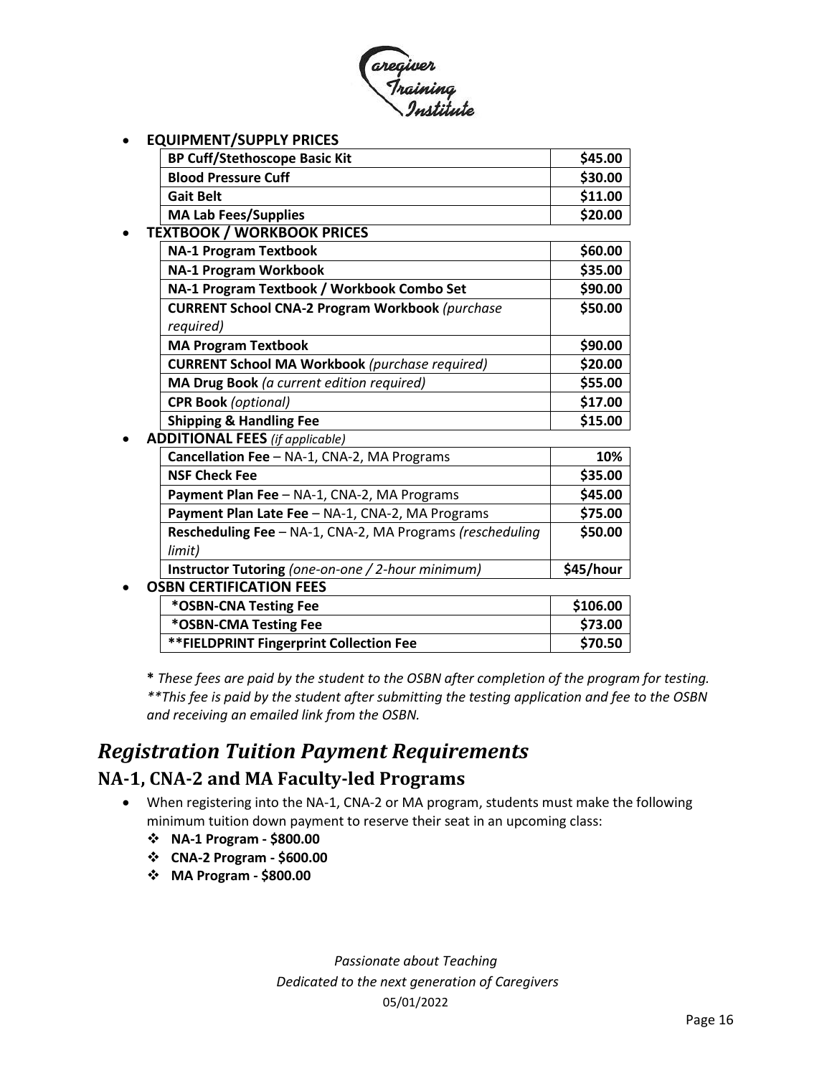

• **EQUIPMENT/SUPPLY PRICES**

| <b>BP Cuff/Stethoscope Basic Kit</b> | \$45.00 |
|--------------------------------------|---------|
| <b>Blood Pressure Cuff</b>           | \$30.00 |
| <b>Gait Belt</b>                     | \$11.00 |
| <b>MA Lab Fees/Supplies</b>          | \$20.00 |

• **TEXTBOOK / WORKBOOK PRICES**

| <b>NA-1 Program Textbook</b>                           | \$60.00 |
|--------------------------------------------------------|---------|
| <b>NA-1 Program Workbook</b>                           | \$35.00 |
| NA-1 Program Textbook / Workbook Combo Set             | \$90.00 |
| <b>CURRENT School CNA-2 Program Workbook (purchase</b> | \$50.00 |
| required)                                              |         |
| <b>MA Program Textbook</b>                             | \$90.00 |
| <b>CURRENT School MA Workbook</b> (purchase required)  | \$20.00 |
| MA Drug Book (a current edition required)              | \$55.00 |
| <b>CPR Book</b> (optional)                             | \$17.00 |
| <b>Shipping &amp; Handling Fee</b>                     | \$15.00 |

• **ADDITIONAL FEES** *(if applicable)* 

| Cancellation Fee - NA-1, CNA-2, MA Programs               | 10%       |
|-----------------------------------------------------------|-----------|
| <b>NSF Check Fee</b>                                      | \$35.00   |
| Payment Plan Fee - NA-1, CNA-2, MA Programs               | \$45.00   |
| Payment Plan Late Fee - NA-1, CNA-2, MA Programs          | \$75.00   |
| Rescheduling Fee - NA-1, CNA-2, MA Programs (rescheduling | \$50.00   |
| limit)                                                    |           |
| <b>Instructor Tutoring</b> (one-on-one / 2-hour minimum)  | \$45/hour |
|                                                           |           |

#### • **OSBN CERTIFICATION FEES**

| *OSBN-CNA Testing Fee                   | \$106.00 |
|-----------------------------------------|----------|
| *OSBN-CMA Testing Fee                   | \$73.00  |
| **FIELDPRINT Fingerprint Collection Fee | \$70.50  |

**\*** *These fees are paid by the student to the OSBN after completion of the program for testing. \*\*This fee is paid by the student after submitting the testing application and fee to the OSBN and receiving an emailed link from the OSBN.*

### <span id="page-15-0"></span>*Registration Tuition Payment Requirements*

#### <span id="page-15-1"></span>**NA-1, CNA-2 and MA Faculty-led Programs**

- When registering into the NA-1, CNA-2 or MA program, students must make the following minimum tuition down payment to reserve their seat in an upcoming class:
	- ❖ **NA-1 Program - \$800.00**
	- ❖ **CNA-2 Program - \$600.00**
	- ❖ **MA Program - \$800.00**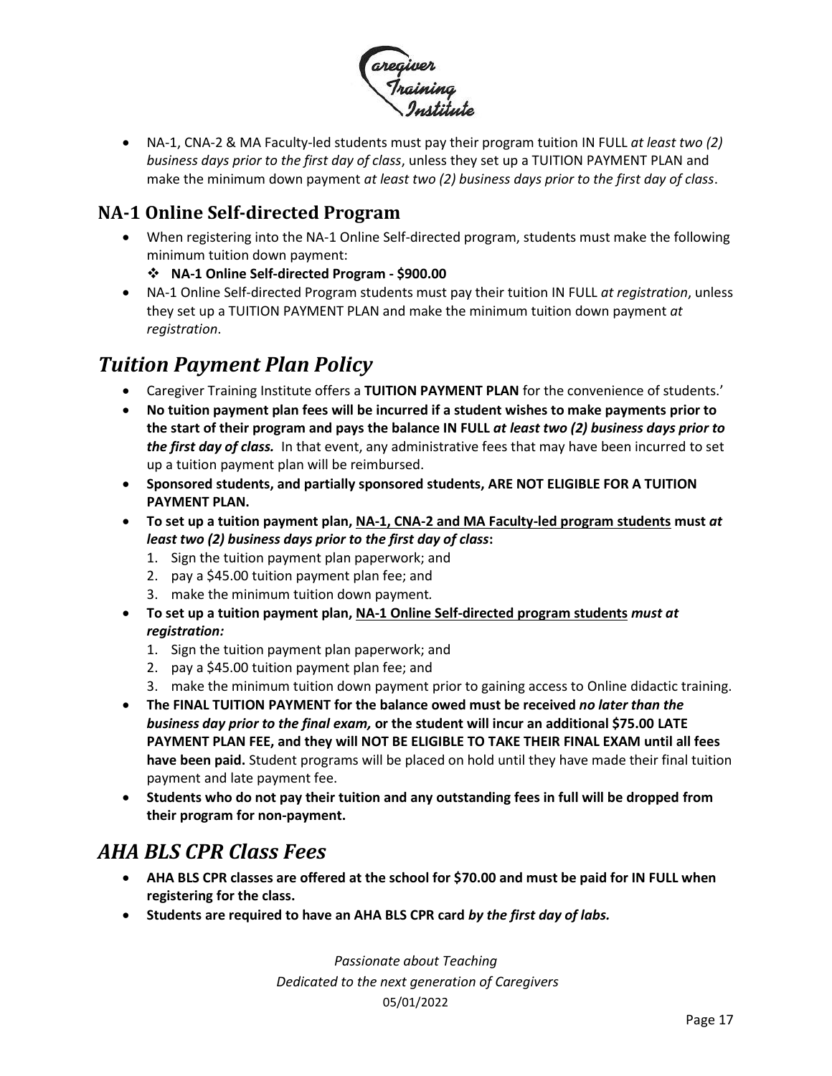

• NA-1, CNA-2 & MA Faculty-led students must pay their program tuition IN FULL *at least two (2) business days prior to the first day of class*, unless they set up a TUITION PAYMENT PLAN and make the minimum down payment *at least two (2) business days prior to the first day of class*.

#### <span id="page-16-0"></span>**NA-1 Online Self-directed Program**

• When registering into the NA-1 Online Self-directed program, students must make the following minimum tuition down payment:

❖ **NA-1 Online Self-directed Program - \$900.00** 

• NA-1 Online Self-directed Program students must pay their tuition IN FULL *at registration*, unless they set up a TUITION PAYMENT PLAN and make the minimum tuition down payment *at registration*.

# <span id="page-16-1"></span>*Tuition Payment Plan Policy*

- Caregiver Training Institute offers a **TUITION PAYMENT PLAN** for the convenience of students.'
- **No tuition payment plan fees will be incurred if a student wishes to make payments prior to the start of their program and pays the balance IN FULL** *at least two (2) business days prior to the first day of class.* In that event, any administrative fees that may have been incurred to set up a tuition payment plan will be reimbursed.
- **Sponsored students, and partially sponsored students, ARE NOT ELIGIBLE FOR A TUITION PAYMENT PLAN.**
- **To set up a tuition payment plan, NA-1, CNA-2 and MA Faculty-led program students must** *at least two (2) business days prior to the first day of class***:**
	- 1. Sign the tuition payment plan paperwork; and
	- 2. pay a \$45.00 tuition payment plan fee; and
	- 3. make the minimum tuition down payment*.*
- **To set up a tuition payment plan, NA-1 Online Self-directed program students** *must at registration:*
	- 1. Sign the tuition payment plan paperwork; and
	- 2. pay a \$45.00 tuition payment plan fee; and
	- 3. make the minimum tuition down payment prior to gaining access to Online didactic training.
- **The FINAL TUITION PAYMENT for the balance owed must be received** *no later than the business day prior to the final exam,* **or the student will incur an additional \$75.00 LATE PAYMENT PLAN FEE, and they will NOT BE ELIGIBLE TO TAKE THEIR FINAL EXAM until all fees have been paid.** Student programs will be placed on hold until they have made their final tuition payment and late payment fee.
- **Students who do not pay their tuition and any outstanding fees in full will be dropped from their program for non-payment.**

## <span id="page-16-2"></span>*AHA BLS CPR Class Fees*

- **AHA BLS CPR classes are offered at the school for \$70.00 and must be paid for IN FULL when registering for the class.**
- **Students are required to have an AHA BLS CPR card** *by the first day of labs.*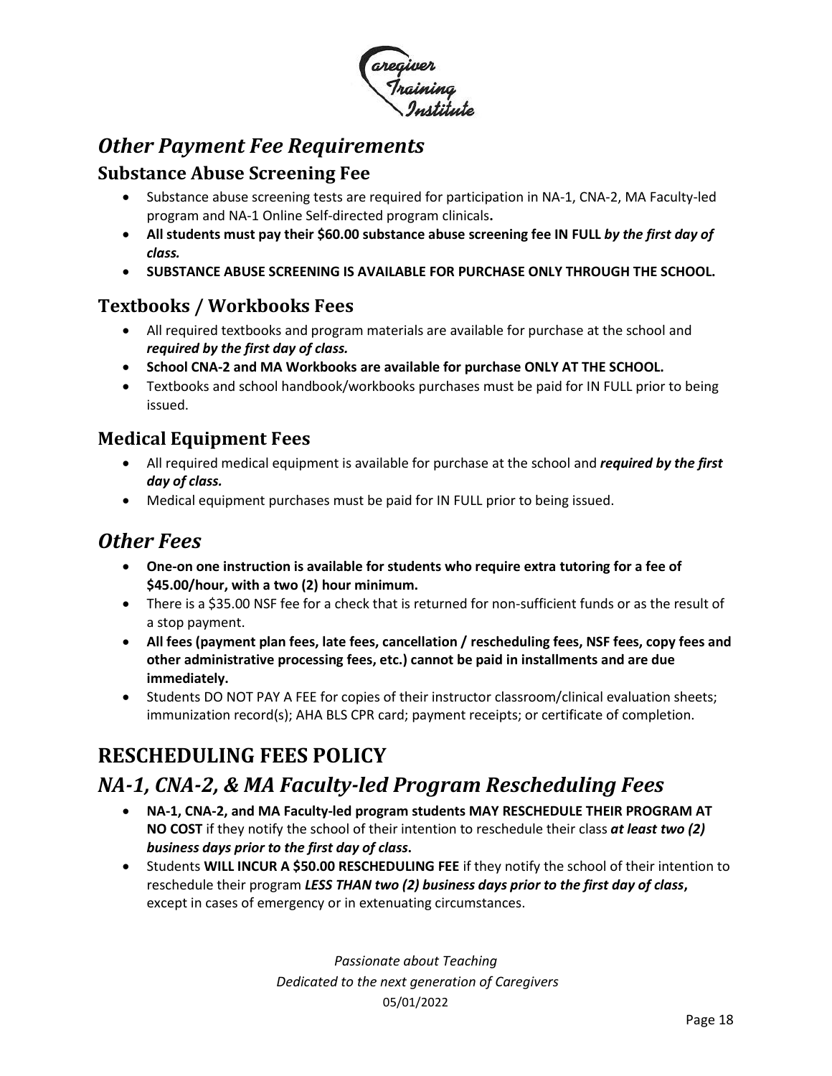

### <span id="page-17-0"></span>*Other Payment Fee Requirements*

#### <span id="page-17-1"></span>**Substance Abuse Screening Fee**

- Substance abuse screening tests are required for participation in NA-1, CNA-2, MA Faculty-led program and NA-1 Online Self-directed program clinicals**.**
- **All students must pay their \$60.00 substance abuse screening fee IN FULL** *by the first day of class.*
- **SUBSTANCE ABUSE SCREENING IS AVAILABLE FOR PURCHASE ONLY THROUGH THE SCHOOL.**

#### <span id="page-17-2"></span>**Textbooks / Workbooks Fees**

- All required textbooks and program materials are available for purchase at the school and *required by the first day of class.*
- **School CNA-2 and MA Workbooks are available for purchase ONLY AT THE SCHOOL.**
- Textbooks and school handbook/workbooks purchases must be paid for IN FULL prior to being issued.

#### <span id="page-17-3"></span>**Medical Equipment Fees**

- All required medical equipment is available for purchase at the school and *required by the first day of class.*
- Medical equipment purchases must be paid for IN FULL prior to being issued.

#### <span id="page-17-4"></span>*Other Fees*

- **One-on one instruction is available for students who require extra tutoring for a fee of \$45.00/hour, with a two (2) hour minimum.**
- There is a \$35.00 NSF fee for a check that is returned for non-sufficient funds or as the result of a stop payment.
- **All fees (payment plan fees, late fees, cancellation / rescheduling fees, NSF fees, copy fees and other administrative processing fees, etc.) cannot be paid in installments and are due immediately.**
- Students DO NOT PAY A FEE for copies of their instructor classroom/clinical evaluation sheets; immunization record(s); AHA BLS CPR card; payment receipts; or certificate of completion.

# <span id="page-17-5"></span>**RESCHEDULING FEES POLICY**

## <span id="page-17-6"></span>*NA-1, CNA-2, & MA Faculty-led Program Rescheduling Fees*

- **NA-1, CNA-2, and MA Faculty-led program students MAY RESCHEDULE THEIR PROGRAM AT NO COST** if they notify the school of their intention to reschedule their class *at least two (2) business days prior to the first day of class***.**
- Students **WILL INCUR A \$50.00 RESCHEDULING FEE** if they notify the school of their intention to reschedule their program *LESS THAN two (2) business days prior to the first day of class***,** except in cases of emergency or in extenuating circumstances.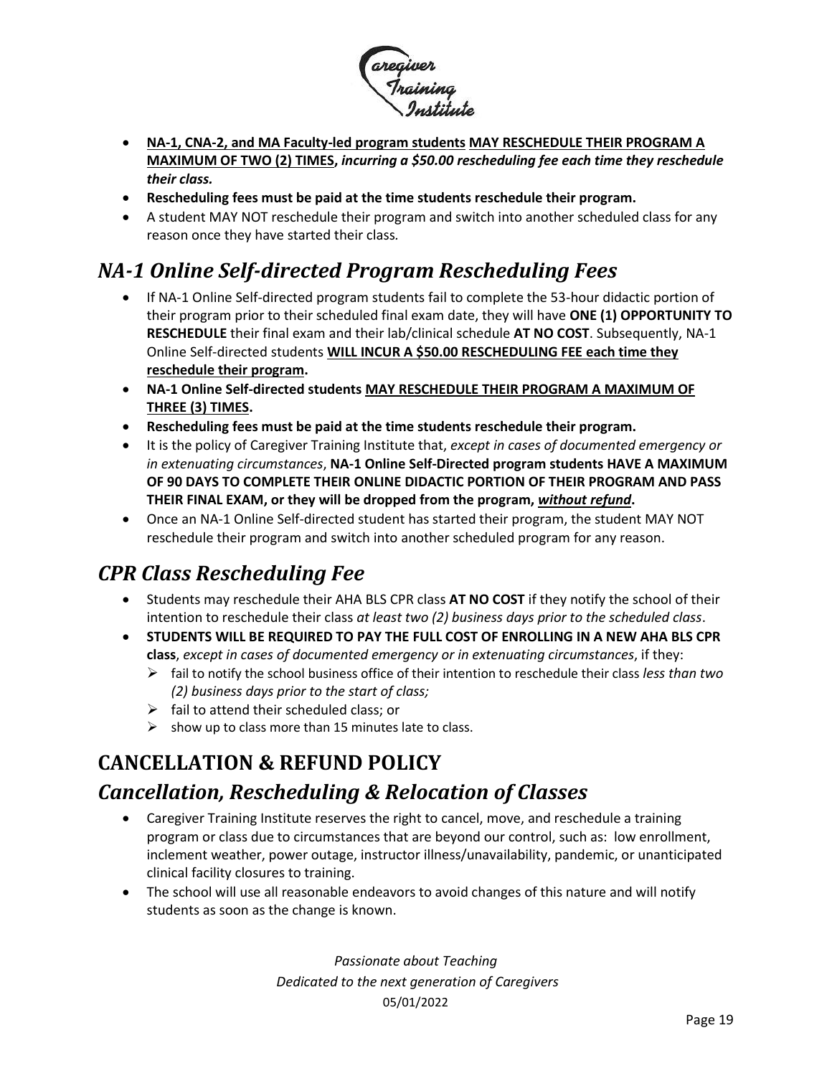

- **NA-1, CNA-2, and MA Faculty-led program students MAY RESCHEDULE THEIR PROGRAM A MAXIMUM OF TWO (2) TIMES,** *incurring a \$50.00 rescheduling fee each time they reschedule their class.*
- **Rescheduling fees must be paid at the time students reschedule their program.**
- A student MAY NOT reschedule their program and switch into another scheduled class for any reason once they have started their class*.*

# <span id="page-18-0"></span>*NA-1 Online Self-directed Program Rescheduling Fees*

- If NA-1 Online Self-directed program students fail to complete the 53-hour didactic portion of their program prior to their scheduled final exam date, they will have **ONE (1) OPPORTUNITY TO RESCHEDULE** their final exam and their lab/clinical schedule **AT NO COST**. Subsequently, NA-1 Online Self-directed students **WILL INCUR A \$50.00 RESCHEDULING FEE each time they reschedule their program.**
- **NA-1 Online Self-directed students MAY RESCHEDULE THEIR PROGRAM A MAXIMUM OF THREE (3) TIMES.**
- **Rescheduling fees must be paid at the time students reschedule their program.**
- It is the policy of Caregiver Training Institute that, *except in cases of documented emergency or in extenuating circumstances*, **NA-1 Online Self-Directed program students HAVE A MAXIMUM OF 90 DAYS TO COMPLETE THEIR ONLINE DIDACTIC PORTION OF THEIR PROGRAM AND PASS THEIR FINAL EXAM, or they will be dropped from the program,** *without refund***.**
- Once an NA-1 Online Self-directed student has started their program, the student MAY NOT reschedule their program and switch into another scheduled program for any reason.

## <span id="page-18-1"></span>*CPR Class Rescheduling Fee*

- Students may reschedule their AHA BLS CPR class **AT NO COST** if they notify the school of their intention to reschedule their class *at least two (2) business days prior to the scheduled class*.
- **STUDENTS WILL BE REQUIRED TO PAY THE FULL COST OF ENROLLING IN A NEW AHA BLS CPR class**, *except in cases of documented emergency or in extenuating circumstances*, if they:
	- ➢ fail to notify the school business office of their intention to reschedule their class *less than two (2) business days prior to the start of class;*
	- $\triangleright$  fail to attend their scheduled class; or
	- $\triangleright$  show up to class more than 15 minutes late to class.

## <span id="page-18-2"></span>**CANCELLATION & REFUND POLICY**

## <span id="page-18-3"></span>*Cancellation, Rescheduling & Relocation of Classes*

- Caregiver Training Institute reserves the right to cancel, move, and reschedule a training program or class due to circumstances that are beyond our control, such as: low enrollment, inclement weather, power outage, instructor illness/unavailability, pandemic, or unanticipated clinical facility closures to training.
- The school will use all reasonable endeavors to avoid changes of this nature and will notify students as soon as the change is known.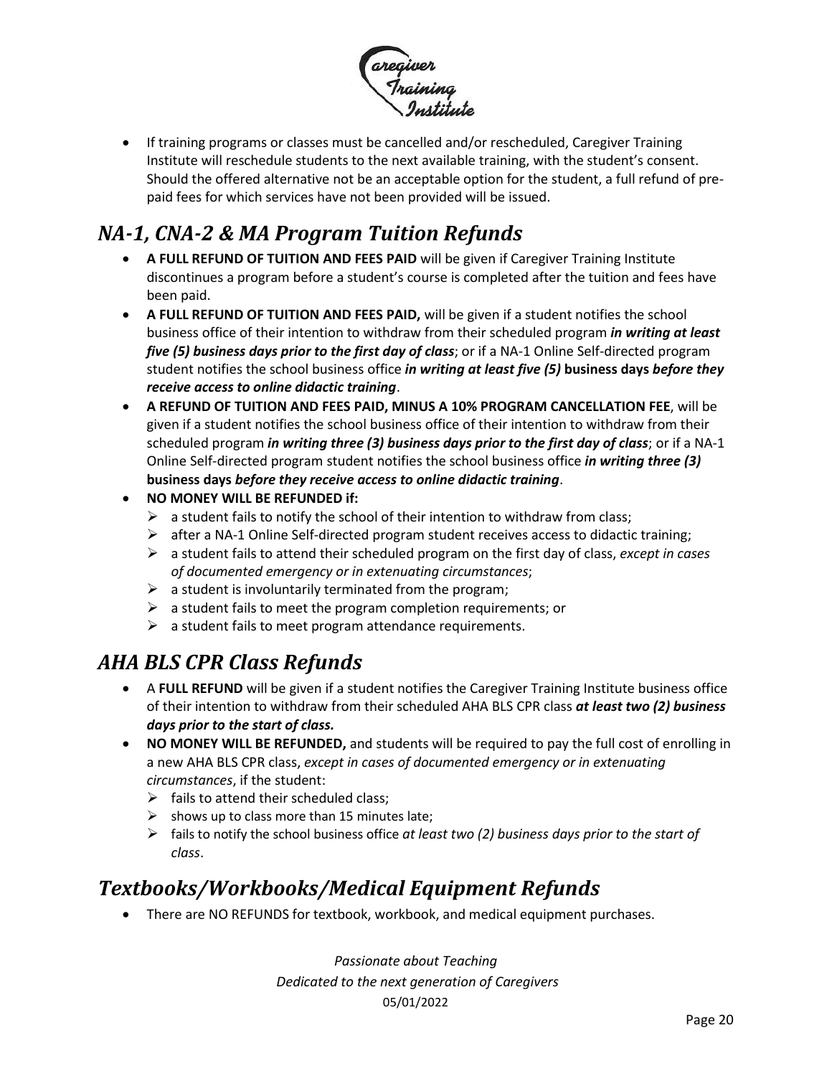

• If training programs or classes must be cancelled and/or rescheduled, Caregiver Training Institute will reschedule students to the next available training, with the student's consent. Should the offered alternative not be an acceptable option for the student, a full refund of prepaid fees for which services have not been provided will be issued.

# <span id="page-19-0"></span>*NA-1, CNA-2 & MA Program Tuition Refunds*

- **A FULL REFUND OF TUITION AND FEES PAID** will be given if Caregiver Training Institute discontinues a program before a student's course is completed after the tuition and fees have been paid.
- **A FULL REFUND OF TUITION AND FEES PAID,** will be given if a student notifies the school business office of their intention to withdraw from their scheduled program *in writing at least five (5) business days prior to the first day of class*; or if a NA-1 Online Self-directed program student notifies the school business office *in writing at least five (5)* **business days** *before they receive access to online didactic training*.
- **A REFUND OF TUITION AND FEES PAID, MINUS A 10% PROGRAM CANCELLATION FEE**, will be given if a student notifies the school business office of their intention to withdraw from their scheduled program *in writing three (3) business days prior to the first day of class*; or if a NA-1 Online Self-directed program student notifies the school business office *in writing three (3)* **business days** *before they receive access to online didactic training*.
- **NO MONEY WILL BE REFUNDED if:**
	- $\triangleright$  a student fails to notify the school of their intention to withdraw from class;
	- $\triangleright$  after a NA-1 Online Self-directed program student receives access to didactic training;
	- ➢ a student fails to attend their scheduled program on the first day of class, *except in cases of documented emergency or in extenuating circumstances*;
	- $\triangleright$  a student is involuntarily terminated from the program;
	- $\triangleright$  a student fails to meet the program completion requirements; or
	- $\triangleright$  a student fails to meet program attendance requirements.

## <span id="page-19-1"></span>*AHA BLS CPR Class Refunds*

- A **FULL REFUND** will be given if a student notifies the Caregiver Training Institute business office of their intention to withdraw from their scheduled AHA BLS CPR class *at least two (2) business days prior to the start of class.*
- **NO MONEY WILL BE REFUNDED,** and students will be required to pay the full cost of enrolling in a new AHA BLS CPR class, *except in cases of documented emergency or in extenuating circumstances*, if the student:
	- $\triangleright$  fails to attend their scheduled class;
	- $\triangleright$  shows up to class more than 15 minutes late:
	- ➢ fails to notify the school business office *at least two (2) business days prior to the start of class*.

## <span id="page-19-2"></span>*Textbooks/Workbooks/Medical Equipment Refunds*

• There are NO REFUNDS for textbook, workbook, and medical equipment purchases.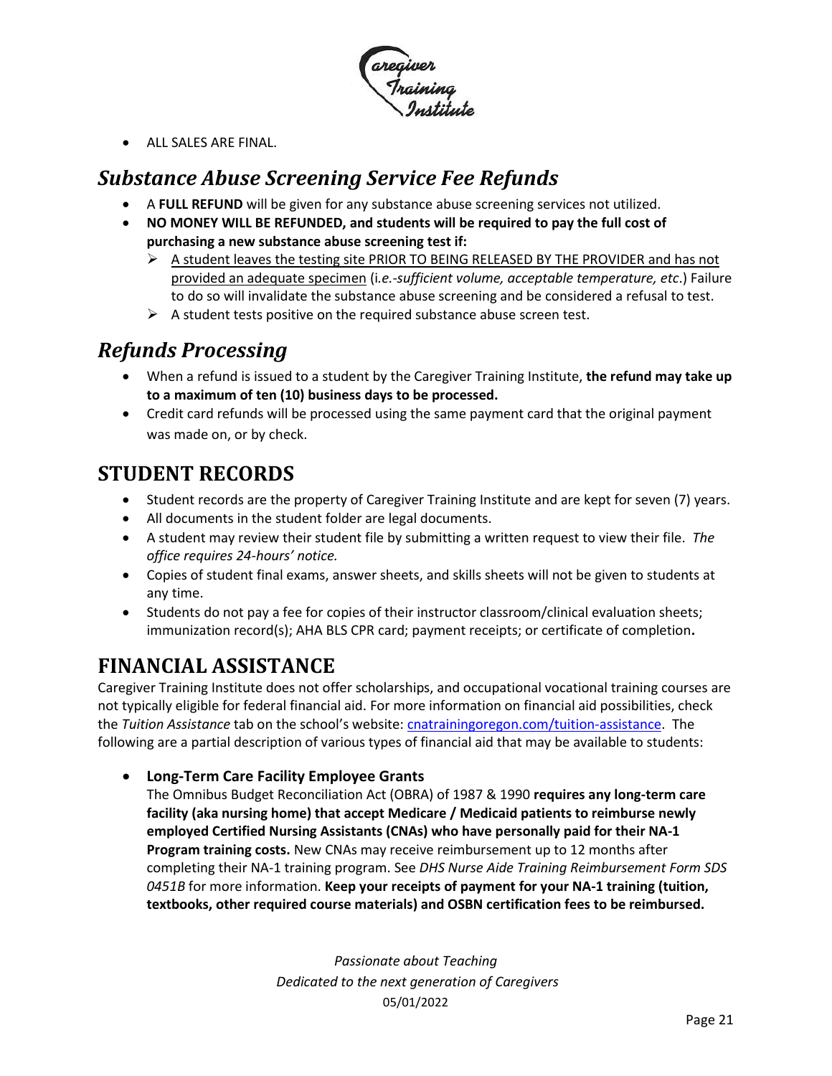

• ALL SALES ARE FINAL.

### <span id="page-20-0"></span>*Substance Abuse Screening Service Fee Refunds*

- A **FULL REFUND** will be given for any substance abuse screening services not utilized.
- **NO MONEY WILL BE REFUNDED, and students will be required to pay the full cost of purchasing a new substance abuse screening test if:**
	- ➢ A student leaves the testing site PRIOR TO BEING RELEASED BY THE PROVIDER and has not provided an adequate specimen (i*.e.-sufficient volume, acceptable temperature, etc*.) Failure to do so will invalidate the substance abuse screening and be considered a refusal to test.
	- $\triangleright$  A student tests positive on the required substance abuse screen test.

# <span id="page-20-1"></span>*Refunds Processing*

- When a refund is issued to a student by the Caregiver Training Institute, **the refund may take up to a maximum of ten (10) business days to be processed.**
- Credit card refunds will be processed using the same payment card that the original payment was made on, or by check.

### <span id="page-20-2"></span>**STUDENT RECORDS**

- Student records are the property of Caregiver Training Institute and are kept for seven (7) years.
- All documents in the student folder are legal documents.
- A student may review their student file by submitting a written request to view their file. *The office requires 24-hours' notice.*
- Copies of student final exams, answer sheets, and skills sheets will not be given to students at any time.
- Students do not pay a fee for copies of their instructor classroom/clinical evaluation sheets; immunization record(s); AHA BLS CPR card; payment receipts; or certificate of completion**.**

## <span id="page-20-3"></span>**FINANCIAL ASSISTANCE**

Caregiver Training Institute does not offer scholarships, and occupational vocational training courses are not typically eligible for federal financial aid. For more information on financial aid possibilities, check the *Tuition Assistance* tab on the school's website: [cnatrainingoregon.com/tuition-assistance.](https://cnatrainingoregon.com/tuition-assistance/) The following are a partial description of various types of financial aid that may be available to students:

#### • **Long-Term Care Facility Employee Grants**

The Omnibus Budget Reconciliation Act (OBRA) of 1987 & 1990 **requires any long-term care facility (aka nursing home) that accept Medicare / Medicaid patients to reimburse newly employed Certified Nursing Assistants (CNAs) who have personally paid for their NA-1 Program training costs.** New CNAs may receive reimbursement up to 12 months after completing their NA-1 training program. See *DHS Nurse Aide Training Reimbursement Form SDS 0451B* for more information. **Keep your receipts of payment for your NA-1 training (tuition, textbooks, other required course materials) and OSBN certification fees to be reimbursed.**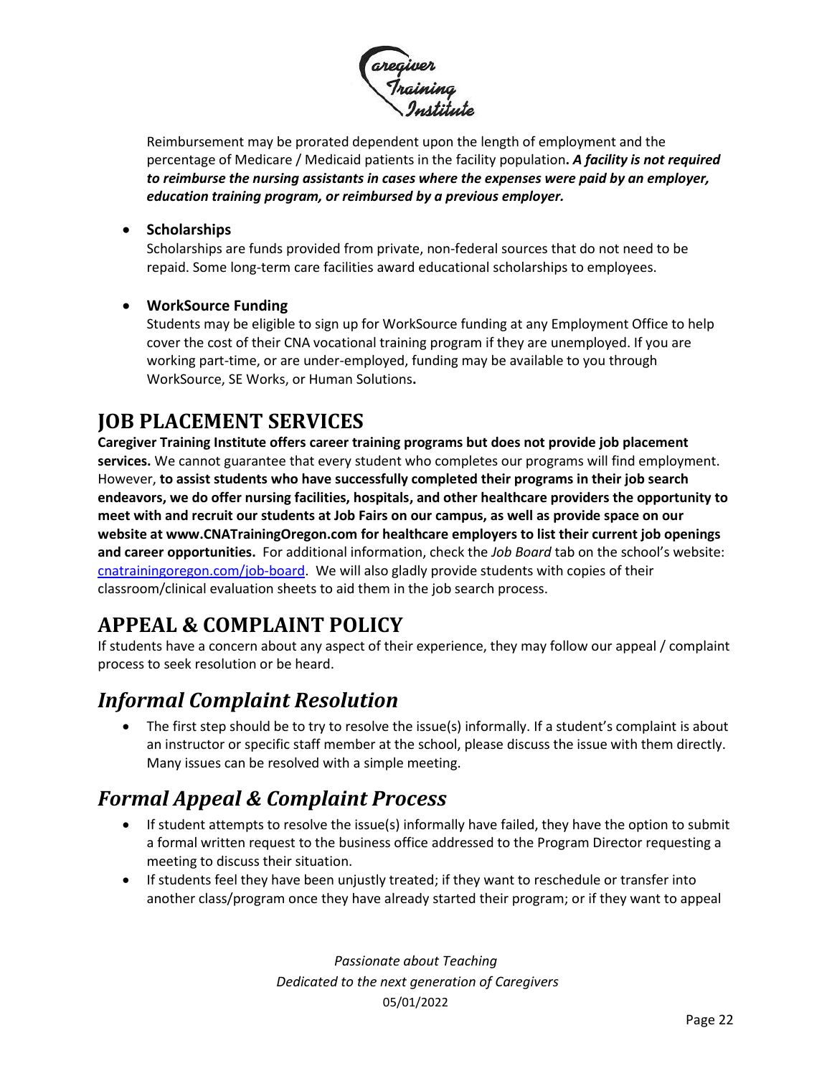

Reimbursement may be prorated dependent upon the length of employment and the percentage of Medicare / Medicaid patients in the facility population**.** *A facility is not required to reimburse the nursing assistants in cases where the expenses were paid by an employer, education training program, or reimbursed by a previous employer.* 

#### • **Scholarships**

Scholarships are funds provided from private, non-federal sources that do not need to be repaid. Some long-term care facilities award educational scholarships to employees.

#### • **WorkSource Funding**

Students may be eligible to sign up for WorkSource funding at any Employment Office to help cover the cost of their CNA vocational training program if they are unemployed. If you are working part-time, or are under-employed, funding may be available to you through WorkSource, SE Works, or Human Solutions**.**

### <span id="page-21-0"></span>**JOB PLACEMENT SERVICES**

**Caregiver Training Institute offers career training programs but does not provide job placement services.** We cannot guarantee that every student who completes our programs will find employment. However, **to assist students who have successfully completed their programs in their job search endeavors, we do offer nursing facilities, hospitals, and other healthcare providers the opportunity to meet with and recruit our students at Job Fairs on our campus, as well as provide space on our website at [www.CNATrainingOregon.com](http://www.cnatrainingoregon.com/) for healthcare employers to list their current job openings and career opportunities.** For additional information, check the *Job Board* tab on the school's website: [cnatrainingoregon.com/job-board.](https://cnatrainingoregon.com/job-board/) We will also gladly provide students with copies of their classroom/clinical evaluation sheets to aid them in the job search process.

# <span id="page-21-1"></span>**APPEAL & COMPLAINT POLICY**

If students have a concern about any aspect of their experience, they may follow our appeal / complaint process to seek resolution or be heard.

## <span id="page-21-2"></span>*Informal Complaint Resolution*

• The first step should be to try to resolve the issue(s) informally. If a student's complaint is about an instructor or specific staff member at the school, please discuss the issue with them directly. Many issues can be resolved with a simple meeting.

## <span id="page-21-3"></span>*Formal Appeal & Complaint Process*

- If student attempts to resolve the issue(s) informally have failed, they have the option to submit a formal written request to the business office addressed to the Program Director requesting a meeting to discuss their situation.
- If students feel they have been unjustly treated; if they want to reschedule or transfer into another class/program once they have already started their program; or if they want to appeal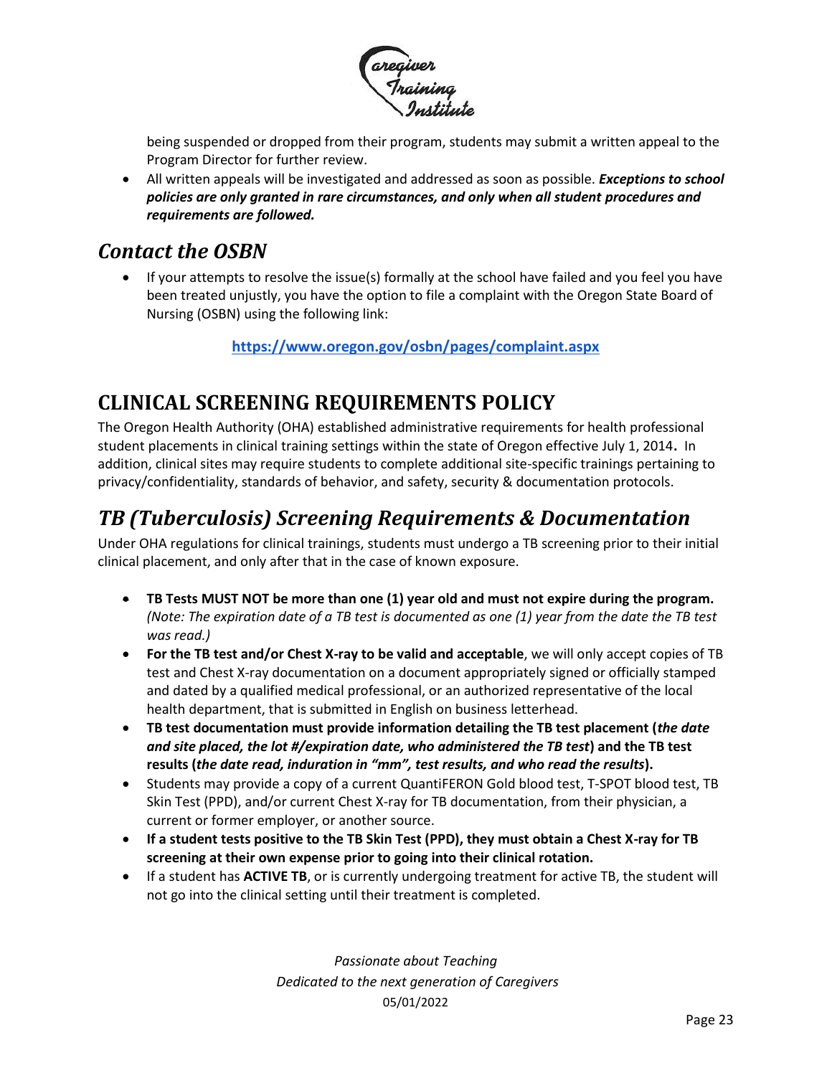

being suspended or dropped from their program, students may submit a written appeal to the Program Director for further review.

• All written appeals will be investigated and addressed as soon as possible. *Exceptions to school policies are only granted in rare circumstances, and only when all student procedures and requirements are followed.*

### <span id="page-22-0"></span>*Contact the OSBN*

• If your attempts to resolve the issue(s) formally at the school have failed and you feel you have been treated unjustly, you have the option to file a complaint with the Oregon State Board of Nursing (OSBN) using the following link:

**<https://www.oregon.gov/osbn/pages/complaint.aspx>**

# <span id="page-22-1"></span>**CLINICAL SCREENING REQUIREMENTS POLICY**

The Oregon Health Authority (OHA) established administrative requirements for health professional student placements in clinical training settings within the state of Oregon effective July 1, 2014**.** In addition, clinical sites may require students to complete additional site-specific trainings pertaining to privacy/confidentiality, standards of behavior, and safety, security & documentation protocols.

# <span id="page-22-2"></span>*TB (Tuberculosis) Screening Requirements & Documentation*

Under OHA regulations for clinical trainings, students must undergo a TB screening prior to their initial clinical placement, and only after that in the case of known exposure.

- **TB Tests MUST NOT be more than one (1) year old and must not expire during the program.**  *(Note: The expiration date of a TB test is documented as one (1) year from the date the TB test was read.)*
- **For the TB test and/or Chest X-ray to be valid and acceptable**, we will only accept copies of TB test and Chest X-ray documentation on a document appropriately signed or officially stamped and dated by a qualified medical professional, or an authorized representative of the local health department, that is submitted in English on business letterhead.
- **TB test documentation must provide information detailing the TB test placement (***the date and site placed, the lot #/expiration date, who administered the TB test***) and the TB test results (***the date read, induration in "mm", test results, and who read the results***).**
- Students may provide a copy of a current QuantiFERON Gold blood test, T-SPOT blood test, TB Skin Test (PPD), and/or current Chest X-ray for TB documentation, from their physician, a current or former employer, or another source.
- **If a student tests positive to the TB Skin Test (PPD), they must obtain a Chest X-ray for TB screening at their own expense prior to going into their clinical rotation.**
- If a student has **ACTIVE TB**, or is currently undergoing treatment for active TB, the student will not go into the clinical setting until their treatment is completed.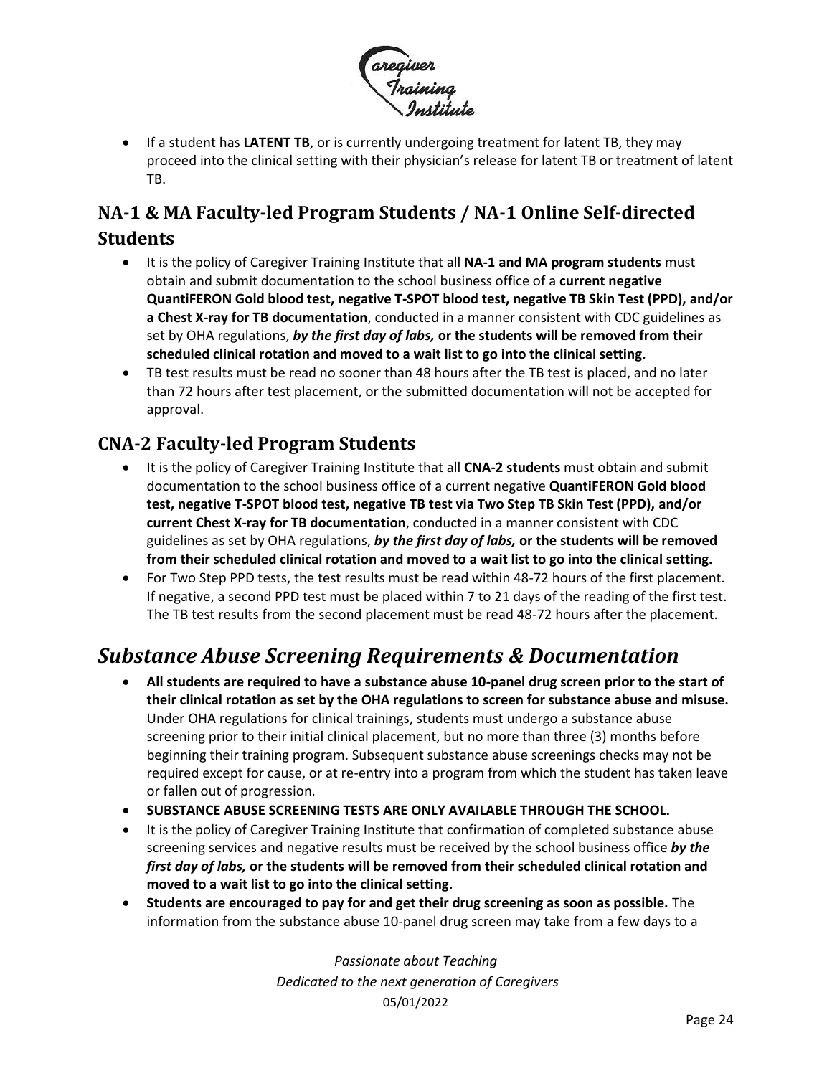

• If a student has **LATENT TB**, or is currently undergoing treatment for latent TB, they may proceed into the clinical setting with their physician's release for latent TB or treatment of latent TB.

### <span id="page-23-0"></span>**NA-1 & MA Faculty-led Program Students / NA-1 Online Self-directed Students**

- It is the policy of Caregiver Training Institute that all **NA-1 and MA program students** must obtain and submit documentation to the school business office of a **current negative QuantiFERON Gold blood test, negative T-SPOT blood test, negative TB Skin Test (PPD), and/or a Chest X-ray for TB documentation**, conducted in a manner consistent with CDC guidelines as set by OHA regulations, *by the first day of labs,* **or the students will be removed from their scheduled clinical rotation and moved to a wait list to go into the clinical setting.**
- TB test results must be read no sooner than 48 hours after the TB test is placed, and no later than 72 hours after test placement, or the submitted documentation will not be accepted for approval.

#### <span id="page-23-1"></span>**CNA-2 Faculty-led Program Students**

- It is the policy of Caregiver Training Institute that all **CNA-2 students** must obtain and submit documentation to the school business office of a current negative **QuantiFERON Gold blood test, negative T-SPOT blood test, negative TB test via Two Step TB Skin Test (PPD), and/or current Chest X-ray for TB documentation**, conducted in a manner consistent with CDC guidelines as set by OHA regulations, *by the first day of labs,* **or the students will be removed from their scheduled clinical rotation and moved to a wait list to go into the clinical setting.**
- For Two Step PPD tests, the test results must be read within 48-72 hours of the first placement. If negative, a second PPD test must be placed within 7 to 21 days of the reading of the first test. The TB test results from the second placement must be read 48-72 hours after the placement.

## <span id="page-23-2"></span>*Substance Abuse Screening Requirements & Documentation*

- **All students are required to have a substance abuse 10-panel drug screen prior to the start of their clinical rotation as set by the OHA regulations to screen for substance abuse and misuse.** Under OHA regulations for clinical trainings, students must undergo a substance abuse screening prior to their initial clinical placement, but no more than three (3) months before beginning their training program. Subsequent substance abuse screenings checks may not be required except for cause, or at re-entry into a program from which the student has taken leave or fallen out of progression.
- **SUBSTANCE ABUSE SCREENING TESTS ARE ONLY AVAILABLE THROUGH THE SCHOOL.**
- It is the policy of Caregiver Training Institute that confirmation of completed substance abuse screening services and negative results must be received by the school business office *by the first day of labs,* **or the students will be removed from their scheduled clinical rotation and moved to a wait list to go into the clinical setting.**
- **Students are encouraged to pay for and get their drug screening as soon as possible.** The information from the substance abuse 10-panel drug screen may take from a few days to a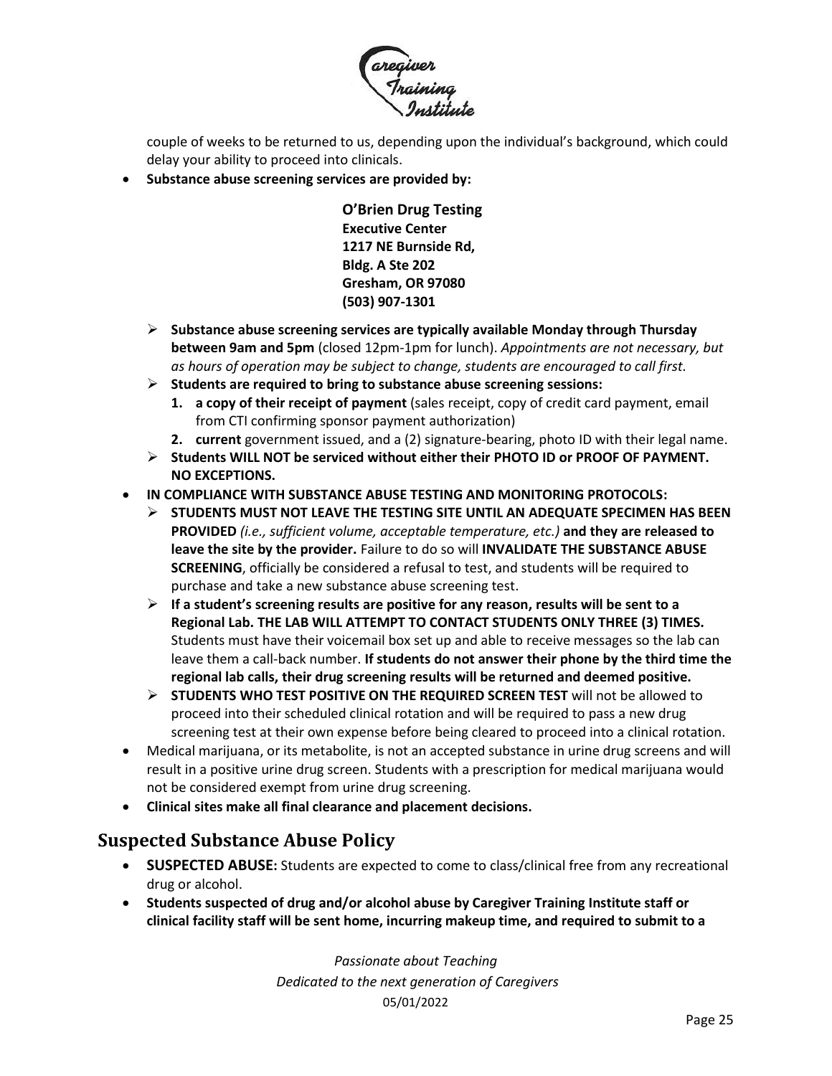

couple of weeks to be returned to us, depending upon the individual's background, which could delay your ability to proceed into clinicals.

• **Substance abuse screening services are provided by:**

**O'Brien Drug Testing Executive Center 1217 NE Burnside Rd, Bldg. A Ste 202 Gresham, OR 97080 (503) 907-1301** ľ

- ➢ **Substance abuse screening services are typically available Monday through Thursday between 9am and 5pm** (closed 12pm-1pm for lunch). *Appointments are not necessary, but as hours of operation may be subject to change, students are encouraged to call first.*
- ➢ **Students are required to bring to substance abuse screening sessions:** 
	- **1. a copy of their receipt of payment** (sales receipt, copy of credit card payment, email from CTI confirming sponsor payment authorization)
	- **2. current** government issued, and a (2) signature-bearing, photo ID with their legal name.
- ➢ **Students WILL NOT be serviced without either their PHOTO ID or PROOF OF PAYMENT. NO EXCEPTIONS.**
- **IN COMPLIANCE WITH SUBSTANCE ABUSE TESTING AND MONITORING PROTOCOLS:**
	- ➢ **STUDENTS MUST NOT LEAVE THE TESTING SITE UNTIL AN ADEQUATE SPECIMEN HAS BEEN PROVIDED** *(i.e., sufficient volume, acceptable temperature, etc.)* **and they are released to leave the site by the provider.** Failure to do so will **INVALIDATE THE SUBSTANCE ABUSE SCREENING**, officially be considered a refusal to test, and students will be required to purchase and take a new substance abuse screening test.
	- ➢ **If a student's screening results are positive for any reason, results will be sent to a Regional Lab. THE LAB WILL ATTEMPT TO CONTACT STUDENTS ONLY THREE (3) TIMES.** Students must have their voicemail box set up and able to receive messages so the lab can leave them a call-back number. **If students do not answer their phone by the third time the regional lab calls, their drug screening results will be returned and deemed positive.**
	- ➢ **STUDENTS WHO TEST POSITIVE ON THE REQUIRED SCREEN TEST** will not be allowed to proceed into their scheduled clinical rotation and will be required to pass a new drug screening test at their own expense before being cleared to proceed into a clinical rotation.
- Medical marijuana, or its metabolite, is not an accepted substance in urine drug screens and will result in a positive urine drug screen. Students with a prescription for medical marijuana would not be considered exempt from urine drug screening.
- **Clinical sites make all final clearance and placement decisions.**

#### <span id="page-24-0"></span>**Suspected Substance Abuse Policy**

- **SUSPECTED ABUSE:** Students are expected to come to class/clinical free from any recreational drug or alcohol.
- **Students suspected of drug and/or alcohol abuse by Caregiver Training Institute staff or clinical facility staff will be sent home, incurring makeup time, and required to submit to a**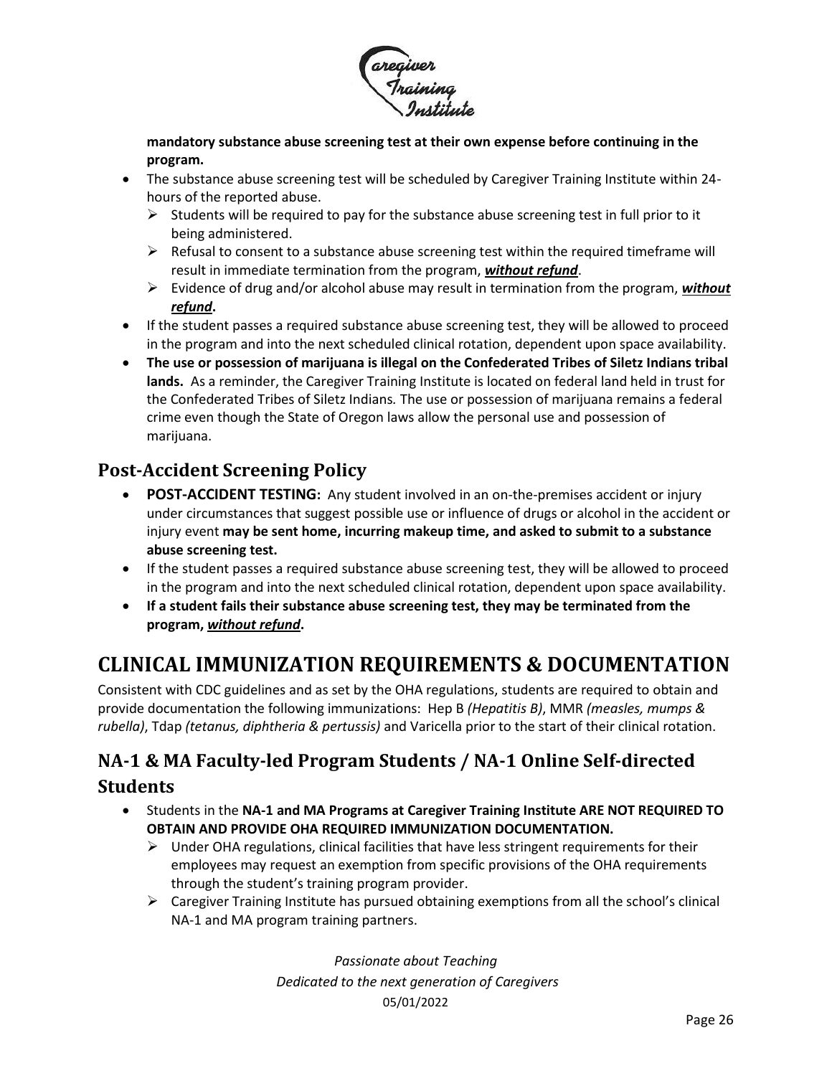

**mandatory substance abuse screening test at their own expense before continuing in the program.**

- The substance abuse screening test will be scheduled by Caregiver Training Institute within 24 hours of the reported abuse.
	- $\triangleright$  Students will be required to pay for the substance abuse screening test in full prior to it being administered.
	- $\triangleright$  Refusal to consent to a substance abuse screening test within the required timeframe will result in immediate termination from the program, *without refund*.
	- ➢ Evidence of drug and/or alcohol abuse may result in termination from the program, *without refund***.**
- If the student passes a required substance abuse screening test, they will be allowed to proceed in the program and into the next scheduled clinical rotation, dependent upon space availability.
- **The use or possession of marijuana is illegal on the Confederated Tribes of Siletz Indians tribal lands.** As a reminder, the Caregiver Training Institute is located on federal land held in trust for the Confederated Tribes of Siletz Indians*.* The use or possession of marijuana remains a federal crime even though the State of Oregon laws allow the personal use and possession of marijuana.

#### <span id="page-25-0"></span>**Post-Accident Screening Policy**

- **POST-ACCIDENT TESTING:** Any student involved in an on-the-premises accident or injury under circumstances that suggest possible use or influence of drugs or alcohol in the accident or injury event **may be sent home, incurring makeup time, and asked to submit to a substance abuse screening test.**
- If the student passes a required substance abuse screening test, they will be allowed to proceed in the program and into the next scheduled clinical rotation, dependent upon space availability.
- **If a student fails their substance abuse screening test, they may be terminated from the program,** *without refund***.**

## <span id="page-25-1"></span>**CLINICAL IMMUNIZATION REQUIREMENTS & DOCUMENTATION**

Consistent with CDC guidelines and as set by the OHA regulations, students are required to obtain and provide documentation the following immunizations: Hep B *(Hepatitis B)*, MMR *(measles, mumps & rubella)*, Tdap *(tetanus, diphtheria & pertussis)* and Varicella prior to the start of their clinical rotation.

### <span id="page-25-2"></span>**NA-1 & MA Faculty-led Program Students / NA-1 Online Self-directed Students**

- Students in the **NA-1 and MA Programs at Caregiver Training Institute ARE NOT REQUIRED TO OBTAIN AND PROVIDE OHA REQUIRED IMMUNIZATION DOCUMENTATION.** 
	- $\triangleright$  Under OHA regulations, clinical facilities that have less stringent requirements for their employees may request an exemption from specific provisions of the OHA requirements through the student's training program provider.
	- $\triangleright$  Caregiver Training Institute has pursued obtaining exemptions from all the school's clinical NA-1 and MA program training partners.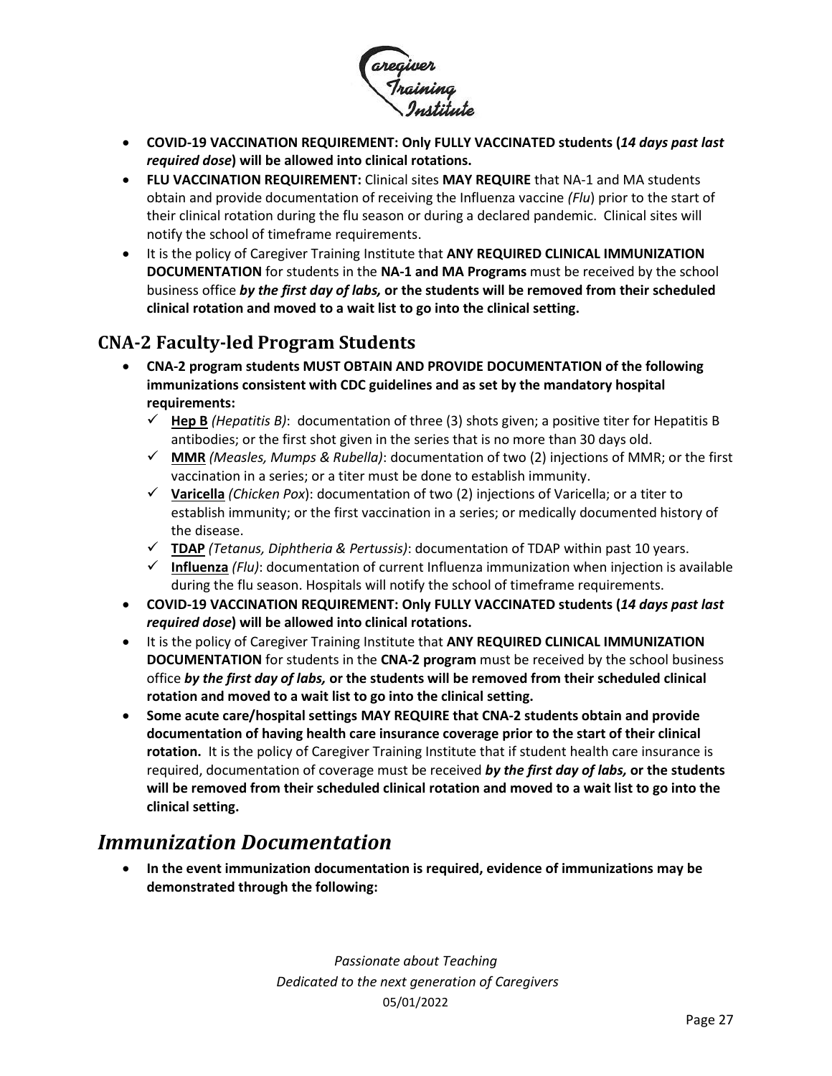

- **COVID-19 VACCINATION REQUIREMENT: Only FULLY VACCINATED students (***14 days past last required dose***) will be allowed into clinical rotations.**
- **FLU VACCINATION REQUIREMENT:** Clinical sites **MAY REQUIRE** that NA-1 and MA students obtain and provide documentation of receiving the Influenza vaccine *(Flu*) prior to the start of their clinical rotation during the flu season or during a declared pandemic. Clinical sites will notify the school of timeframe requirements.
- It is the policy of Caregiver Training Institute that **ANY REQUIRED CLINICAL IMMUNIZATION DOCUMENTATION** for students in the **NA-1 and MA Programs** must be received by the school business office *by the first day of labs,* **or the students will be removed from their scheduled clinical rotation and moved to a wait list to go into the clinical setting.**

### <span id="page-26-0"></span>**CNA-2 Faculty-led Program Students**

- **CNA-2 program students MUST OBTAIN AND PROVIDE DOCUMENTATION of the following immunizations consistent with CDC guidelines and as set by the mandatory hospital requirements:**
	- $\checkmark$  **Hep B** (*Hepatitis B*): documentation of three (3) shots given; a positive titer for Hepatitis B antibodies; or the first shot given in the series that is no more than 30 days old.
	- ✓ **MMR** *(Measles, Mumps & Rubella)*: documentation of two (2) injections of MMR; or the first vaccination in a series; or a titer must be done to establish immunity.
	- ✓ **Varicella** *(Chicken Pox*): documentation of two (2) injections of Varicella; or a titer to establish immunity; or the first vaccination in a series; or medically documented history of the disease.
	- ✓ **TDAP** *(Tetanus, Diphtheria & Pertussis)*: documentation of TDAP within past 10 years.
	- ✓ **Influenza** *(Flu)*: documentation of current Influenza immunization when injection is available during the flu season. Hospitals will notify the school of timeframe requirements.
- **COVID-19 VACCINATION REQUIREMENT: Only FULLY VACCINATED students (***14 days past last required dose***) will be allowed into clinical rotations.**
- It is the policy of Caregiver Training Institute that **ANY REQUIRED CLINICAL IMMUNIZATION DOCUMENTATION** for students in the **CNA-2 program** must be received by the school business office *by the first day of labs,* **or the students will be removed from their scheduled clinical rotation and moved to a wait list to go into the clinical setting.**
- **Some acute care/hospital settings MAY REQUIRE that CNA-2 students obtain and provide documentation of having health care insurance coverage prior to the start of their clinical rotation.** It is the policy of Caregiver Training Institute that if student health care insurance is required, documentation of coverage must be received *by the first day of labs,* **or the students will be removed from their scheduled clinical rotation and moved to a wait list to go into the clinical setting.**

### <span id="page-26-1"></span>*Immunization Documentation*

• **In the event immunization documentation is required, evidence of immunizations may be demonstrated through the following:**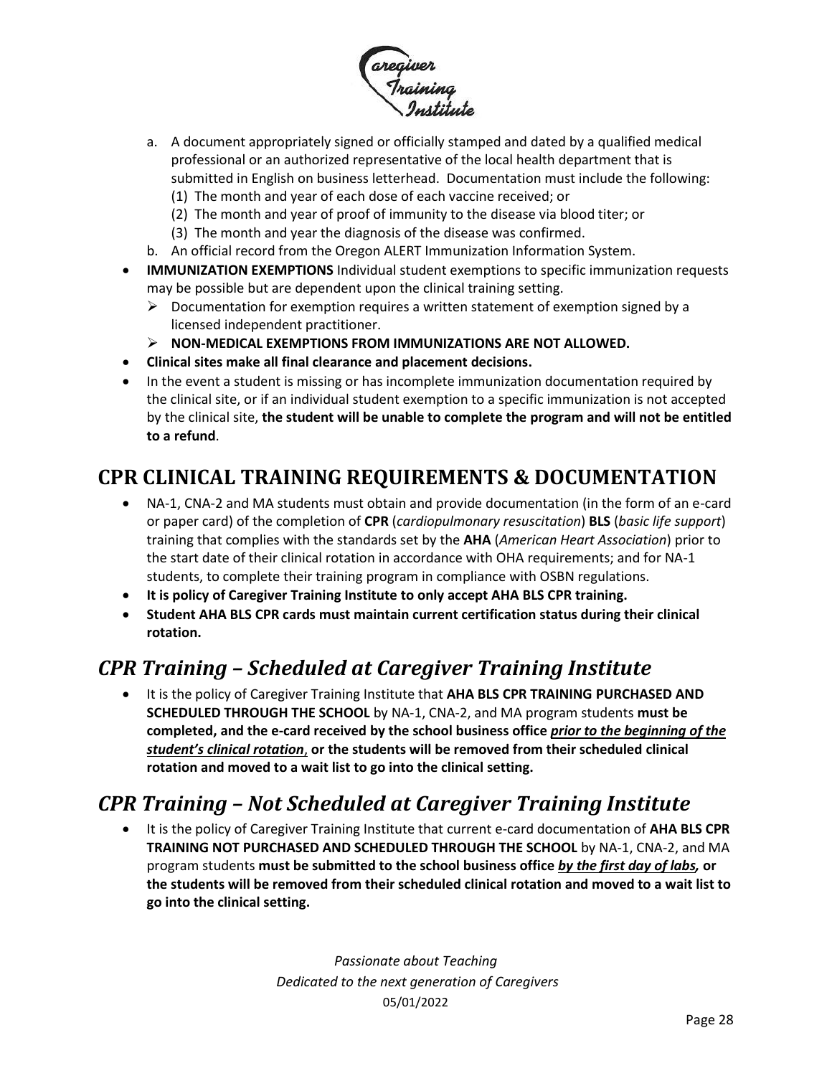

- a. A document appropriately signed or officially stamped and dated by a qualified medical professional or an authorized representative of the local health department that is submitted in English on business letterhead. Documentation must include the following: (1) The month and year of each dose of each vaccine received; or
	- (2) The month and year of proof of immunity to the disease via blood titer; or
	- (3) The month and year the diagnosis of the disease was confirmed.
- b. An official record from the Oregon ALERT Immunization Information System.
- **IMMUNIZATION EXEMPTIONS** Individual student exemptions to specific immunization requests may be possible but are dependent upon the clinical training setting.
	- $\triangleright$  Documentation for exemption requires a written statement of exemption signed by a licensed independent practitioner.
	- ➢ **NON-MEDICAL EXEMPTIONS FROM IMMUNIZATIONS ARE NOT ALLOWED.**
- **Clinical sites make all final clearance and placement decisions.**
- In the event a student is missing or has incomplete immunization documentation required by the clinical site, or if an individual student exemption to a specific immunization is not accepted by the clinical site, **the student will be unable to complete the program and will not be entitled to a refund**.

## <span id="page-27-0"></span>**CPR CLINICAL TRAINING REQUIREMENTS & DOCUMENTATION**

- NA-1, CNA-2 and MA students must obtain and provide documentation (in the form of an e-card or paper card) of the completion of **CPR** (*cardiopulmonary resuscitation*) **BLS** (*basic life support*) training that complies with the standards set by the **AHA** (*American Heart Association*) prior to the start date of their clinical rotation in accordance with OHA requirements; and for NA-1 students, to complete their training program in compliance with OSBN regulations.
- **It is policy of Caregiver Training Institute to only accept AHA BLS CPR training.**
- **Student AHA BLS CPR cards must maintain current certification status during their clinical rotation.**

## <span id="page-27-1"></span>*CPR Training – Scheduled at Caregiver Training Institute*

• It is the policy of Caregiver Training Institute that **AHA BLS CPR TRAINING PURCHASED AND SCHEDULED THROUGH THE SCHOOL** by NA-1, CNA-2, and MA program students **must be completed, and the e-card received by the school business office** *prior to the beginning of the student's clinical rotation*, **or the students will be removed from their scheduled clinical rotation and moved to a wait list to go into the clinical setting.**

## <span id="page-27-2"></span>*CPR Training – Not Scheduled at Caregiver Training Institute*

• It is the policy of Caregiver Training Institute that current e-card documentation of **AHA BLS CPR TRAINING NOT PURCHASED AND SCHEDULED THROUGH THE SCHOOL** by NA-1, CNA-2, and MA program students **must be submitted to the school business office** *by the first day of labs,* **or the students will be removed from their scheduled clinical rotation and moved to a wait list to go into the clinical setting.**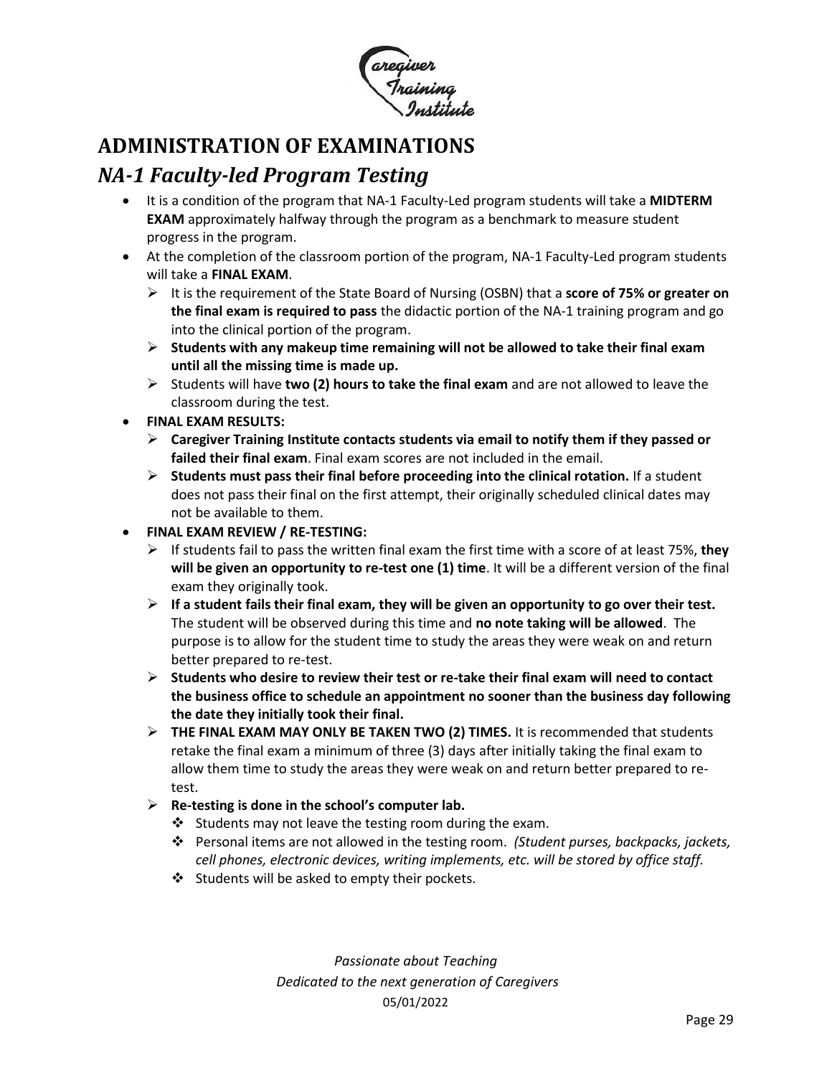

## <span id="page-28-0"></span>**ADMINISTRATION OF EXAMINATIONS**

### <span id="page-28-1"></span>*NA-1 Faculty-led Program Testing*

- It is a condition of the program that NA-1 Faculty-Led program students will take a **MIDTERM EXAM** approximately halfway through the program as a benchmark to measure student progress in the program.
- At the completion of the classroom portion of the program, NA-1 Faculty-Led program students will take a **FINAL EXAM**.
	- ➢ It is the requirement of the State Board of Nursing (OSBN) that a **score of 75% or greater on the final exam is required to pass** the didactic portion of the NA-1 training program and go into the clinical portion of the program.
	- ➢ **Students with any makeup time remaining will not be allowed to take their final exam until all the missing time is made up.**
	- ➢ Students will have **two (2) hours to take the final exam** and are not allowed to leave the classroom during the test.
- **FINAL EXAM RESULTS:**
	- ➢ **Caregiver Training Institute contacts students via email to notify them if they passed or failed their final exam**. Final exam scores are not included in the email.
	- ➢ **Students must pass their final before proceeding into the clinical rotation.** If a student does not pass their final on the first attempt, their originally scheduled clinical dates may not be available to them.
- **FINAL EXAM REVIEW / RE-TESTING:**
	- ➢ If students fail to pass the written final exam the first time with a score of at least 75%, **they will be given an opportunity to re-test one (1) time**. It will be a different version of the final exam they originally took.
	- ➢ **If a student fails their final exam, they will be given an opportunity to go over their test.**  The student will be observed during this time and **no note taking will be allowed**. The purpose is to allow for the student time to study the areas they were weak on and return better prepared to re-test.
	- ➢ **Students who desire to review their test or re-take their final exam will need to contact the business office to schedule an appointment no sooner than the business day following the date they initially took their final.**
	- ➢ **THE FINAL EXAM MAY ONLY BE TAKEN TWO (2) TIMES.** It is recommended that students retake the final exam a minimum of three (3) days after initially taking the final exam to allow them time to study the areas they were weak on and return better prepared to retest.
	- ➢ **Re-testing is done in the school's computer lab.** 
		- ❖ Students may not leave the testing room during the exam.
		- ❖ Personal items are not allowed in the testing room. *(Student purses, backpacks, jackets, cell phones, electronic devices, writing implements, etc. will be stored by office staff.*
		- ❖ Students will be asked to empty their pockets.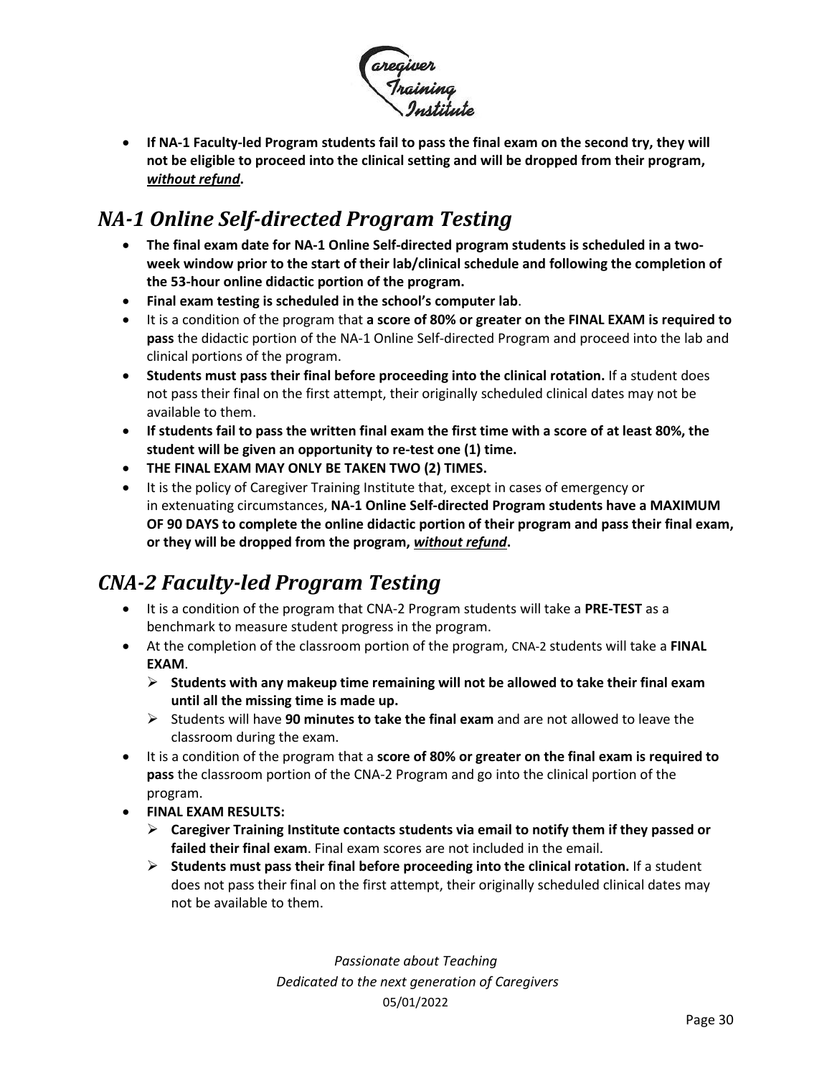

• **If NA-1 Faculty-led Program students fail to pass the final exam on the second try, they will not be eligible to proceed into the clinical setting and will be dropped from their program,**  *without refund***.**

## <span id="page-29-0"></span>*NA-1 Online Self-directed Program Testing*

- **The final exam date for NA-1 Online Self-directed program students is scheduled in a twoweek window prior to the start of their lab/clinical schedule and following the completion of the 53-hour online didactic portion of the program.**
- **Final exam testing is scheduled in the school's computer lab**.
- It is a condition of the program that **a score of 80% or greater on the FINAL EXAM is required to pass** the didactic portion of the NA-1 Online Self-directed Program and proceed into the lab and clinical portions of the program.
- **Students must pass their final before proceeding into the clinical rotation.** If a student does not pass their final on the first attempt, their originally scheduled clinical dates may not be available to them.
- **If students fail to pass the written final exam the first time with a score of at least 80%, the student will be given an opportunity to re-test one (1) time.**
- **THE FINAL EXAM MAY ONLY BE TAKEN TWO (2) TIMES.**
- It is the policy of Caregiver Training Institute that, except in cases of emergency or in extenuating circumstances, **NA-1 Online Self-directed Program students have a MAXIMUM OF 90 DAYS to complete the online didactic portion of their program and pass their final exam, or they will be dropped from the program,** *without refund***.**

## <span id="page-29-1"></span>*CNA-2 Faculty-led Program Testing*

- It is a condition of the program that CNA-2 Program students will take a **PRE-TEST** as a benchmark to measure student progress in the program.
- At the completion of the classroom portion of the program, CNA-2 students will take a **FINAL EXAM**.
	- ➢ **Students with any makeup time remaining will not be allowed to take their final exam until all the missing time is made up.**
	- ➢ Students will have **90 minutes to take the final exam** and are not allowed to leave the classroom during the exam.
- It is a condition of the program that a **score of 80% or greater on the final exam is required to pass** the classroom portion of the CNA-2 Program and go into the clinical portion of the program.
- **FINAL EXAM RESULTS:**
	- ➢ **Caregiver Training Institute contacts students via email to notify them if they passed or failed their final exam**. Final exam scores are not included in the email.
	- ➢ **Students must pass their final before proceeding into the clinical rotation.** If a student does not pass their final on the first attempt, their originally scheduled clinical dates may not be available to them.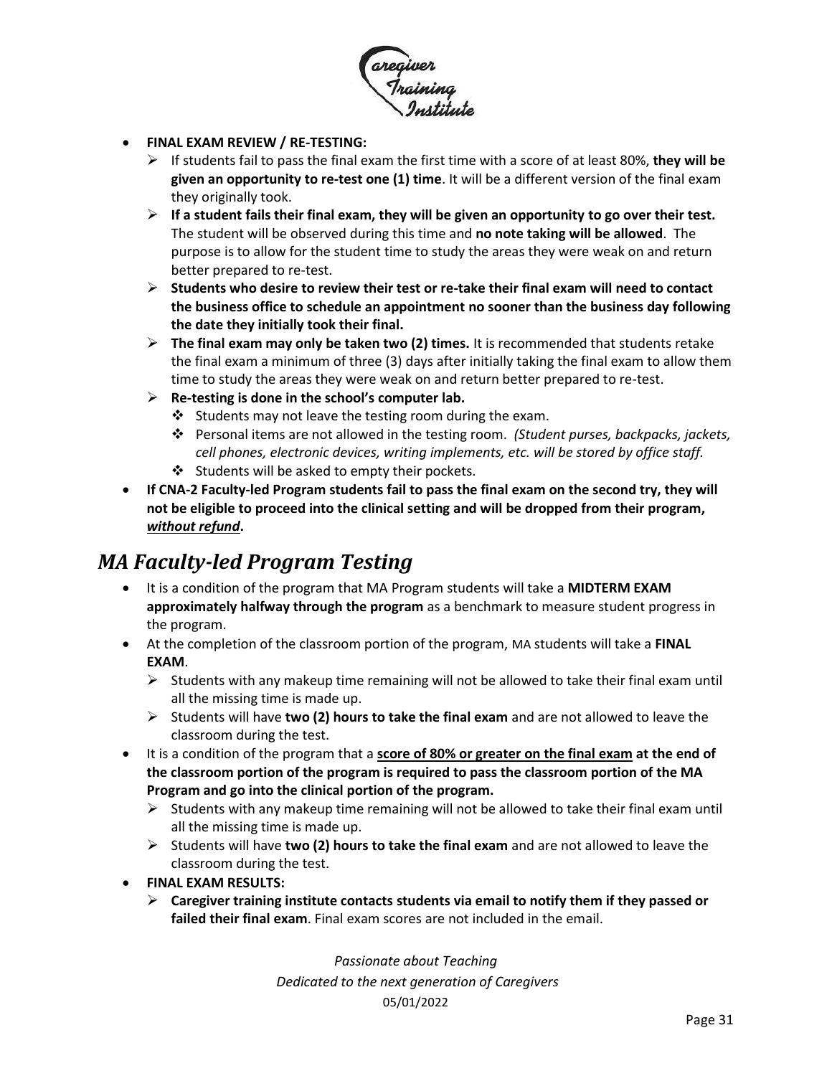

- **FINAL EXAM REVIEW / RE-TESTING:**
	- ➢ If students fail to pass the final exam the first time with a score of at least 80%, **they will be given an opportunity to re-test one (1) time**. It will be a different version of the final exam they originally took.
	- ➢ **If a student fails their final exam, they will be given an opportunity to go over their test.**  The student will be observed during this time and **no note taking will be allowed**. The purpose is to allow for the student time to study the areas they were weak on and return better prepared to re-test.
	- ➢ **Students who desire to review their test or re-take their final exam will need to contact the business office to schedule an appointment no sooner than the business day following the date they initially took their final.**
	- ➢ **The final exam may only be taken two (2) times.** It is recommended that students retake the final exam a minimum of three (3) days after initially taking the final exam to allow them time to study the areas they were weak on and return better prepared to re-test.
	- ➢ **Re-testing is done in the school's computer lab.** 
		- ❖ Students may not leave the testing room during the exam.
		- ❖ Personal items are not allowed in the testing room. *(Student purses, backpacks, jackets, cell phones, electronic devices, writing implements, etc. will be stored by office staff.*
		- ❖ Students will be asked to empty their pockets.
- **If CNA-2 Faculty-led Program students fail to pass the final exam on the second try, they will not be eligible to proceed into the clinical setting and will be dropped from their program,**  *without refund***.**

## <span id="page-30-0"></span>*MA Faculty-led Program Testing*

- It is a condition of the program that MA Program students will take a **MIDTERM EXAM approximately halfway through the program** as a benchmark to measure student progress in the program.
- At the completion of the classroom portion of the program, MA students will take a **FINAL EXAM**.
	- $\triangleright$  Students with any makeup time remaining will not be allowed to take their final exam until all the missing time is made up.
	- ➢ Students will have **two (2) hours to take the final exam** and are not allowed to leave the classroom during the test.
- It is a condition of the program that a **score of 80% or greater on the final exam at the end of the classroom portion of the program is required to pass the classroom portion of the MA Program and go into the clinical portion of the program.** 
	- $\triangleright$  Students with any makeup time remaining will not be allowed to take their final exam until all the missing time is made up.
	- ➢ Students will have **two (2) hours to take the final exam** and are not allowed to leave the classroom during the test.
- **FINAL EXAM RESULTS:**
	- ➢ **Caregiver training institute contacts students via email to notify them if they passed or failed their final exam**. Final exam scores are not included in the email.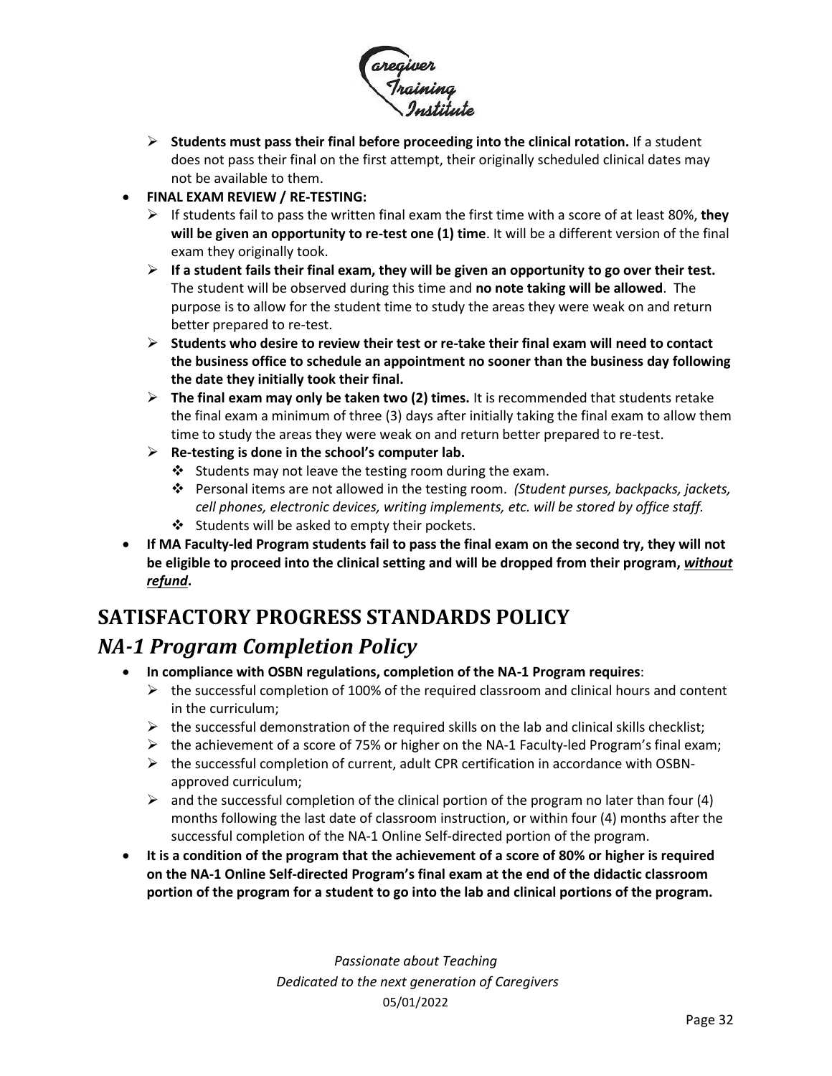

- ➢ **Students must pass their final before proceeding into the clinical rotation.** If a student does not pass their final on the first attempt, their originally scheduled clinical dates may not be available to them.
- **FINAL EXAM REVIEW / RE-TESTING:**
	- ➢ If students fail to pass the written final exam the first time with a score of at least 80%, **they will be given an opportunity to re-test one (1) time**. It will be a different version of the final exam they originally took.
	- ➢ **If a student fails their final exam, they will be given an opportunity to go over their test.**  The student will be observed during this time and **no note taking will be allowed**. The purpose is to allow for the student time to study the areas they were weak on and return better prepared to re-test.
	- ➢ **Students who desire to review their test or re-take their final exam will need to contact the business office to schedule an appointment no sooner than the business day following the date they initially took their final.**
	- ➢ **The final exam may only be taken two (2) times.** It is recommended that students retake the final exam a minimum of three (3) days after initially taking the final exam to allow them time to study the areas they were weak on and return better prepared to re-test.
	- ➢ **Re-testing is done in the school's computer lab.** 
		- ❖ Students may not leave the testing room during the exam.
		- ❖ Personal items are not allowed in the testing room. *(Student purses, backpacks, jackets, cell phones, electronic devices, writing implements, etc. will be stored by office staff.*
		- ❖ Students will be asked to empty their pockets.
- **If MA Faculty-led Program students fail to pass the final exam on the second try, they will not be eligible to proceed into the clinical setting and will be dropped from their program,** *without refund***.**

# <span id="page-31-1"></span><span id="page-31-0"></span>**SATISFACTORY PROGRESS STANDARDS POLICY** *NA-1 Program Completion Policy*

- **In compliance with OSBN regulations, completion of the NA-1 Program requires**:
	- $\triangleright$  the successful completion of 100% of the required classroom and clinical hours and content in the curriculum;
	- $\triangleright$  the successful demonstration of the required skills on the lab and clinical skills checklist;
	- $\triangleright$  the achievement of a score of 75% or higher on the NA-1 Faculty-led Program's final exam;
	- $\triangleright$  the successful completion of current, adult CPR certification in accordance with OSBNapproved curriculum;
	- $\triangleright$  and the successful completion of the clinical portion of the program no later than four (4) months following the last date of classroom instruction, or within four (4) months after the successful completion of the NA-1 Online Self-directed portion of the program.
- **It is a condition of the program that the achievement of a score of 80% or higher is required on the NA-1 Online Self-directed Program's final exam at the end of the didactic classroom portion of the program for a student to go into the lab and clinical portions of the program.**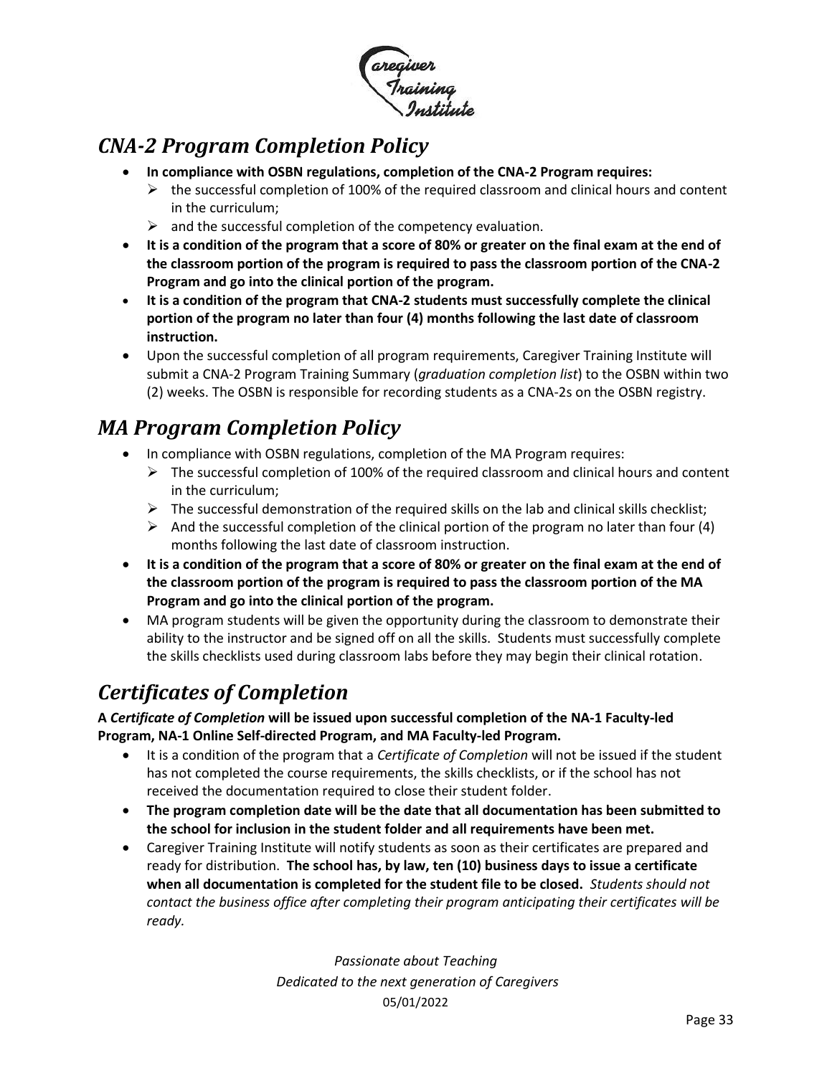

## <span id="page-32-0"></span>*CNA-2 Program Completion Policy*

- **In compliance with OSBN regulations, completion of the CNA-2 Program requires:**
	- $\triangleright$  the successful completion of 100% of the required classroom and clinical hours and content in the curriculum;
	- $\triangleright$  and the successful completion of the competency evaluation.
- **It is a condition of the program that a score of 80% or greater on the final exam at the end of the classroom portion of the program is required to pass the classroom portion of the CNA-2 Program and go into the clinical portion of the program.**
- **It is a condition of the program that CNA-2 students must successfully complete the clinical portion of the program no later than four (4) months following the last date of classroom instruction.**
- Upon the successful completion of all program requirements, Caregiver Training Institute will submit a CNA-2 Program Training Summary (*graduation completion list*) to the OSBN within two (2) weeks. The OSBN is responsible for recording students as a CNA-2s on the OSBN registry.

# <span id="page-32-1"></span>*MA Program Completion Policy*

- In compliance with OSBN regulations, completion of the MA Program requires:
	- $\triangleright$  The successful completion of 100% of the required classroom and clinical hours and content in the curriculum;
	- $\triangleright$  The successful demonstration of the required skills on the lab and clinical skills checklist;
	- $\triangleright$  And the successful completion of the clinical portion of the program no later than four (4) months following the last date of classroom instruction.
- **It is a condition of the program that a score of 80% or greater on the final exam at the end of the classroom portion of the program is required to pass the classroom portion of the MA Program and go into the clinical portion of the program.**
- MA program students will be given the opportunity during the classroom to demonstrate their ability to the instructor and be signed off on all the skills. Students must successfully complete the skills checklists used during classroom labs before they may begin their clinical rotation.

## <span id="page-32-2"></span>*Certificates of Completion*

**A** *Certificate of Completion* **will be issued upon successful completion of the NA-1 Faculty-led Program, NA-1 Online Self-directed Program, and MA Faculty-led Program.**

- It is a condition of the program that a *Certificate of Completion* will not be issued if the student has not completed the course requirements, the skills checklists, or if the school has not received the documentation required to close their student folder.
- **The program completion date will be the date that all documentation has been submitted to the school for inclusion in the student folder and all requirements have been met.**
- Caregiver Training Institute will notify students as soon as their certificates are prepared and ready for distribution. **The school has, by law, ten (10) business days to issue a certificate when all documentation is completed for the student file to be closed.** *Students should not contact the business office after completing their program anticipating their certificates will be ready.*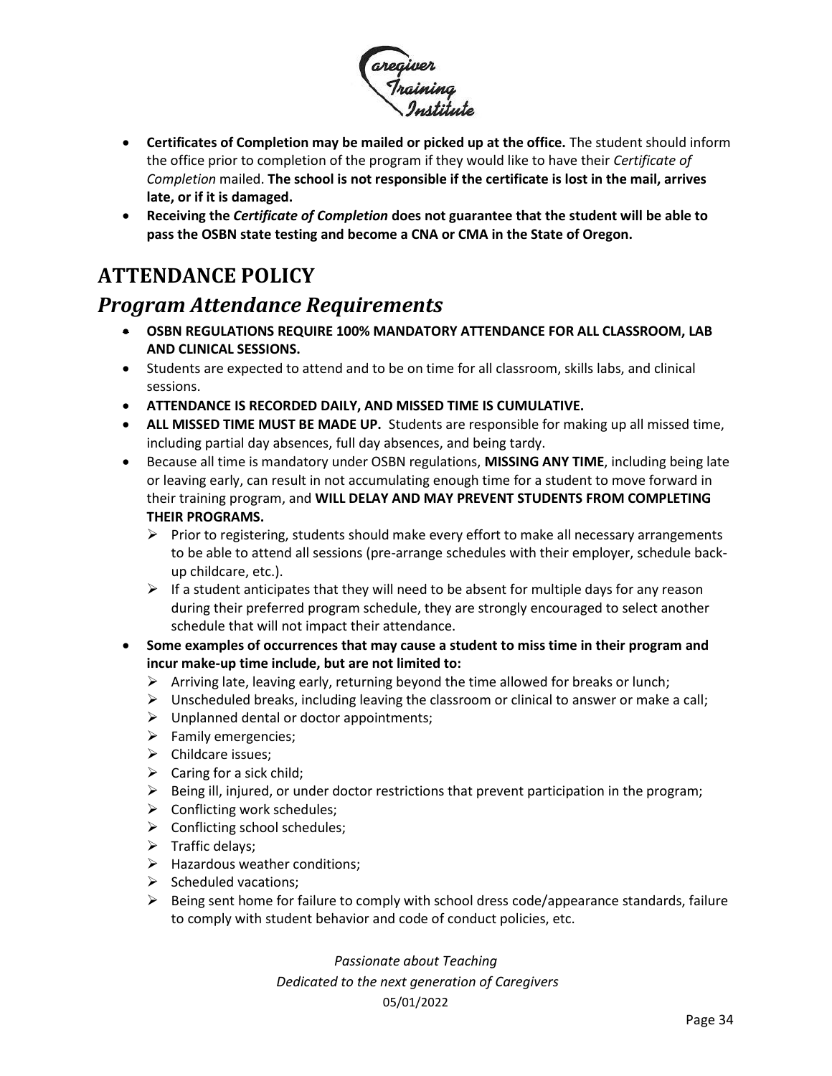

- **Certificates of Completion may be mailed or picked up at the office.** The student should inform the office prior to completion of the program if they would like to have their *Certificate of Completion* mailed. **The school is not responsible if the certificate is lost in the mail, arrives late, or if it is damaged.**
- **Receiving the** *Certificate of Completion* **does not guarantee that the student will be able to pass the OSBN state testing and become a CNA or CMA in the State of Oregon.**

# <span id="page-33-0"></span>**ATTENDANCE POLICY**

### <span id="page-33-1"></span>*Program Attendance Requirements*

- **OSBN REGULATIONS REQUIRE 100% MANDATORY ATTENDANCE FOR ALL CLASSROOM, LAB AND CLINICAL SESSIONS.**
- Students are expected to attend and to be on time for all classroom, skills labs, and clinical sessions.
- **ATTENDANCE IS RECORDED DAILY, AND MISSED TIME IS CUMULATIVE.**
- **ALL MISSED TIME MUST BE MADE UP.** Students are responsible for making up all missed time, including partial day absences, full day absences, and being tardy.
- Because all time is mandatory under OSBN regulations, **MISSING ANY TIME**, including being late or leaving early, can result in not accumulating enough time for a student to move forward in their training program, and **WILL DELAY AND MAY PREVENT STUDENTS FROM COMPLETING THEIR PROGRAMS.**
	- $\triangleright$  Prior to registering, students should make every effort to make all necessary arrangements to be able to attend all sessions (pre-arrange schedules with their employer, schedule backup childcare, etc.).
	- $\triangleright$  If a student anticipates that they will need to be absent for multiple days for any reason during their preferred program schedule, they are strongly encouraged to select another schedule that will not impact their attendance.
- **Some examples of occurrences that may cause a student to miss time in their program and incur make-up time include, but are not limited to:** 
	- $\triangleright$  Arriving late, leaving early, returning beyond the time allowed for breaks or lunch;
	- $\triangleright$  Unscheduled breaks, including leaving the classroom or clinical to answer or make a call;
	- $\triangleright$  Unplanned dental or doctor appointments;
	- ➢ Family emergencies;
	- ➢ Childcare issues;
	- $\triangleright$  Caring for a sick child;
	- $\triangleright$  Being ill, injured, or under doctor restrictions that prevent participation in the program;
	- $\triangleright$  Conflicting work schedules;
	- $\triangleright$  Conflicting school schedules;
	- ➢ Traffic delays;
	- $\triangleright$  Hazardous weather conditions;
	- $\triangleright$  Scheduled vacations;
	- $\triangleright$  Being sent home for failure to comply with school dress code/appearance standards, failure to comply with student behavior and code of conduct policies, etc.

*Passionate about Teaching*

*Dedicated to the next generation of Caregivers*

#### 05/01/2022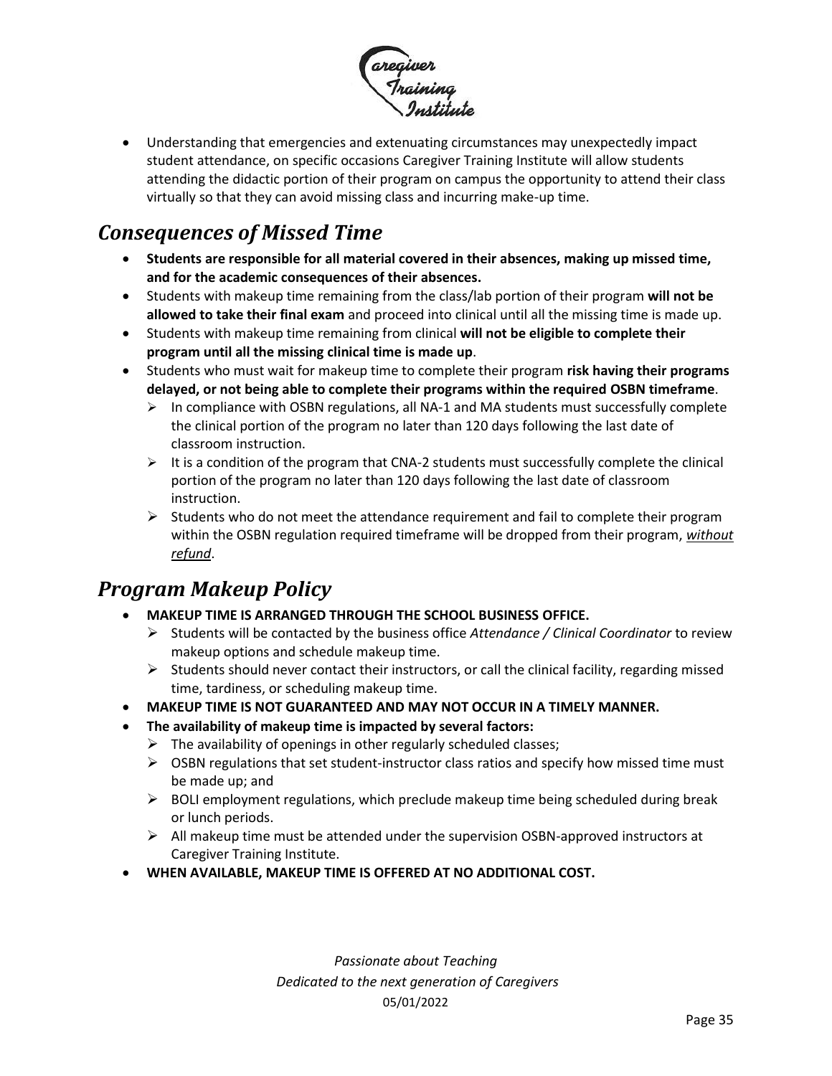

• Understanding that emergencies and extenuating circumstances may unexpectedly impact student attendance, on specific occasions Caregiver Training Institute will allow students attending the didactic portion of their program on campus the opportunity to attend their class virtually so that they can avoid missing class and incurring make-up time.

## <span id="page-34-0"></span>*Consequences of Missed Time*

- **Students are responsible for all material covered in their absences, making up missed time, and for the academic consequences of their absences.**
- Students with makeup time remaining from the class/lab portion of their program **will not be allowed to take their final exam** and proceed into clinical until all the missing time is made up.
- Students with makeup time remaining from clinical **will not be eligible to complete their program until all the missing clinical time is made up**.
- Students who must wait for makeup time to complete their program **risk having their programs delayed, or not being able to complete their programs within the required OSBN timeframe**.
	- $\triangleright$  In compliance with OSBN regulations, all NA-1 and MA students must successfully complete the clinical portion of the program no later than 120 days following the last date of classroom instruction.
	- $\triangleright$  It is a condition of the program that CNA-2 students must successfully complete the clinical portion of the program no later than 120 days following the last date of classroom instruction.
	- $\triangleright$  Students who do not meet the attendance requirement and fail to complete their program within the OSBN regulation required timeframe will be dropped from their program, *without refund*.

## <span id="page-34-1"></span>*Program Makeup Policy*

- **MAKEUP TIME IS ARRANGED THROUGH THE SCHOOL BUSINESS OFFICE.**
	- ➢ Students will be contacted by the business office *Attendance / Clinical Coordinator* to review makeup options and schedule makeup time.
	- $\triangleright$  Students should never contact their instructors, or call the clinical facility, regarding missed time, tardiness, or scheduling makeup time.
- **MAKEUP TIME IS NOT GUARANTEED AND MAY NOT OCCUR IN A TIMELY MANNER.**
- **The availability of makeup time is impacted by several factors:**
	- $\triangleright$  The availability of openings in other regularly scheduled classes;
	- $\triangleright$  OSBN regulations that set student-instructor class ratios and specify how missed time must be made up; and
	- $\triangleright$  BOLI employment regulations, which preclude makeup time being scheduled during break or lunch periods.
	- $\triangleright$  All makeup time must be attended under the supervision OSBN-approved instructors at Caregiver Training Institute.
- **WHEN AVAILABLE, MAKEUP TIME IS OFFERED AT NO ADDITIONAL COST.**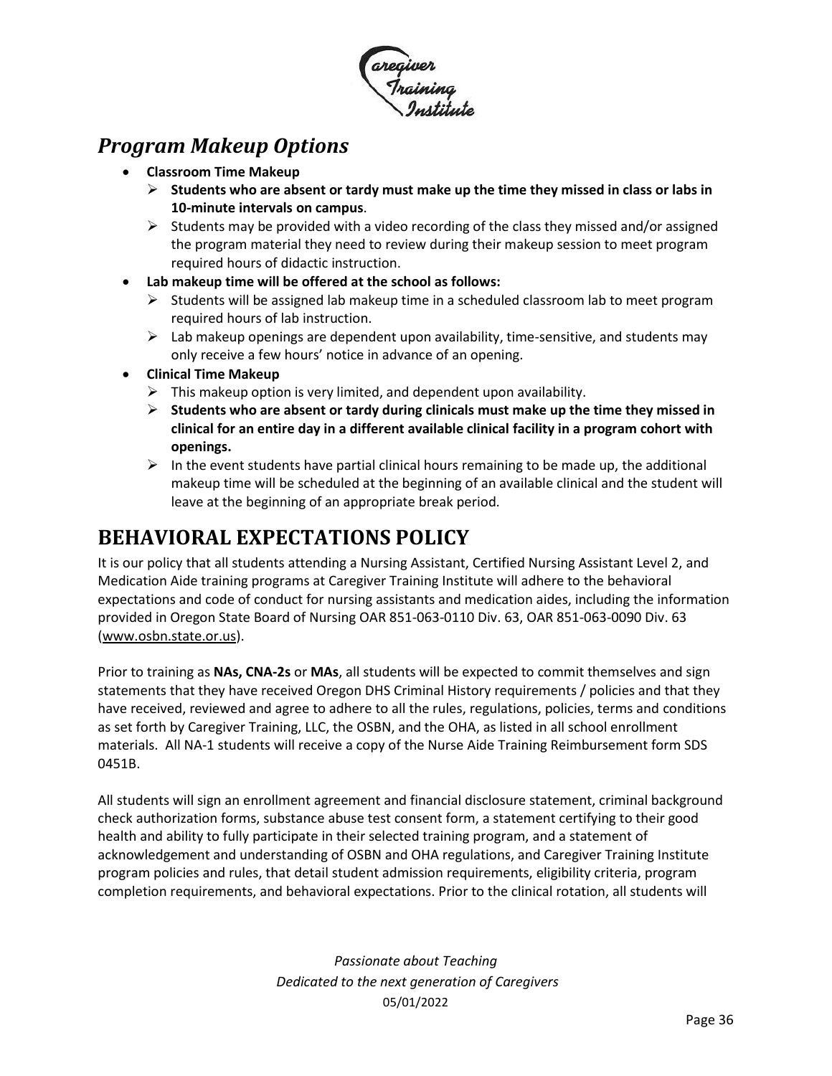

### <span id="page-35-0"></span>*Program Makeup Options*

- **Classroom Time Makeup**
	- ➢ **Students who are absent or tardy must make up the time they missed in class or labs in 10-minute intervals on campus**.
	- $\triangleright$  Students may be provided with a video recording of the class they missed and/or assigned the program material they need to review during their makeup session to meet program required hours of didactic instruction.
- **Lab makeup time will be offered at the school as follows:**
	- $\triangleright$  Students will be assigned lab makeup time in a scheduled classroom lab to meet program required hours of lab instruction.
	- $\triangleright$  Lab makeup openings are dependent upon availability, time-sensitive, and students may only receive a few hours' notice in advance of an opening.
- **Clinical Time Makeup**
	- $\triangleright$  This makeup option is very limited, and dependent upon availability.
	- ➢ **Students who are absent or tardy during clinicals must make up the time they missed in clinical for an entire day in a different available clinical facility in a program cohort with openings.**
	- $\triangleright$  In the event students have partial clinical hours remaining to be made up, the additional makeup time will be scheduled at the beginning of an available clinical and the student will leave at the beginning of an appropriate break period.

## <span id="page-35-1"></span>**BEHAVIORAL EXPECTATIONS POLICY**

It is our policy that all students attending a Nursing Assistant, Certified Nursing Assistant Level 2, and Medication Aide training programs at Caregiver Training Institute will adhere to the behavioral expectations and code of conduct for nursing assistants and medication aides, including the information provided in Oregon State Board of Nursing OAR 851-063-0110 Div. 63, OAR 851-063-0090 Div. 63 [\(www.osbn.state.or.us\)](http://www.osbn.state.or.us/).

Prior to training as **NAs, CNA-2s** or **MAs**, all students will be expected to commit themselves and sign statements that they have received Oregon DHS Criminal History requirements / policies and that they have received, reviewed and agree to adhere to all the rules, regulations, policies, terms and conditions as set forth by Caregiver Training, LLC, the OSBN, and the OHA, as listed in all school enrollment materials. All NA-1 students will receive a copy of the Nurse Aide Training Reimbursement form SDS 0451B.

All students will sign an enrollment agreement and financial disclosure statement, criminal background check authorization forms, substance abuse test consent form, a statement certifying to their good health and ability to fully participate in their selected training program, and a statement of acknowledgement and understanding of OSBN and OHA regulations, and Caregiver Training Institute program policies and rules, that detail student admission requirements, eligibility criteria, program completion requirements, and behavioral expectations. Prior to the clinical rotation, all students will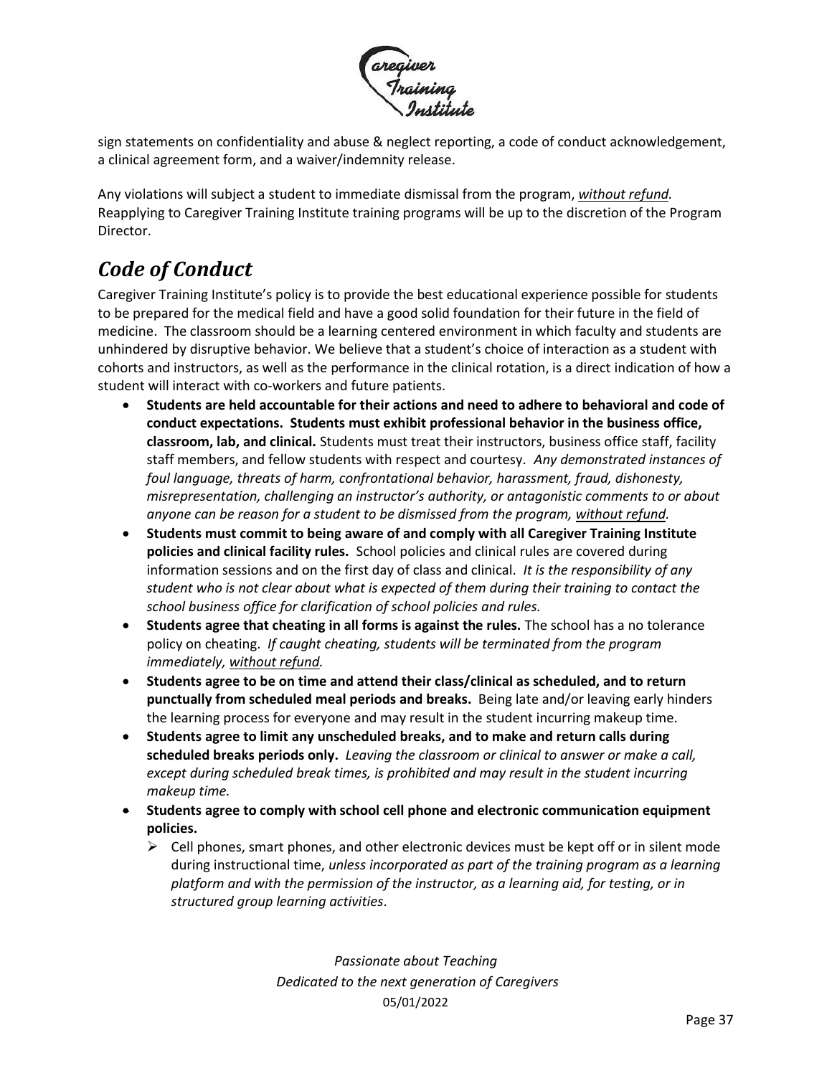

sign statements on confidentiality and abuse & neglect reporting, a code of conduct acknowledgement, a clinical agreement form, and a waiver/indemnity release.

Any violations will subject a student to immediate dismissal from the program, *without refund.* Reapplying to Caregiver Training Institute training programs will be up to the discretion of the Program Director.

# <span id="page-36-0"></span>*Code of Conduct*

Caregiver Training Institute's policy is to provide the best educational experience possible for students to be prepared for the medical field and have a good solid foundation for their future in the field of medicine. The classroom should be a learning centered environment in which faculty and students are unhindered by disruptive behavior. We believe that a student's choice of interaction as a student with cohorts and instructors, as well as the performance in the clinical rotation, is a direct indication of how a student will interact with co-workers and future patients.

- **Students are held accountable for their actions and need to adhere to behavioral and code of conduct expectations. Students must exhibit professional behavior in the business office, classroom, lab, and clinical.** Students must treat their instructors, business office staff, facility staff members, and fellow students with respect and courtesy. *Any demonstrated instances of foul language, threats of harm, confrontational behavior, harassment, fraud, dishonesty, misrepresentation, challenging an instructor's authority, or antagonistic comments to or about anyone can be reason for a student to be dismissed from the program, without refund.*
- **Students must commit to being aware of and comply with all Caregiver Training Institute policies and clinical facility rules.** School policies and clinical rules are covered during information sessions and on the first day of class and clinical. *It is the responsibility of any student who is not clear about what is expected of them during their training to contact the school business office for clarification of school policies and rules.*
- **Students agree that cheating in all forms is against the rules.** The school has a no tolerance policy on cheating. *If caught cheating, students will be terminated from the program immediately, without refund.*
- **Students agree to be on time and attend their class/clinical as scheduled, and to return punctually from scheduled meal periods and breaks.** Being late and/or leaving early hinders the learning process for everyone and may result in the student incurring makeup time.
- **Students agree to limit any unscheduled breaks, and to make and return calls during scheduled breaks periods only.** *Leaving the classroom or clinical to answer or make a call, except during scheduled break times, is prohibited and may result in the student incurring makeup time.*
- **Students agree to comply with school cell phone and electronic communication equipment policies.** 
	- $\triangleright$  Cell phones, smart phones, and other electronic devices must be kept off or in silent mode during instructional time, *unless incorporated as part of the training program as a learning platform and with the permission of the instructor, as a learning aid, for testing, or in structured group learning activities*.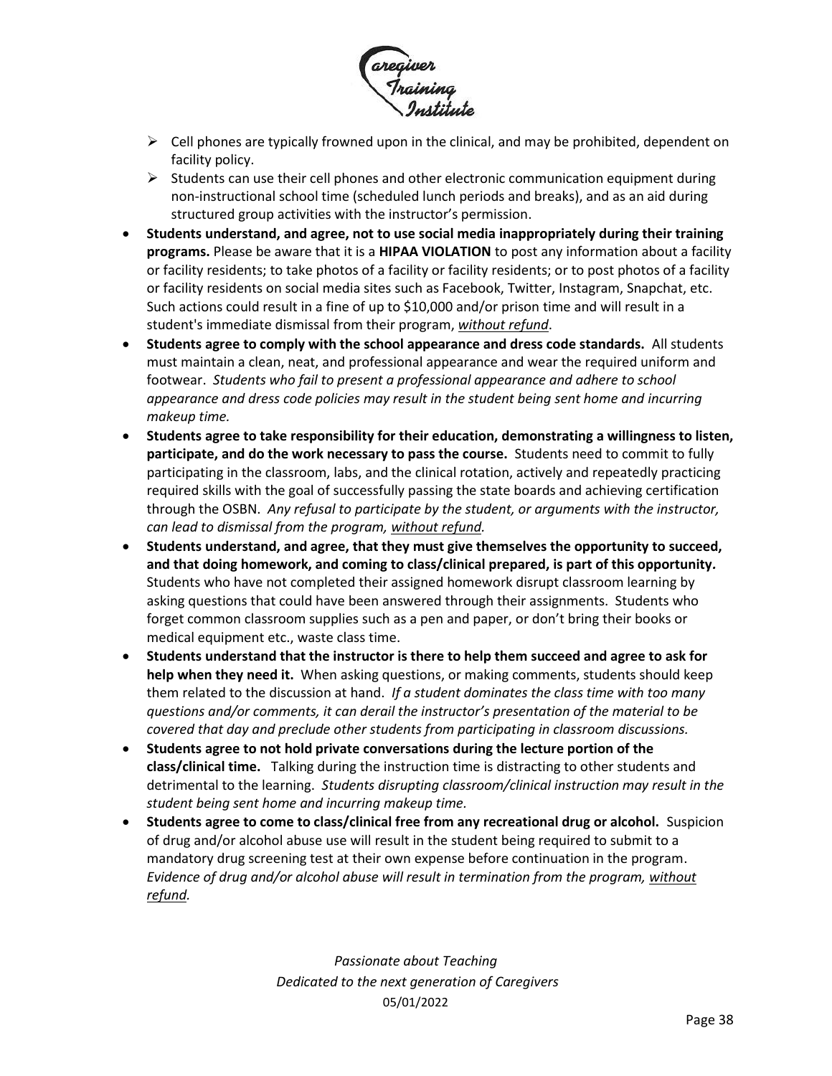

- $\triangleright$  Cell phones are typically frowned upon in the clinical, and may be prohibited, dependent on facility policy.
- $\triangleright$  Students can use their cell phones and other electronic communication equipment during non-instructional school time (scheduled lunch periods and breaks), and as an aid during structured group activities with the instructor's permission.
- **Students understand, and agree, not to use social media inappropriately during their training programs.** Please be aware that it is a **HIPAA VIOLATION** to post any information about a facility or facility residents; to take photos of a facility or facility residents; or to post photos of a facility or facility residents on social media sites such as Facebook, Twitter, Instagram, Snapchat, etc. Such actions could result in a fine of up to \$10,000 and/or prison time and will result in a student's immediate dismissal from their program, *without refund*.
- **Students agree to comply with the school appearance and dress code standards.** All students must maintain a clean, neat, and professional appearance and wear the required uniform and footwear. *Students who fail to present a professional appearance and adhere to school appearance and dress code policies may result in the student being sent home and incurring makeup time.*
- **Students agree to take responsibility for their education, demonstrating a willingness to listen, participate, and do the work necessary to pass the course.** Students need to commit to fully participating in the classroom, labs, and the clinical rotation, actively and repeatedly practicing required skills with the goal of successfully passing the state boards and achieving certification through the OSBN. *Any refusal to participate by the student, or arguments with the instructor, can lead to dismissal from the program, without refund.*
- **Students understand, and agree, that they must give themselves the opportunity to succeed, and that doing homework, and coming to class/clinical prepared, is part of this opportunity***.*  Students who have not completed their assigned homework disrupt classroom learning by asking questions that could have been answered through their assignments. Students who forget common classroom supplies such as a pen and paper, or don't bring their books or medical equipment etc., waste class time.
- **Students understand that the instructor is there to help them succeed and agree to ask for help when they need it.** When asking questions, or making comments, students should keep them related to the discussion at hand. *If a student dominates the class time with too many questions and/or comments, it can derail the instructor's presentation of the material to be covered that day and preclude other students from participating in classroom discussions.*
- **Students agree to not hold private conversations during the lecture portion of the class/clinical time.** Talking during the instruction time is distracting to other students and detrimental to the learning. *Students disrupting classroom/clinical instruction may result in the student being sent home and incurring makeup time.*
- **Students agree to come to class/clinical free from any recreational drug or alcohol.** Suspicion of drug and/or alcohol abuse use will result in the student being required to submit to a mandatory drug screening test at their own expense before continuation in the program. *Evidence of drug and/or alcohol abuse will result in termination from the program, without refund.*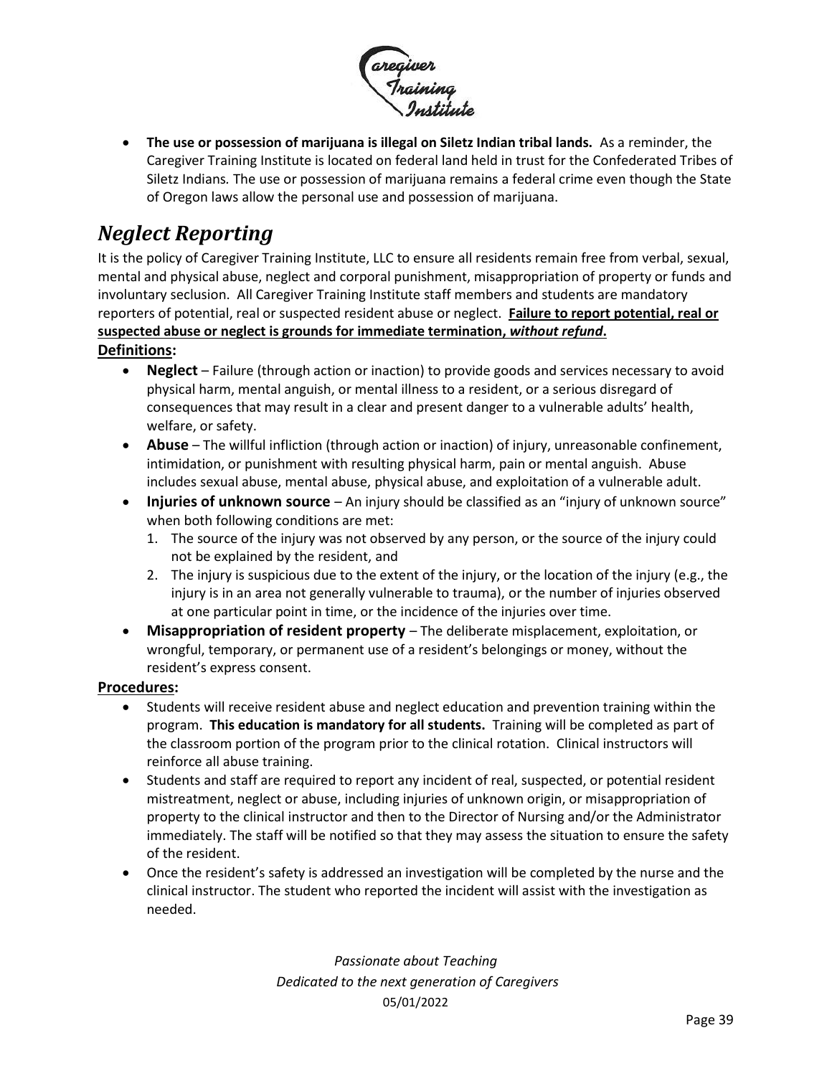

• **The use or possession of marijuana is illegal on Siletz Indian tribal lands.** As a reminder, the Caregiver Training Institute is located on federal land held in trust for the Confederated Tribes of Siletz Indians*.* The use or possession of marijuana remains a federal crime even though the State of Oregon laws allow the personal use and possession of marijuana.

# <span id="page-38-0"></span>*Neglect Reporting*

It is the policy of Caregiver Training Institute, LLC to ensure all residents remain free from verbal, sexual, mental and physical abuse, neglect and corporal punishment, misappropriation of property or funds and involuntary seclusion. All Caregiver Training Institute staff members and students are mandatory reporters of potential, real or suspected resident abuse or neglect. **Failure to report potential, real or suspected abuse or neglect is grounds for immediate termination,** *without refund***. Definitions:**

- **Neglect** Failure (through action or inaction) to provide goods and services necessary to avoid physical harm, mental anguish, or mental illness to a resident, or a serious disregard of consequences that may result in a clear and present danger to a vulnerable adults' health, welfare, or safety.
- **Abuse** The willful infliction (through action or inaction) of injury, unreasonable confinement, intimidation, or punishment with resulting physical harm, pain or mental anguish. Abuse includes sexual abuse, mental abuse, physical abuse, and exploitation of a vulnerable adult.
- **Injuries of unknown source** An injury should be classified as an "injury of unknown source" when both following conditions are met:
	- 1. The source of the injury was not observed by any person, or the source of the injury could not be explained by the resident, and
	- 2. The injury is suspicious due to the extent of the injury, or the location of the injury (e.g., the injury is in an area not generally vulnerable to trauma), or the number of injuries observed at one particular point in time, or the incidence of the injuries over time.
- **Misappropriation of resident property** The deliberate misplacement, exploitation, or wrongful, temporary, or permanent use of a resident's belongings or money, without the resident's express consent.

#### **Procedures:**

- Students will receive resident abuse and neglect education and prevention training within the program. **This education is mandatory for all students.** Training will be completed as part of the classroom portion of the program prior to the clinical rotation. Clinical instructors will reinforce all abuse training.
- Students and staff are required to report any incident of real, suspected, or potential resident mistreatment, neglect or abuse, including injuries of unknown origin, or misappropriation of property to the clinical instructor and then to the Director of Nursing and/or the Administrator immediately. The staff will be notified so that they may assess the situation to ensure the safety of the resident.
- Once the resident's safety is addressed an investigation will be completed by the nurse and the clinical instructor. The student who reported the incident will assist with the investigation as needed.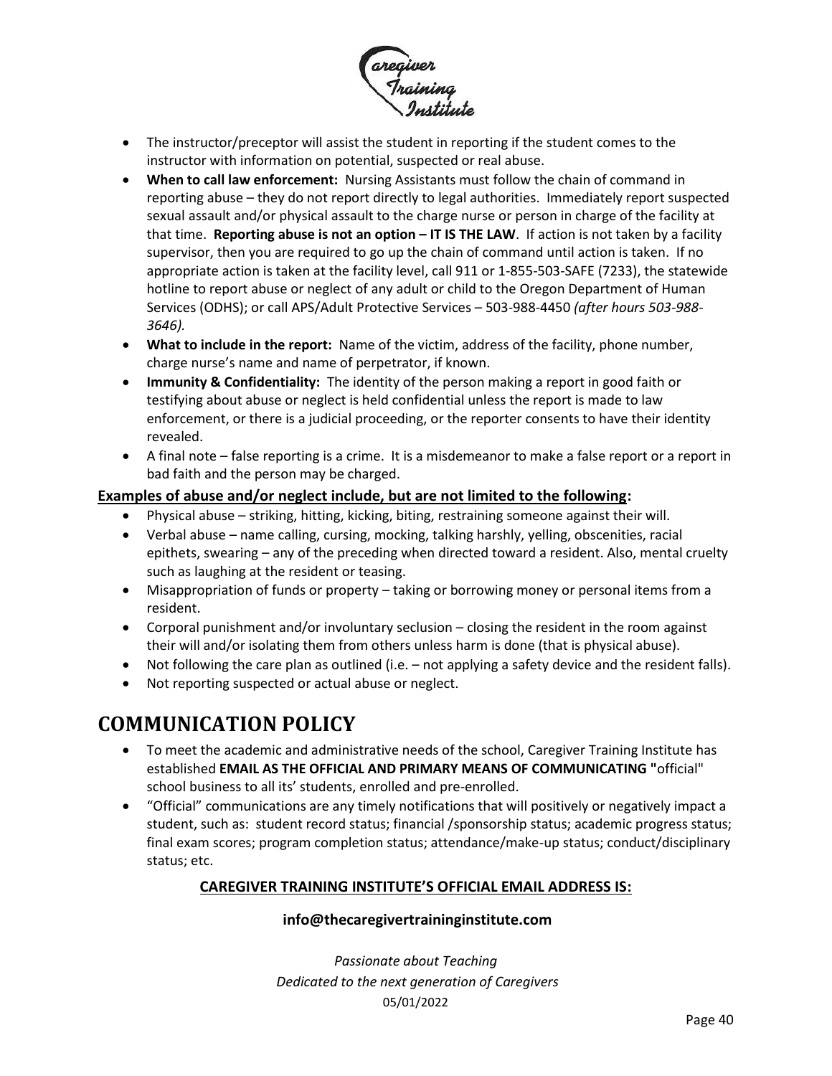

- The instructor/preceptor will assist the student in reporting if the student comes to the instructor with information on potential, suspected or real abuse.
- **When to call law enforcement:** Nursing Assistants must follow the chain of command in reporting abuse – they do not report directly to legal authorities. Immediately report suspected sexual assault and/or physical assault to the charge nurse or person in charge of the facility at that time. **Reporting abuse is not an option – IT IS THE LAW**. If action is not taken by a facility supervisor, then you are required to go up the chain of command until action is taken. If no appropriate action is taken at the facility level, call 911 or 1-855-503-SAFE (7233), the statewide hotline to report abuse or neglect of any adult or child to the Oregon Department of Human Services (ODHS); or call APS/Adult Protective Services – 503-988-4450 *(after hours 503-988- 3646).*
- **What to include in the report:** Name of the victim, address of the facility, phone number, charge nurse's name and name of perpetrator, if known.
- **Immunity & Confidentiality:** The identity of the person making a report in good faith or testifying about abuse or neglect is held confidential unless the report is made to law enforcement, or there is a judicial proceeding, or the reporter consents to have their identity revealed.
- A final note false reporting is a crime. It is a misdemeanor to make a false report or a report in bad faith and the person may be charged.

#### **Examples of abuse and/or neglect include, but are not limited to the following:**

- Physical abuse striking, hitting, kicking, biting, restraining someone against their will.
- Verbal abuse name calling, cursing, mocking, talking harshly, yelling, obscenities, racial epithets, swearing – any of the preceding when directed toward a resident. Also, mental cruelty such as laughing at the resident or teasing.
- Misappropriation of funds or property taking or borrowing money or personal items from a resident.
- Corporal punishment and/or involuntary seclusion closing the resident in the room against their will and/or isolating them from others unless harm is done (that is physical abuse).
- Not following the care plan as outlined (i.e. not applying a safety device and the resident falls).
- Not reporting suspected or actual abuse or neglect.

### <span id="page-39-0"></span>**COMMUNICATION POLICY**

- To meet the academic and administrative needs of the school, Caregiver Training Institute has established **EMAIL AS THE OFFICIAL AND PRIMARY MEANS OF COMMUNICATING "**official" school business to all its' students, enrolled and pre-enrolled.
- "Official" communications are any timely notifications that will positively or negatively impact a student, such as: student record status; financial /sponsorship status; academic progress status; final exam scores; program completion status; attendance/make-up status; conduct/disciplinary status; etc.

#### **CAREGIVER TRAINING INSTITUTE'S OFFICIAL EMAIL ADDRESS IS:**

#### **[info@thecaregivertraininginstitute.com](mailto:info@thecaregivertraininginstitute.com)**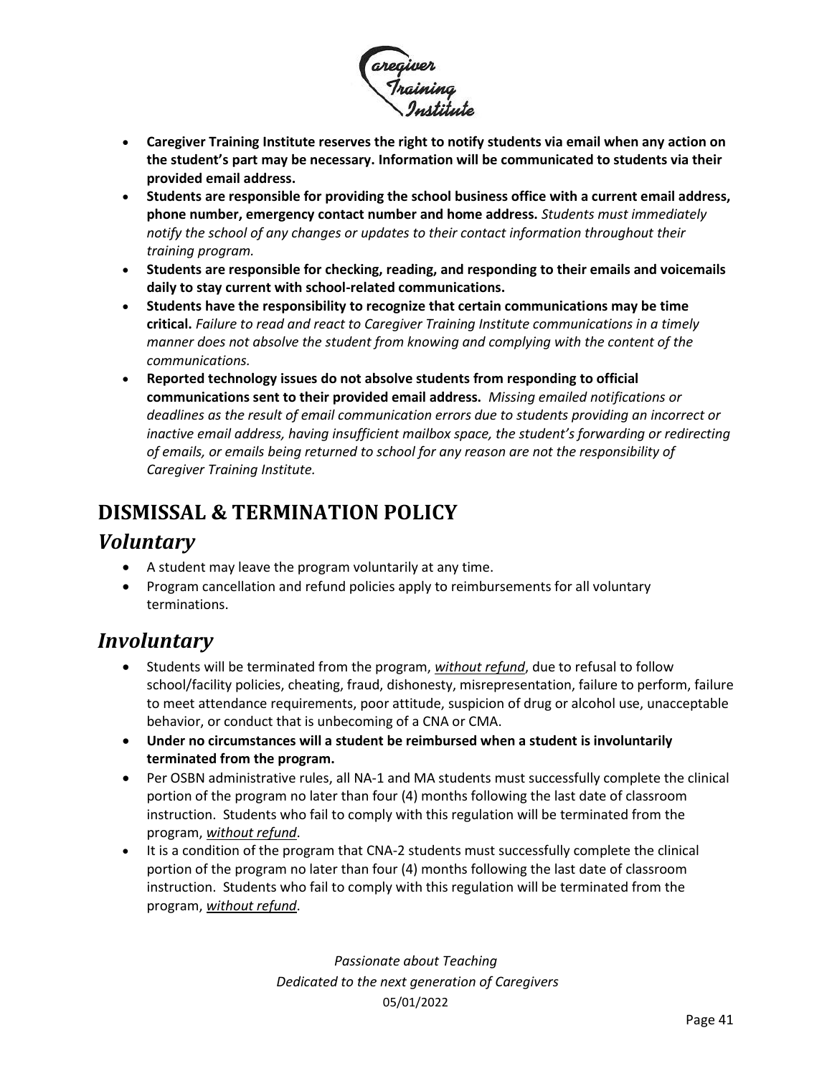

- **Caregiver Training Institute reserves the right to notify students via email when any action on the student's part may be necessary. Information will be communicated to students via their provided email address.**
- **Students are responsible for providing the school business office with a current email address, phone number, emergency contact number and home address.** *Students must immediately notify the school of any changes or updates to their contact information throughout their training program.*
- **Students are responsible for checking, reading, and responding to their emails and voicemails daily to stay current with school-related communications.**
- **Students have the responsibility to recognize that certain communications may be time critical.** *Failure to read and react to Caregiver Training Institute communications in a timely manner does not absolve the student from knowing and complying with the content of the communications.*
- **Reported technology issues do not absolve students from responding to official communications sent to their provided email address.** *Missing emailed notifications or deadlines as the result of email communication errors due to students providing an incorrect or inactive email address, having insufficient mailbox space, the student's forwarding or redirecting of emails, or emails being returned to school for any reason are not the responsibility of Caregiver Training Institute.*

# <span id="page-40-0"></span>**DISMISSAL & TERMINATION POLICY**

### <span id="page-40-1"></span>*Voluntary*

- A student may leave the program voluntarily at any time.
- Program cancellation and refund policies apply to reimbursements for all voluntary terminations.

### <span id="page-40-2"></span>*Involuntary*

- Students will be terminated from the program, *without refund*, due to refusal to follow school/facility policies, cheating, fraud, dishonesty, misrepresentation, failure to perform, failure to meet attendance requirements, poor attitude, suspicion of drug or alcohol use, unacceptable behavior, or conduct that is unbecoming of a CNA or CMA.
- **Under no circumstances will a student be reimbursed when a student is involuntarily terminated from the program.**
- Per OSBN administrative rules, all NA-1 and MA students must successfully complete the clinical portion of the program no later than four (4) months following the last date of classroom instruction. Students who fail to comply with this regulation will be terminated from the program, *without refund*.
- It is a condition of the program that CNA-2 students must successfully complete the clinical portion of the program no later than four (4) months following the last date of classroom instruction. Students who fail to comply with this regulation will be terminated from the program, *without refund*.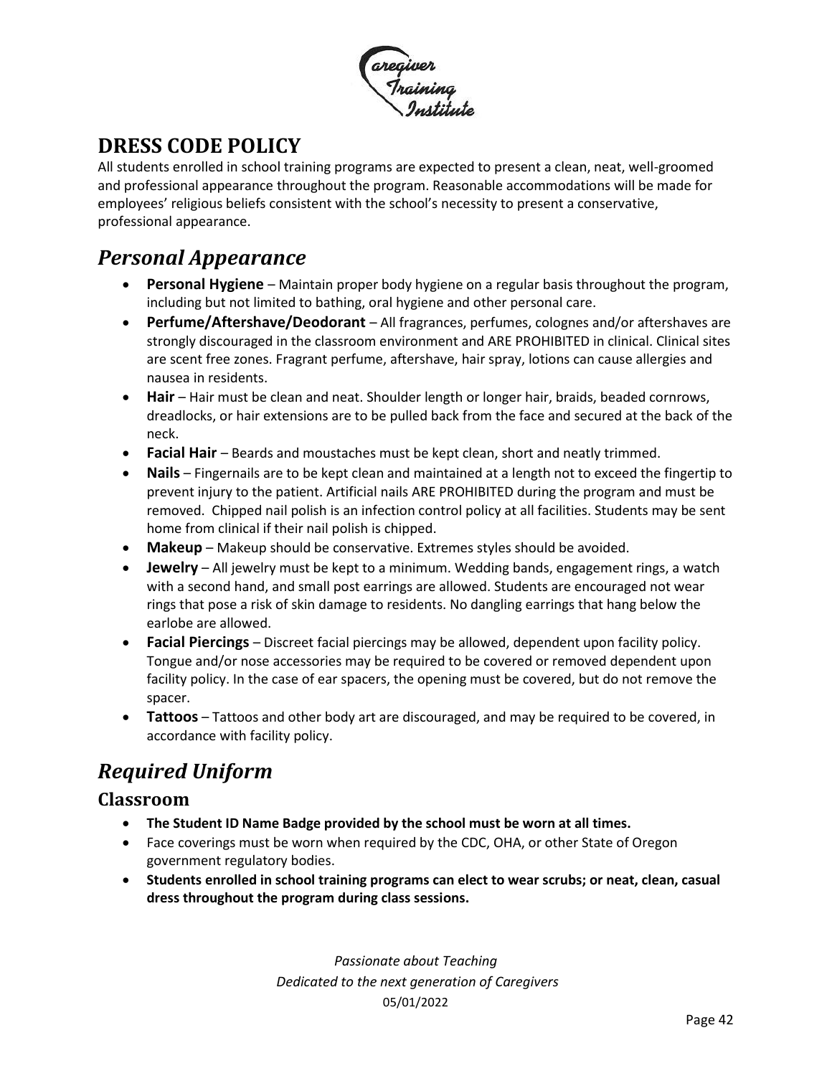

# <span id="page-41-0"></span>**DRESS CODE POLICY**

All students enrolled in school training programs are expected to present a clean, neat, well-groomed and professional appearance throughout the program. Reasonable accommodations will be made for employees' religious beliefs consistent with the school's necessity to present a conservative, professional appearance.

### <span id="page-41-1"></span>*Personal Appearance*

- **Personal Hygiene** Maintain proper body hygiene on a regular basis throughout the program, including but not limited to bathing, oral hygiene and other personal care.
- **Perfume/Aftershave/Deodorant**  All fragrances, perfumes, colognes and/or aftershaves are strongly discouraged in the classroom environment and ARE PROHIBITED in clinical. Clinical sites are scent free zones. Fragrant perfume, aftershave, hair spray, lotions can cause allergies and nausea in residents.
- **Hair** Hair must be clean and neat. Shoulder length or longer hair, braids, beaded cornrows, dreadlocks, or hair extensions are to be pulled back from the face and secured at the back of the neck.
- **Facial Hair** Beards and moustaches must be kept clean, short and neatly trimmed.
- **Nails** Fingernails are to be kept clean and maintained at a length not to exceed the fingertip to prevent injury to the patient. Artificial nails ARE PROHIBITED during the program and must be removed. Chipped nail polish is an infection control policy at all facilities. Students may be sent home from clinical if their nail polish is chipped.
- **Makeup** Makeup should be conservative. Extremes styles should be avoided.
- **Jewelry** All jewelry must be kept to a minimum. Wedding bands, engagement rings, a watch with a second hand, and small post earrings are allowed. Students are encouraged not wear rings that pose a risk of skin damage to residents. No dangling earrings that hang below the earlobe are allowed.
- **Facial Piercings** Discreet facial piercings may be allowed, dependent upon facility policy. Tongue and/or nose accessories may be required to be covered or removed dependent upon facility policy. In the case of ear spacers, the opening must be covered, but do not remove the spacer.
- **Tattoos** Tattoos and other body art are discouraged, and may be required to be covered, in accordance with facility policy.

# <span id="page-41-2"></span>*Required Uniform*

#### <span id="page-41-3"></span>**Classroom**

- **The Student ID Name Badge provided by the school must be worn at all times.**
- Face coverings must be worn when required by the CDC, OHA, or other State of Oregon government regulatory bodies.
- **Students enrolled in school training programs can elect to wear scrubs; or neat, clean, casual dress throughout the program during class sessions.**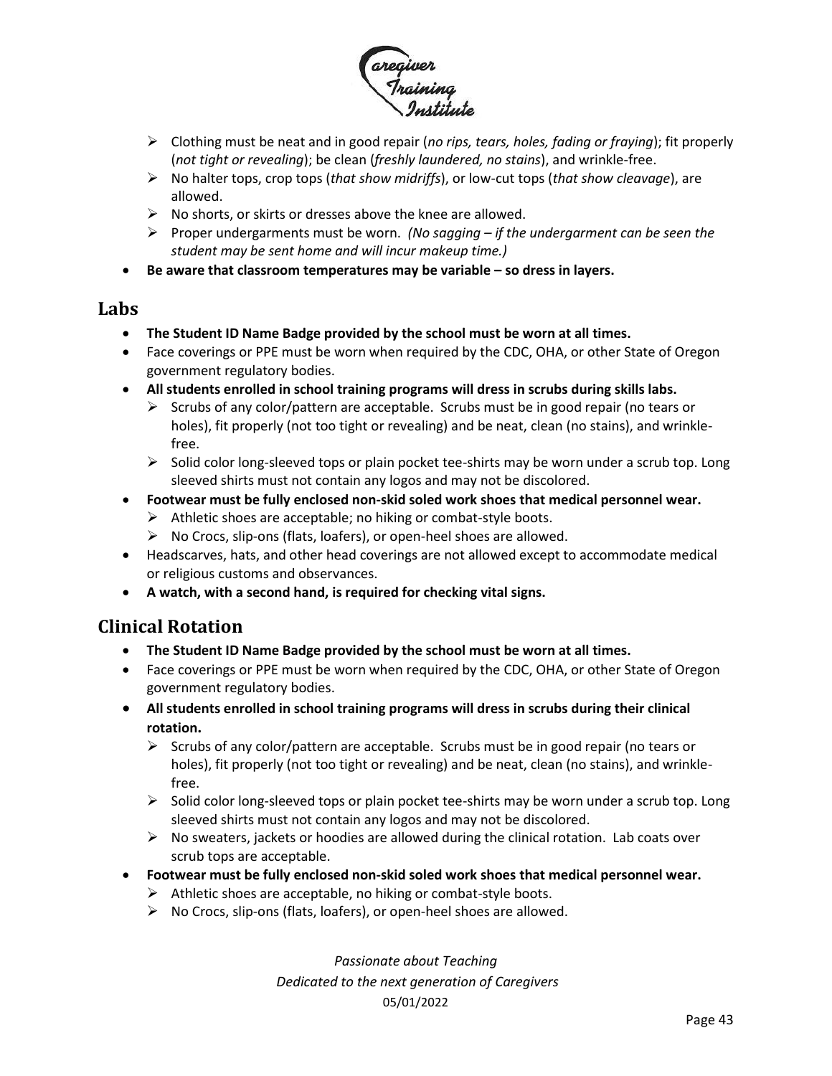

- ➢ Clothing must be neat and in good repair (*no rips, tears, holes, fading or fraying*); fit properly (*not tight or revealing*); be clean (*freshly laundered, no stains*), and wrinkle-free.
- ➢ No halter tops, crop tops (*that show midriffs*), or low-cut tops (*that show cleavage*), are allowed.
- $\triangleright$  No shorts, or skirts or dresses above the knee are allowed.
- ➢ Proper undergarments must be worn. *(No sagging – if the undergarment can be seen the student may be sent home and will incur makeup time.)*
- **Be aware that classroom temperatures may be variable – so dress in layers.**

#### <span id="page-42-0"></span>**Labs**

- **The Student ID Name Badge provided by the school must be worn at all times.**
- Face coverings or PPE must be worn when required by the CDC, OHA, or other State of Oregon government regulatory bodies.
- **All students enrolled in school training programs will dress in scrubs during skills labs.**
	- $\triangleright$  Scrubs of any color/pattern are acceptable. Scrubs must be in good repair (no tears or holes), fit properly (not too tight or revealing) and be neat, clean (no stains), and wrinklefree.
	- $\triangleright$  Solid color long-sleeved tops or plain pocket tee-shirts may be worn under a scrub top. Long sleeved shirts must not contain any logos and may not be discolored.
- **Footwear must be fully enclosed non-skid soled work shoes that medical personnel wear.** 
	- $\triangleright$  Athletic shoes are acceptable; no hiking or combat-style boots.
	- ➢ No Crocs, slip-ons (flats, loafers), or open-heel shoes are allowed.
- Headscarves, hats, and other head coverings are not allowed except to accommodate medical or religious customs and observances.
- **A watch, with a second hand, is required for checking vital signs.**

#### <span id="page-42-1"></span>**Clinical Rotation**

- **The Student ID Name Badge provided by the school must be worn at all times.**
- Face coverings or PPE must be worn when required by the CDC, OHA, or other State of Oregon government regulatory bodies.
- **All students enrolled in school training programs will dress in scrubs during their clinical rotation.** 
	- $\triangleright$  Scrubs of any color/pattern are acceptable. Scrubs must be in good repair (no tears or holes), fit properly (not too tight or revealing) and be neat, clean (no stains), and wrinklefree.
	- $\triangleright$  Solid color long-sleeved tops or plain pocket tee-shirts may be worn under a scrub top. Long sleeved shirts must not contain any logos and may not be discolored.
	- $\triangleright$  No sweaters, jackets or hoodies are allowed during the clinical rotation. Lab coats over scrub tops are acceptable.
- **Footwear must be fully enclosed non-skid soled work shoes that medical personnel wear.** 
	- $\triangleright$  Athletic shoes are acceptable, no hiking or combat-style boots.
	- ➢ No Crocs, slip-ons (flats, loafers), or open-heel shoes are allowed.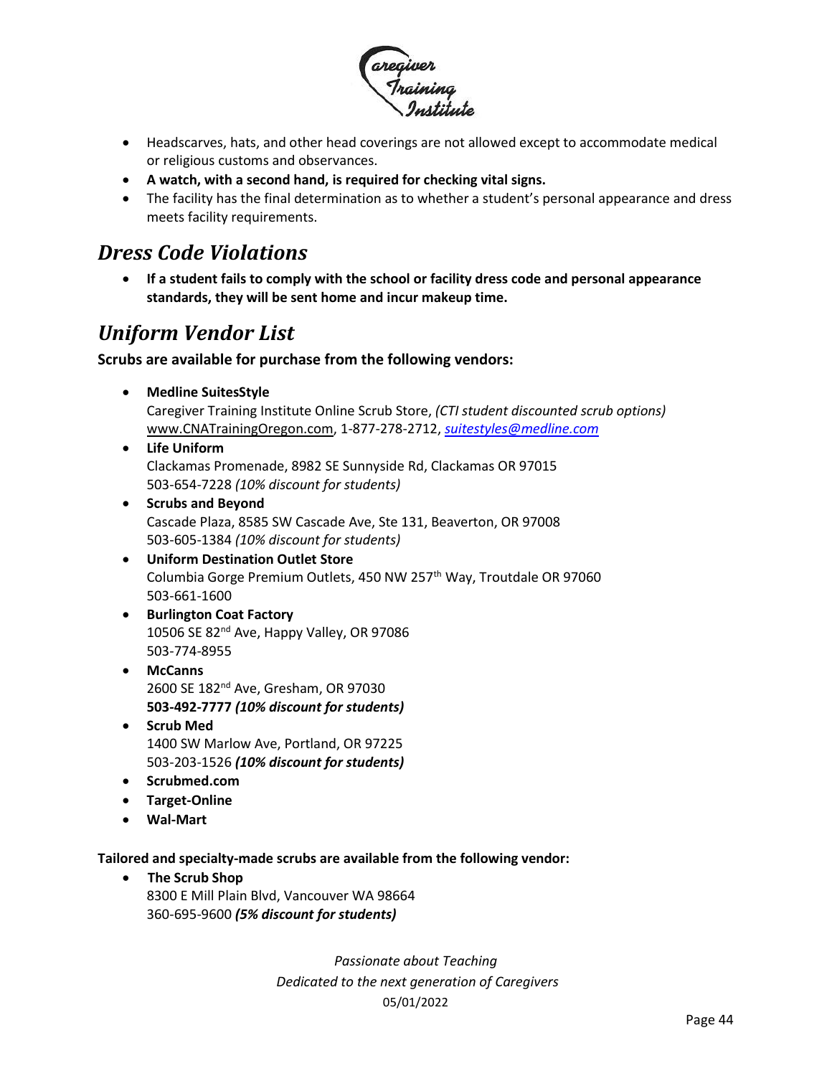

- Headscarves, hats, and other head coverings are not allowed except to accommodate medical or religious customs and observances.
- **A watch, with a second hand, is required for checking vital signs.**
- The facility has the final determination as to whether a student's personal appearance and dress meets facility requirements.

### <span id="page-43-0"></span>*Dress Code Violations*

• **If a student fails to comply with the school or facility dress code and personal appearance standards, they will be sent home and incur makeup time.**

### <span id="page-43-1"></span>*Uniform Vendor List*

#### **Scrubs are available for purchase from the following vendors:**

• **Medline SuitesStyle**

Caregiver Training Institute Online Scrub Store, *(CTI student discounted scrub options)* [www.CNATrainingOregon.com,](http://www.cnatrainingoregon.com/) 1-877-278-2712, *[suitestyles@medline.com](mailto:suitestyles@medline.com)*

- **Life Uniform** Clackamas Promenade, 8982 SE Sunnyside Rd, Clackamas OR 97015 503-654-7228 *(10% discount for students)*
- **Scrubs and Beyond** Cascade Plaza, 8585 SW Cascade Ave, Ste 131, Beaverton, OR 97008 503-605-1384 *(10% discount for students)*
- **Uniform Destination Outlet Store** Columbia Gorge Premium Outlets, 450 NW 257<sup>th</sup> Way, Troutdale OR 97060 503-661-1600
- **Burlington Coat Factory** 10506 SE 82<sup>nd</sup> Ave, Happy Valley, OR 97086 503-774-8955
- **McCanns** 2600 SE 182<sup>nd</sup> Ave, Gresham, OR 97030 **503-492-7777** *(10% discount for students)*
- **Scrub Med** 1400 SW Marlow Ave, Portland, OR 97225 503-203-1526 *(10% discount for students)*
- **Scrubmed.com**
- **Target-Online**
- **Wal-Mart**

**Tailored and specialty-made scrubs are available from the following vendor:** 

• **The Scrub Shop** 8300 E Mill Plain Blvd, Vancouver WA 98664 360-695-9600 *(5% discount for students)*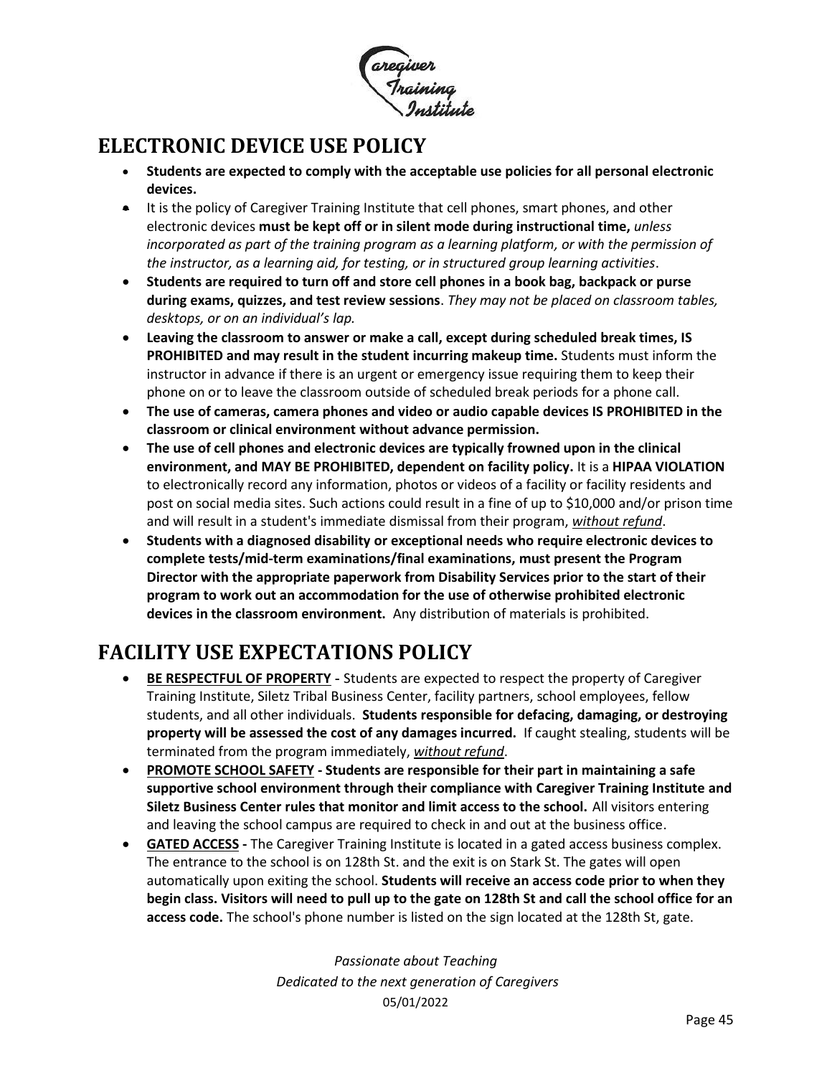

## <span id="page-44-0"></span>**ELECTRONIC DEVICE USE POLICY**

- **Students are expected to comply with the acceptable use policies for all personal electronic devices.**
- It is the policy of Caregiver Training Institute that cell phones, smart phones, and other electronic devices **must be kept off or in silent mode during instructional time,** *unless incorporated as part of the training program as a learning platform, or with the permission of the instructor, as a learning aid, for testing, or in structured group learning activities*.
- **Students are required to turn off and store cell phones in a book bag, backpack or purse during exams, quizzes, and test review sessions**. *They may not be placed on classroom tables, desktops, or on an individual's lap.*
- **Leaving the classroom to answer or make a call, except during scheduled break times, IS PROHIBITED and may result in the student incurring makeup time.** Students must inform the instructor in advance if there is an urgent or emergency issue requiring them to keep their phone on or to leave the classroom outside of scheduled break periods for a phone call.
- **The use of cameras, camera phones and video or audio capable devices IS PROHIBITED in the classroom or clinical environment without advance permission.**
- **The use of cell phones and electronic devices are typically frowned upon in the clinical environment, and MAY BE PROHIBITED, dependent on facility policy.** It is a **HIPAA VIOLATION** to electronically record any information, photos or videos of a facility or facility residents and post on social media sites. Such actions could result in a fine of up to \$10,000 and/or prison time and will result in a student's immediate dismissal from their program, *without refund*.
- **Students with a diagnosed disability or exceptional needs who require electronic devices to complete tests/mid-term examinations/final examinations, must present the Program Director with the appropriate paperwork from Disability Services prior to the start of their program to work out an accommodation for the use of otherwise prohibited electronic devices in the classroom environment.** Any distribution of materials is prohibited.

# <span id="page-44-1"></span>**FACILITY USE EXPECTATIONS POLICY**

- **BE RESPECTFUL OF PROPERTY -** Students are expected to respect the property of Caregiver Training Institute, Siletz Tribal Business Center, facility partners, school employees, fellow students, and all other individuals. **Students responsible for defacing, damaging, or destroying property will be assessed the cost of any damages incurred.** If caught stealing, students will be terminated from the program immediately, *without refund*.
- **PROMOTE SCHOOL SAFETY - Students are responsible for their part in maintaining a safe supportive school environment through their compliance with Caregiver Training Institute and Siletz Business Center rules that monitor and limit access to the school.** All visitors entering and leaving the school campus are required to check in and out at the business office.
- **GATED ACCESS -** The Caregiver Training Institute is located in a gated access business complex. The entrance to the school is on 128th St. and the exit is on Stark St. The gates will open automatically upon exiting the school. **Students will receive an access code prior to when they begin class. Visitors will need to pull up to the gate on 128th St and call the school office for an access code.** The school's phone number is listed on the sign located at the 128th St, gate.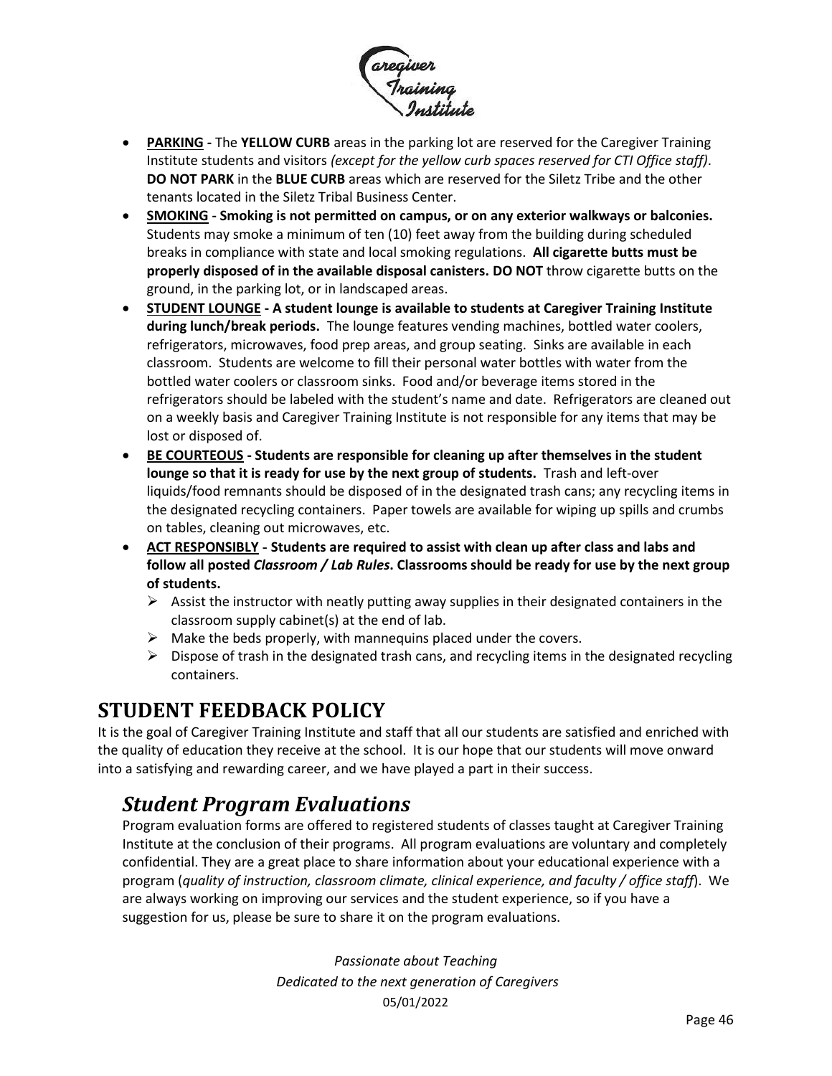

- **PARKING -** The **YELLOW CURB** areas in the parking lot are reserved for the Caregiver Training Institute students and visitors *(except for the yellow curb spaces reserved for CTI Office staff)*. **DO NOT PARK** in the **BLUE CURB** areas which are reserved for the Siletz Tribe and the other tenants located in the Siletz Tribal Business Center.
- **SMOKING - Smoking is not permitted on campus, or on any exterior walkways or balconies.**  Students may smoke a minimum of ten (10) feet away from the building during scheduled breaks in compliance with state and local smoking regulations. **All cigarette butts must be properly disposed of in the available disposal canisters. DO NOT** throw cigarette butts on the ground, in the parking lot, or in landscaped areas.
- **STUDENT LOUNGE - A student lounge is available to students at Caregiver Training Institute during lunch/break periods.** The lounge features vending machines, bottled water coolers, refrigerators, microwaves, food prep areas, and group seating. Sinks are available in each classroom. Students are welcome to fill their personal water bottles with water from the bottled water coolers or classroom sinks. Food and/or beverage items stored in the refrigerators should be labeled with the student's name and date. Refrigerators are cleaned out on a weekly basis and Caregiver Training Institute is not responsible for any items that may be lost or disposed of.
- **BE COURTEOUS - Students are responsible for cleaning up after themselves in the student lounge so that it is ready for use by the next group of students.** Trash and left-over liquids/food remnants should be disposed of in the designated trash cans; any recycling items in the designated recycling containers. Paper towels are available for wiping up spills and crumbs on tables, cleaning out microwaves, etc.
- **ACT RESPONSIBLY - Students are required to assist with clean up after class and labs and follow all posted** *Classroom / Lab Rules***. Classrooms should be ready for use by the next group of students.**
	- $\triangleright$  Assist the instructor with neatly putting away supplies in their designated containers in the classroom supply cabinet(s) at the end of lab.
	- $\triangleright$  Make the beds properly, with mannequins placed under the covers.
	- $\triangleright$  Dispose of trash in the designated trash cans, and recycling items in the designated recycling containers.

## <span id="page-45-0"></span>**STUDENT FEEDBACK POLICY**

It is the goal of Caregiver Training Institute and staff that all our students are satisfied and enriched with the quality of education they receive at the school. It is our hope that our students will move onward into a satisfying and rewarding career, and we have played a part in their success.

## <span id="page-45-1"></span>*Student Program Evaluations*

[Program evaluation](http://www.pcc.edu/resources/instructional-support/tools/course-eval/) forms are offered to registered students of classes taught at Caregiver Training Institute at the conclusion of their programs. All program evaluations are voluntary and completely confidential. They are a great place to share information about your educational experience with a program (*quality of instruction, classroom climate, clinical experience, and faculty / office staff*). We are always working on improving our services and the student experience, so if you have a suggestion for us, please be sure to share it on the program evaluations.